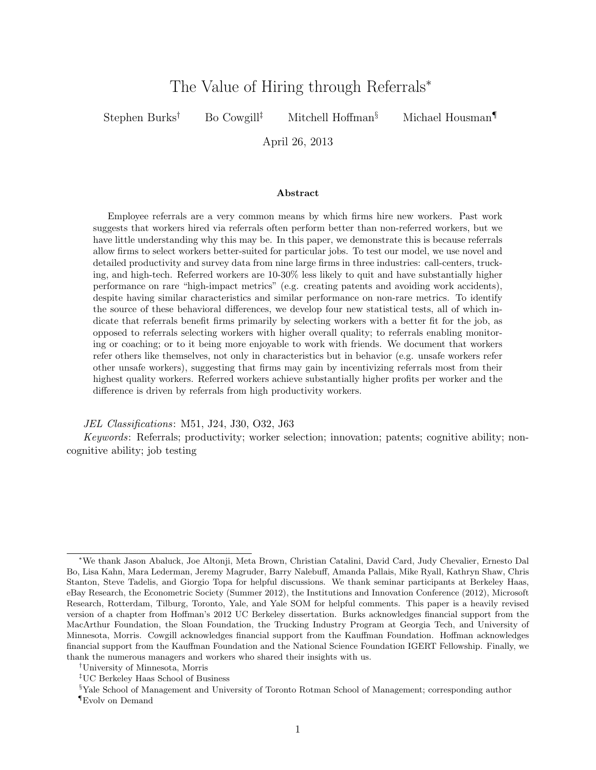# The Value of Hiring through Referrals<sup>∗</sup>

Stephen Burks<sup>†</sup> Bo Cowgill<sup>‡</sup> Mitchell Hoffman<sup>§</sup> Michael Housman

April 26, 2013

#### Abstract

Employee referrals are a very common means by which firms hire new workers. Past work suggests that workers hired via referrals often perform better than non-referred workers, but we have little understanding why this may be. In this paper, we demonstrate this is because referrals allow firms to select workers better-suited for particular jobs. To test our model, we use novel and detailed productivity and survey data from nine large firms in three industries: call-centers, trucking, and high-tech. Referred workers are 10-30% less likely to quit and have substantially higher performance on rare "high-impact metrics" (e.g. creating patents and avoiding work accidents), despite having similar characteristics and similar performance on non-rare metrics. To identify the source of these behavioral differences, we develop four new statistical tests, all of which indicate that referrals benefit firms primarily by selecting workers with a better fit for the job, as opposed to referrals selecting workers with higher overall quality; to referrals enabling monitoring or coaching; or to it being more enjoyable to work with friends. We document that workers refer others like themselves, not only in characteristics but in behavior (e.g. unsafe workers refer other unsafe workers), suggesting that firms may gain by incentivizing referrals most from their highest quality workers. Referred workers achieve substantially higher profits per worker and the difference is driven by referrals from high productivity workers.

JEL Classifications: M51, J24, J30, O32, J63

Keywords: Referrals; productivity; worker selection; innovation; patents; cognitive ability; noncognitive ability; job testing

<sup>∗</sup>We thank Jason Abaluck, Joe Altonji, Meta Brown, Christian Catalini, David Card, Judy Chevalier, Ernesto Dal Bo, Lisa Kahn, Mara Lederman, Jeremy Magruder, Barry Nalebuff, Amanda Pallais, Mike Ryall, Kathryn Shaw, Chris Stanton, Steve Tadelis, and Giorgio Topa for helpful discussions. We thank seminar participants at Berkeley Haas, eBay Research, the Econometric Society (Summer 2012), the Institutions and Innovation Conference (2012), Microsoft Research, Rotterdam, Tilburg, Toronto, Yale, and Yale SOM for helpful comments. This paper is a heavily revised version of a chapter from Hoffman's 2012 UC Berkeley dissertation. Burks acknowledges financial support from the MacArthur Foundation, the Sloan Foundation, the Trucking Industry Program at Georgia Tech, and University of Minnesota, Morris. Cowgill acknowledges financial support from the Kauffman Foundation. Hoffman acknowledges financial support from the Kauffman Foundation and the National Science Foundation IGERT Fellowship. Finally, we thank the numerous managers and workers who shared their insights with us.

<sup>†</sup>University of Minnesota, Morris

<sup>‡</sup>UC Berkeley Haas School of Business

<sup>§</sup>Yale School of Management and University of Toronto Rotman School of Management; corresponding author ¶Evolv on Demand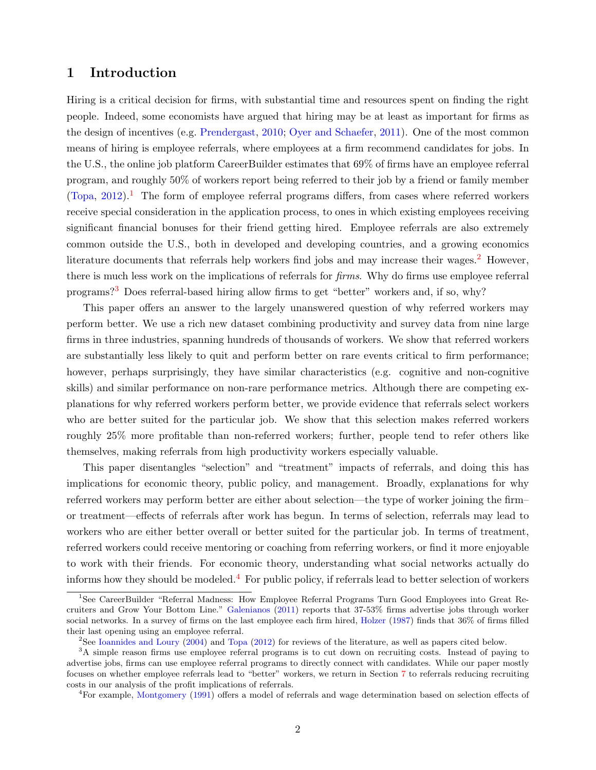## 1 Introduction

Hiring is a critical decision for firms, with substantial time and resources spent on finding the right people. Indeed, some economists have argued that hiring may be at least as important for firms as the design of incentives (e.g. [Prendergast,](#page-28-0) [2010;](#page-28-0) [Oyer and Schaefer,](#page-28-1) [2011\)](#page-28-1). One of the most common means of hiring is employee referrals, where employees at a firm recommend candidates for jobs. In the U.S., the online job platform CareerBuilder estimates that 69% of firms have an employee referral program, and roughly 50% of workers report being referred to their job by a friend or family member  $(Topa, 2012).$  $(Topa, 2012).$  $(Topa, 2012).$  $(Topa, 2012).$ <sup>[1](#page-1-0)</sup> The form of employee referral programs differs, from cases where referred workers receive special consideration in the application process, to ones in which existing employees receiving significant financial bonuses for their friend getting hired. Employee referrals are also extremely common outside the U.S., both in developed and developing countries, and a growing economics literature documents that referrals help workers find jobs and may increase their wages.<sup>[2](#page-1-1)</sup> However, there is much less work on the implications of referrals for firms. Why do firms use employee referral programs?[3](#page-1-2) Does referral-based hiring allow firms to get "better" workers and, if so, why?

This paper offers an answer to the largely unanswered question of why referred workers may perform better. We use a rich new dataset combining productivity and survey data from nine large firms in three industries, spanning hundreds of thousands of workers. We show that referred workers are substantially less likely to quit and perform better on rare events critical to firm performance; however, perhaps surprisingly, they have similar characteristics (e.g. cognitive and non-cognitive skills) and similar performance on non-rare performance metrics. Although there are competing explanations for why referred workers perform better, we provide evidence that referrals select workers who are better suited for the particular job. We show that this selection makes referred workers roughly 25% more profitable than non-referred workers; further, people tend to refer others like themselves, making referrals from high productivity workers especially valuable.

This paper disentangles "selection" and "treatment" impacts of referrals, and doing this has implications for economic theory, public policy, and management. Broadly, explanations for why referred workers may perform better are either about selection—the type of worker joining the firm– or treatment—effects of referrals after work has begun. In terms of selection, referrals may lead to workers who are either better overall or better suited for the particular job. In terms of treatment, referred workers could receive mentoring or coaching from referring workers, or find it more enjoyable to work with their friends. For economic theory, understanding what social networks actually do informs how they should be modeled.<sup>[4](#page-1-3)</sup> For public policy, if referrals lead to better selection of workers

<span id="page-1-0"></span><sup>1</sup>See CareerBuilder "Referral Madness: How Employee Referral Programs Turn Good Employees into Great Recruiters and Grow Your Bottom Line." [Galenianos](#page-27-0) [\(2011\)](#page-27-0) reports that 37-53% firms advertise jobs through worker social networks. In a survey of firms on the last employee each firm hired, [Holzer](#page-27-1) [\(1987\)](#page-27-1) finds that 36% of firms filled their last opening using an employee referral.

<span id="page-1-2"></span><span id="page-1-1"></span><sup>2</sup>See [Ioannides and Loury](#page-28-3) [\(2004\)](#page-28-3) and [Topa](#page-28-2) [\(2012\)](#page-28-2) for reviews of the literature, as well as papers cited below.

<sup>&</sup>lt;sup>3</sup>A simple reason firms use employee referral programs is to cut down on recruiting costs. Instead of paying to advertise jobs, firms can use employee referral programs to directly connect with candidates. While our paper mostly focuses on whether employee referrals lead to "better" workers, we return in Section [7](#page-24-0) to referrals reducing recruiting costs in our analysis of the profit implications of referrals.

<span id="page-1-3"></span><sup>4</sup>For example, [Montgomery](#page-28-4) [\(1991\)](#page-28-4) offers a model of referrals and wage determination based on selection effects of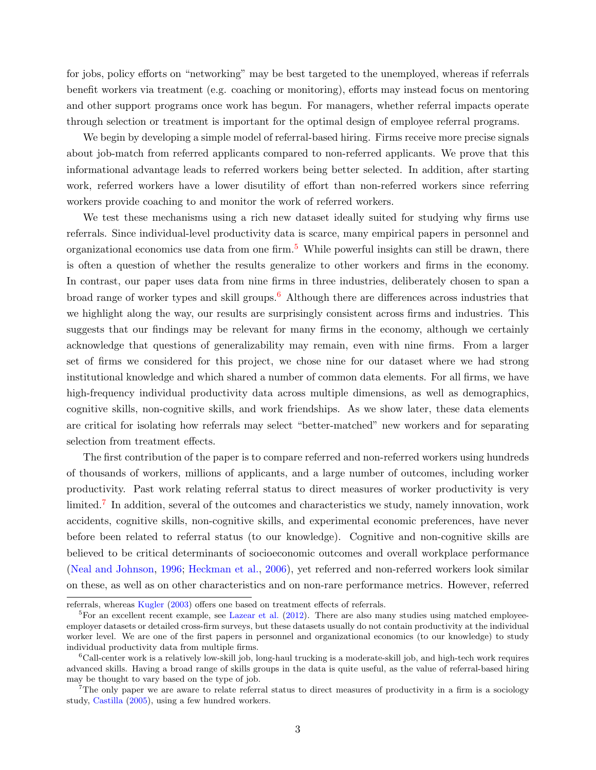for jobs, policy efforts on "networking" may be best targeted to the unemployed, whereas if referrals benefit workers via treatment (e.g. coaching or monitoring), efforts may instead focus on mentoring and other support programs once work has begun. For managers, whether referral impacts operate through selection or treatment is important for the optimal design of employee referral programs.

We begin by developing a simple model of referral-based hiring. Firms receive more precise signals about job-match from referred applicants compared to non-referred applicants. We prove that this informational advantage leads to referred workers being better selected. In addition, after starting work, referred workers have a lower disutility of effort than non-referred workers since referring workers provide coaching to and monitor the work of referred workers.

We test these mechanisms using a rich new dataset ideally suited for studying why firms use referrals. Since individual-level productivity data is scarce, many empirical papers in personnel and organizational economics use data from one firm.<sup>[5](#page-2-0)</sup> While powerful insights can still be drawn, there is often a question of whether the results generalize to other workers and firms in the economy. In contrast, our paper uses data from nine firms in three industries, deliberately chosen to span a broad range of worker types and skill groups.<sup>[6](#page-2-1)</sup> Although there are differences across industries that we highlight along the way, our results are surprisingly consistent across firms and industries. This suggests that our findings may be relevant for many firms in the economy, although we certainly acknowledge that questions of generalizability may remain, even with nine firms. From a larger set of firms we considered for this project, we chose nine for our dataset where we had strong institutional knowledge and which shared a number of common data elements. For all firms, we have high-frequency individual productivity data across multiple dimensions, as well as demographics, cognitive skills, non-cognitive skills, and work friendships. As we show later, these data elements are critical for isolating how referrals may select "better-matched" new workers and for separating selection from treatment effects.

The first contribution of the paper is to compare referred and non-referred workers using hundreds of thousands of workers, millions of applicants, and a large number of outcomes, including worker productivity. Past work relating referral status to direct measures of worker productivity is very limited.<sup>[7](#page-2-2)</sup> In addition, several of the outcomes and characteristics we study, namely innovation, work accidents, cognitive skills, non-cognitive skills, and experimental economic preferences, have never before been related to referral status (to our knowledge). Cognitive and non-cognitive skills are believed to be critical determinants of socioeconomic outcomes and overall workplace performance [\(Neal and Johnson,](#page-28-5) [1996;](#page-28-5) [Heckman et al.,](#page-27-2) [2006\)](#page-27-2), yet referred and non-referred workers look similar on these, as well as on other characteristics and on non-rare performance metrics. However, referred

referrals, whereas [Kugler](#page-28-6) [\(2003\)](#page-28-6) offers one based on treatment effects of referrals.

<span id="page-2-0"></span> ${}^{5}$ For an excellent recent example, see [Lazear et al.](#page-28-7) [\(2012\)](#page-28-7). There are also many studies using matched employeeemployer datasets or detailed cross-firm surveys, but these datasets usually do not contain productivity at the individual worker level. We are one of the first papers in personnel and organizational economics (to our knowledge) to study individual productivity data from multiple firms.

<span id="page-2-1"></span> ${}^6$ Call-center work is a relatively low-skill job, long-haul trucking is a moderate-skill job, and high-tech work requires advanced skills. Having a broad range of skills groups in the data is quite useful, as the value of referral-based hiring may be thought to vary based on the type of job.

<span id="page-2-2"></span><sup>&</sup>lt;sup>7</sup>The only paper we are aware to relate referral status to direct measures of productivity in a firm is a sociology study, [Castilla](#page-27-3) [\(2005\)](#page-27-3), using a few hundred workers.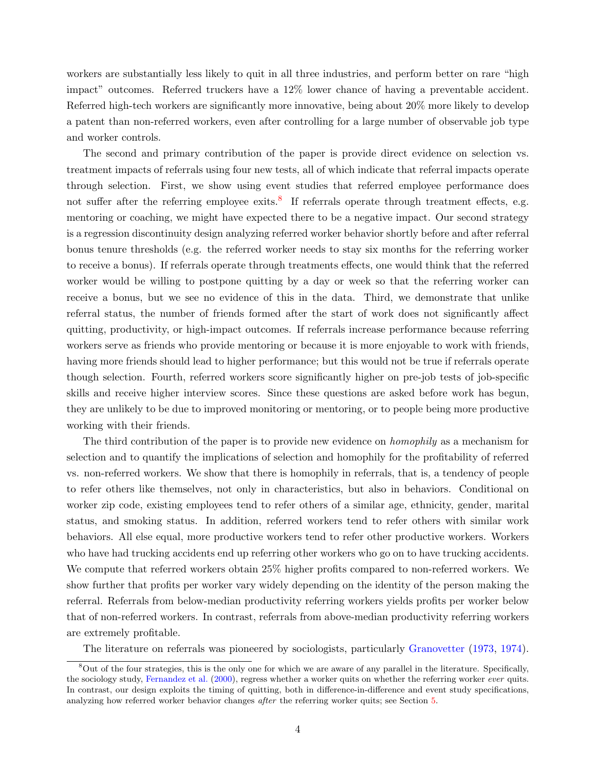workers are substantially less likely to quit in all three industries, and perform better on rare "high impact" outcomes. Referred truckers have a 12% lower chance of having a preventable accident. Referred high-tech workers are significantly more innovative, being about 20% more likely to develop a patent than non-referred workers, even after controlling for a large number of observable job type and worker controls.

The second and primary contribution of the paper is provide direct evidence on selection vs. treatment impacts of referrals using four new tests, all of which indicate that referral impacts operate through selection. First, we show using event studies that referred employee performance does not suffer after the referring employee exits.<sup>[8](#page-3-0)</sup> If referrals operate through treatment effects, e.g. mentoring or coaching, we might have expected there to be a negative impact. Our second strategy is a regression discontinuity design analyzing referred worker behavior shortly before and after referral bonus tenure thresholds (e.g. the referred worker needs to stay six months for the referring worker to receive a bonus). If referrals operate through treatments effects, one would think that the referred worker would be willing to postpone quitting by a day or week so that the referring worker can receive a bonus, but we see no evidence of this in the data. Third, we demonstrate that unlike referral status, the number of friends formed after the start of work does not significantly affect quitting, productivity, or high-impact outcomes. If referrals increase performance because referring workers serve as friends who provide mentoring or because it is more enjoyable to work with friends, having more friends should lead to higher performance; but this would not be true if referrals operate though selection. Fourth, referred workers score significantly higher on pre-job tests of job-specific skills and receive higher interview scores. Since these questions are asked before work has begun, they are unlikely to be due to improved monitoring or mentoring, or to people being more productive working with their friends.

The third contribution of the paper is to provide new evidence on *homophily* as a mechanism for selection and to quantify the implications of selection and homophily for the profitability of referred vs. non-referred workers. We show that there is homophily in referrals, that is, a tendency of people to refer others like themselves, not only in characteristics, but also in behaviors. Conditional on worker zip code, existing employees tend to refer others of a similar age, ethnicity, gender, marital status, and smoking status. In addition, referred workers tend to refer others with similar work behaviors. All else equal, more productive workers tend to refer other productive workers. Workers who have had trucking accidents end up referring other workers who go on to have trucking accidents. We compute that referred workers obtain 25% higher profits compared to non-referred workers. We show further that profits per worker vary widely depending on the identity of the person making the referral. Referrals from below-median productivity referring workers yields profits per worker below that of non-referred workers. In contrast, referrals from above-median productivity referring workers are extremely profitable.

<span id="page-3-0"></span>The literature on referrals was pioneered by sociologists, particularly [Granovetter](#page-27-4) [\(1973,](#page-27-4) [1974\)](#page-27-5).

<sup>8</sup>Out of the four strategies, this is the only one for which we are aware of any parallel in the literature. Specifically, the sociology study, [Fernandez et al.](#page-27-6) [\(2000\)](#page-27-6), regress whether a worker quits on whether the referring worker ever quits. In contrast, our design exploits the timing of quitting, both in difference-in-difference and event study specifications, analyzing how referred worker behavior changes after the referring worker quits; see Section [5.](#page-14-0)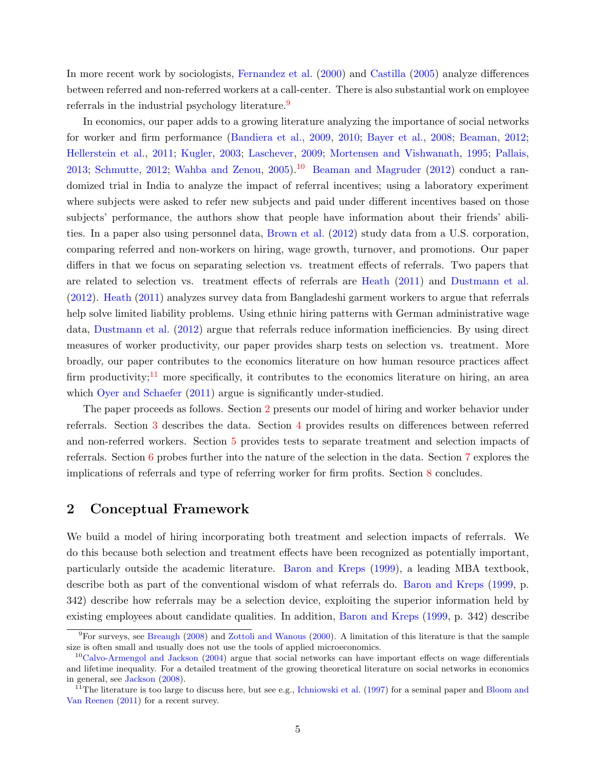In more recent work by sociologists, [Fernandez et al.](#page-27-6) [\(2000\)](#page-27-6) and [Castilla](#page-27-3) [\(2005\)](#page-27-3) analyze differences between referred and non-referred workers at a call-center. There is also substantial work on employee referrals in the industrial psychology literature.<sup>[9](#page-4-0)</sup>

In economics, our paper adds to a growing literature analyzing the importance of social networks for worker and firm performance [\(Bandiera et al.,](#page-26-0) [2009,](#page-26-0) [2010;](#page-26-1) [Bayer et al.,](#page-27-7) [2008;](#page-27-7) [Beaman,](#page-27-8) [2012;](#page-27-8) [Hellerstein et al.,](#page-27-9) [2011;](#page-27-9) [Kugler,](#page-28-6) [2003;](#page-28-6) [Laschever,](#page-28-8) [2009;](#page-28-8) [Mortensen and Vishwanath,](#page-28-9) [1995;](#page-28-9) [Pallais,](#page-28-10) [2013;](#page-28-10) [Schmutte,](#page-28-11) [2012;](#page-28-11) [Wahba and Zenou,](#page-28-12) [2005\)](#page-28-12).<sup>[10](#page-4-1)</sup> [Beaman and Magruder](#page-27-10) [\(2012\)](#page-27-10) conduct a randomized trial in India to analyze the impact of referral incentives; using a laboratory experiment where subjects were asked to refer new subjects and paid under different incentives based on those subjects' performance, the authors show that people have information about their friends' abilities. In a paper also using personnel data, [Brown et al.](#page-27-11) [\(2012\)](#page-27-11) study data from a U.S. corporation, comparing referred and non-workers on hiring, wage growth, turnover, and promotions. Our paper differs in that we focus on separating selection vs. treatment effects of referrals. Two papers that are related to selection vs. treatment effects of referrals are [Heath](#page-27-12) [\(2011\)](#page-27-12) and [Dustmann et al.](#page-27-13) [\(2012\)](#page-27-13). [Heath](#page-27-12) [\(2011\)](#page-27-12) analyzes survey data from Bangladeshi garment workers to argue that referrals help solve limited liability problems. Using ethnic hiring patterns with German administrative wage data, [Dustmann et al.](#page-27-13) [\(2012\)](#page-27-13) argue that referrals reduce information inefficiencies. By using direct measures of worker productivity, our paper provides sharp tests on selection vs. treatment. More broadly, our paper contributes to the economics literature on how human resource practices affect firm productivity;<sup>[11](#page-4-2)</sup> more specifically, it contributes to the economics literature on hiring, an area which [Oyer and Schaefer](#page-28-1) [\(2011\)](#page-28-1) argue is significantly under-studied.

The paper proceeds as follows. Section [2](#page-4-3) presents our model of hiring and worker behavior under referrals. Section [3](#page-7-0) describes the data. Section [4](#page-8-0) provides results on differences between referred and non-referred workers. Section [5](#page-14-0) provides tests to separate treatment and selection impacts of referrals. Section [6](#page-21-0) probes further into the nature of the selection in the data. Section [7](#page-24-0) explores the implications of referrals and type of referring worker for firm profits. Section [8](#page-25-0) concludes.

### <span id="page-4-3"></span>2 Conceptual Framework

We build a model of hiring incorporating both treatment and selection impacts of referrals. We do this because both selection and treatment effects have been recognized as potentially important, particularly outside the academic literature. [Baron and Kreps](#page-26-2) [\(1999\)](#page-26-2), a leading MBA textbook, describe both as part of the conventional wisdom of what referrals do. [Baron and Kreps](#page-26-2) [\(1999,](#page-26-2) p. 342) describe how referrals may be a selection device, exploiting the superior information held by existing employees about candidate qualities. In addition, [Baron and Kreps](#page-26-2) [\(1999,](#page-26-2) p. 342) describe

<span id="page-4-0"></span><sup>9</sup>For surveys, see [Breaugh](#page-27-14) [\(2008\)](#page-27-14) and [Zottoli and Wanous](#page-28-13) [\(2000\)](#page-28-13). A limitation of this literature is that the sample size is often small and usually does not use the tools of applied microeconomics.

<span id="page-4-1"></span> $10$ [Calvo-Armengol and Jackson](#page-27-15) [\(2004\)](#page-27-15) argue that social networks can have important effects on wage differentials and lifetime inequality. For a detailed treatment of the growing theoretical literature on social networks in economics in general, see [Jackson](#page-28-14) [\(2008\)](#page-28-14).

<span id="page-4-2"></span><sup>&</sup>lt;sup>11</sup>The literature is too large to discuss here, but see e.g., [Ichniowski et al.](#page-28-15) [\(1997\)](#page-28-15) for a seminal paper and [Bloom and](#page-27-16) [Van Reenen](#page-27-16) [\(2011\)](#page-27-16) for a recent survey.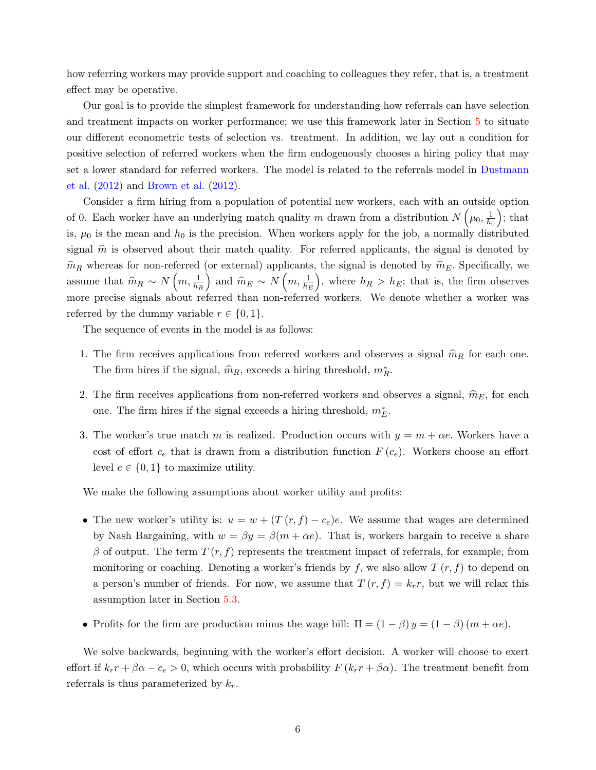how referring workers may provide support and coaching to colleagues they refer, that is, a treatment effect may be operative.

Our goal is to provide the simplest framework for understanding how referrals can have selection and treatment impacts on worker performance; we use this framework later in Section [5](#page-14-0) to situate our different econometric tests of selection vs. treatment. In addition, we lay out a condition for positive selection of referred workers when the firm endogenously chooses a hiring policy that may set a lower standard for referred workers. The model is related to the referrals model in [Dustmann](#page-27-13) [et al.](#page-27-13) [\(2012\)](#page-27-13) and [Brown et al.](#page-27-11) [\(2012\)](#page-27-11).

Consider a firm hiring from a population of potential new workers, each with an outside option of 0. Each worker have an underlying match quality m drawn from a distribution  $N(\mu_0, \frac{1}{h_0})$  $\overline{h_0}$  $\big)$ ; that is,  $\mu_0$  is the mean and  $h_0$  is the precision. When workers apply for the job, a normally distributed signal  $\hat{m}$  is observed about their match quality. For referred applicants, the signal is denoted by  $\hat{m}_R$  whereas for non-referred (or external) applicants, the signal is denoted by  $\hat{m}_E$ . Specifically, we assume that  $\widehat{m}_R \sim N\left(m, \frac{1}{h_R}\right)$ and  $\widehat{m}_E \sim N\left(m, \frac{1}{h_E}\right)$ ), where  $h_R > h_E$ ; that is, the firm observes more precise signals about referred than non-referred workers. We denote whether a worker was referred by the dummy variable  $r \in \{0, 1\}$ .

The sequence of events in the model is as follows:

- 1. The firm receives applications from referred workers and observes a signal  $\hat{m}_R$  for each one. The firm hires if the signal,  $\widehat{m}_R$ , exceeds a hiring threshold,  $m_R^*$ .
- 2. The firm receives applications from non-referred workers and observes a signal,  $\hat{m}_E$ , for each one. The firm hires if the signal exceeds a hiring threshold,  $m_{E}^{\ast}$ .
- 3. The worker's true match m is realized. Production occurs with  $y = m + \alpha e$ . Workers have a cost of effort  $c_e$  that is drawn from a distribution function  $F(c_e)$ . Workers choose an effort level  $e \in \{0,1\}$  to maximize utility.

We make the following assumptions about worker utility and profits:

- The new worker's utility is:  $u = w + (T(r, f) c_e)e$ . We assume that wages are determined by Nash Bargaining, with  $w = \beta y = \beta (m + \alpha e)$ . That is, workers bargain to receive a share β of output. The term  $T(r, f)$  represents the treatment impact of referrals, for example, from monitoring or coaching. Denoting a worker's friends by f, we also allow  $T(r, f)$  to depend on a person's number of friends. For now, we assume that  $T(r, f) = k_r r$ , but we will relax this assumption later in Section [5.3.](#page-18-0)
- Profits for the firm are production minus the wage bill:  $\Pi = (1 \beta) y = (1 \beta) (m + \alpha e)$ .

We solve backwards, beginning with the worker's effort decision. A worker will choose to exert effort if  $k_r r + \beta \alpha - c_e > 0$ , which occurs with probability  $F(k_r r + \beta \alpha)$ . The treatment benefit from referrals is thus parameterized by  $k_r$ .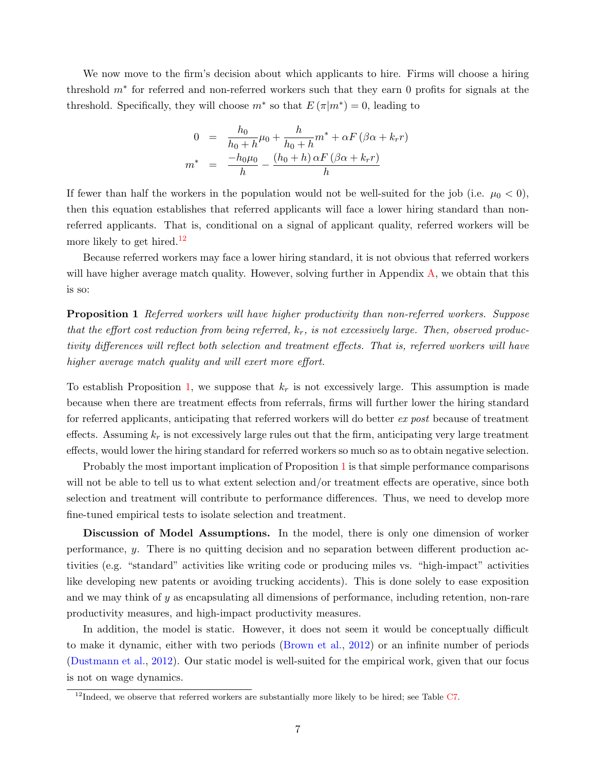We now move to the firm's decision about which applicants to hire. Firms will choose a hiring threshold  $m<sup>*</sup>$  for referred and non-referred workers such that they earn 0 profits for signals at the threshold. Specifically, they will choose  $m^*$  so that  $E(\pi|m^*)=0$ , leading to

$$
0 = \frac{h_0}{h_0 + h} \mu_0 + \frac{h}{h_0 + h} m^* + \alpha F (\beta \alpha + k_r r)
$$
  

$$
m^* = \frac{-h_0 \mu_0}{h} - \frac{(h_0 + h) \alpha F (\beta \alpha + k_r r)}{h}
$$

If fewer than half the workers in the population would not be well-suited for the job (i.e.  $\mu_0 < 0$ ), then this equation establishes that referred applicants will face a lower hiring standard than nonreferred applicants. That is, conditional on a signal of applicant quality, referred workers will be more likely to get hired.<sup>[12](#page-6-0)</sup>

<span id="page-6-1"></span>Because referred workers may face a lower hiring standard, it is not obvious that referred workers will have higher average match quality. However, solving further in Appendix [A,](#page-45-0) we obtain that this is so:

Proposition 1 Referred workers will have higher productivity than non-referred workers. Suppose that the effort cost reduction from being referred,  $k_r$ , is not excessively large. Then, observed productivity differences will reflect both selection and treatment effects. That is, referred workers will have higher average match quality and will exert more effort.

To establish Proposition [1,](#page-6-1) we suppose that  $k_r$  is not excessively large. This assumption is made because when there are treatment effects from referrals, firms will further lower the hiring standard for referred applicants, anticipating that referred workers will do better ex post because of treatment effects. Assuming  $k_r$  is not excessively large rules out that the firm, anticipating very large treatment effects, would lower the hiring standard for referred workers so much so as to obtain negative selection.

Probably the most important implication of Proposition [1](#page-6-1) is that simple performance comparisons will not be able to tell us to what extent selection and/or treatment effects are operative, since both selection and treatment will contribute to performance differences. Thus, we need to develop more fine-tuned empirical tests to isolate selection and treatment.

Discussion of Model Assumptions. In the model, there is only one dimension of worker performance, y. There is no quitting decision and no separation between different production activities (e.g. "standard" activities like writing code or producing miles vs. "high-impact" activities like developing new patents or avoiding trucking accidents). This is done solely to ease exposition and we may think of  $y$  as encapsulating all dimensions of performance, including retention, non-rare productivity measures, and high-impact productivity measures.

In addition, the model is static. However, it does not seem it would be conceptually difficult to make it dynamic, either with two periods [\(Brown et al.,](#page-27-11) [2012\)](#page-27-11) or an infinite number of periods [\(Dustmann et al.,](#page-27-13) [2012\)](#page-27-13). Our static model is well-suited for the empirical work, given that our focus is not on wage dynamics.

<span id="page-6-0"></span> $12$ Indeed, we observe that referred workers are substantially more likely to be hired; see Table [C7.](#page-58-0)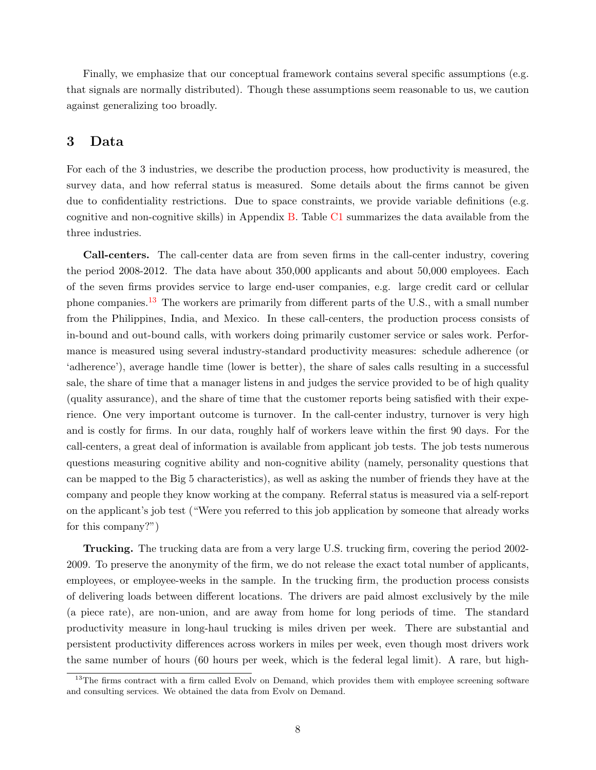Finally, we emphasize that our conceptual framework contains several specific assumptions (e.g. that signals are normally distributed). Though these assumptions seem reasonable to us, we caution against generalizing too broadly.

## <span id="page-7-0"></span>3 Data

For each of the 3 industries, we describe the production process, how productivity is measured, the survey data, and how referral status is measured. Some details about the firms cannot be given due to confidentiality restrictions. Due to space constraints, we provide variable definitions (e.g. cognitive and non-cognitive skills) in Appendix [B.](#page-47-0) Table [C1](#page-54-0) summarizes the data available from the three industries.

Call-centers. The call-center data are from seven firms in the call-center industry, covering the period 2008-2012. The data have about 350,000 applicants and about 50,000 employees. Each of the seven firms provides service to large end-user companies, e.g. large credit card or cellular phone companies.[13](#page-7-1) The workers are primarily from different parts of the U.S., with a small number from the Philippines, India, and Mexico. In these call-centers, the production process consists of in-bound and out-bound calls, with workers doing primarily customer service or sales work. Performance is measured using several industry-standard productivity measures: schedule adherence (or 'adherence'), average handle time (lower is better), the share of sales calls resulting in a successful sale, the share of time that a manager listens in and judges the service provided to be of high quality (quality assurance), and the share of time that the customer reports being satisfied with their experience. One very important outcome is turnover. In the call-center industry, turnover is very high and is costly for firms. In our data, roughly half of workers leave within the first 90 days. For the call-centers, a great deal of information is available from applicant job tests. The job tests numerous questions measuring cognitive ability and non-cognitive ability (namely, personality questions that can be mapped to the Big 5 characteristics), as well as asking the number of friends they have at the company and people they know working at the company. Referral status is measured via a self-report on the applicant's job test ("Were you referred to this job application by someone that already works for this company?")

Trucking. The trucking data are from a very large U.S. trucking firm, covering the period 2002- 2009. To preserve the anonymity of the firm, we do not release the exact total number of applicants, employees, or employee-weeks in the sample. In the trucking firm, the production process consists of delivering loads between different locations. The drivers are paid almost exclusively by the mile (a piece rate), are non-union, and are away from home for long periods of time. The standard productivity measure in long-haul trucking is miles driven per week. There are substantial and persistent productivity differences across workers in miles per week, even though most drivers work the same number of hours (60 hours per week, which is the federal legal limit). A rare, but high-

<span id="page-7-1"></span> $13$ The firms contract with a firm called Evoly on Demand, which provides them with employee screening software and consulting services. We obtained the data from Evolv on Demand.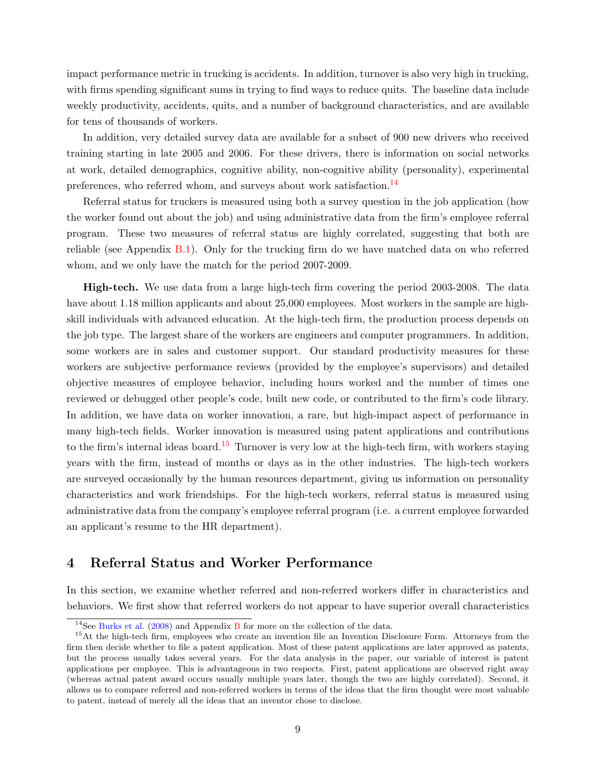impact performance metric in trucking is accidents. In addition, turnover is also very high in trucking, with firms spending significant sums in trying to find ways to reduce quits. The baseline data include weekly productivity, accidents, quits, and a number of background characteristics, and are available for tens of thousands of workers.

In addition, very detailed survey data are available for a subset of 900 new drivers who received training starting in late 2005 and 2006. For these drivers, there is information on social networks at work, detailed demographics, cognitive ability, non-cognitive ability (personality), experimental preferences, who referred whom, and surveys about work satisfaction.<sup>[14](#page-8-1)</sup>

Referral status for truckers is measured using both a survey question in the job application (how the worker found out about the job) and using administrative data from the firm's employee referral program. These two measures of referral status are highly correlated, suggesting that both are reliable (see Appendix [B.1\)](#page-47-1). Only for the trucking firm do we have matched data on who referred whom, and we only have the match for the period 2007-2009.

High-tech. We use data from a large high-tech firm covering the period 2003-2008. The data have about 1.18 million applicants and about 25,000 employees. Most workers in the sample are highskill individuals with advanced education. At the high-tech firm, the production process depends on the job type. The largest share of the workers are engineers and computer programmers. In addition, some workers are in sales and customer support. Our standard productivity measures for these workers are subjective performance reviews (provided by the employee's supervisors) and detailed objective measures of employee behavior, including hours worked and the number of times one reviewed or debugged other people's code, built new code, or contributed to the firm's code library. In addition, we have data on worker innovation, a rare, but high-impact aspect of performance in many high-tech fields. Worker innovation is measured using patent applications and contributions to the firm's internal ideas board.<sup>[15](#page-8-2)</sup> Turnover is very low at the high-tech firm, with workers staying years with the firm, instead of months or days as in the other industries. The high-tech workers are surveyed occasionally by the human resources department, giving us information on personality characteristics and work friendships. For the high-tech workers, referral status is measured using administrative data from the company's employee referral program (i.e. a current employee forwarded an applicant's resume to the HR department).

## <span id="page-8-0"></span>4 Referral Status and Worker Performance

In this section, we examine whether referred and non-referred workers differ in characteristics and behaviors. We first show that referred workers do not appear to have superior overall characteristics

<span id="page-8-2"></span><span id="page-8-1"></span><sup>&</sup>lt;sup>14</sup>See [Burks et al.](#page-27-17) [\(2008\)](#page-27-17) and Appendix [B](#page-47-0) for more on the collection of the data.

<sup>&</sup>lt;sup>15</sup>At the high-tech firm, employees who create an invention file an Invention Disclosure Form. Attorneys from the firm then decide whether to file a patent application. Most of these patent applications are later approved as patents, but the process usually takes several years. For the data analysis in the paper, our variable of interest is patent applications per employee. This is advantageous in two respects. First, patent applications are observed right away (whereas actual patent award occurs usually multiple years later, though the two are highly correlated). Second, it allows us to compare referred and non-referred workers in terms of the ideas that the firm thought were most valuable to patent, instead of merely all the ideas that an inventor chose to disclose.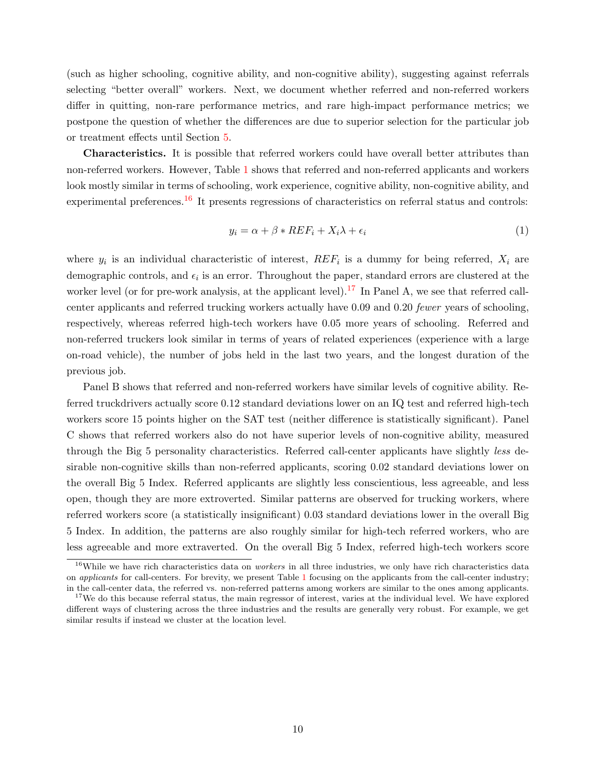(such as higher schooling, cognitive ability, and non-cognitive ability), suggesting against referrals selecting "better overall" workers. Next, we document whether referred and non-referred workers differ in quitting, non-rare performance metrics, and rare high-impact performance metrics; we postpone the question of whether the differences are due to superior selection for the particular job or treatment effects until Section [5.](#page-14-0)

Characteristics. It is possible that referred workers could have overall better attributes than non-referred workers. However, Table [1](#page-32-0) shows that referred and non-referred applicants and workers look mostly similar in terms of schooling, work experience, cognitive ability, non-cognitive ability, and experimental preferences.<sup>[16](#page-9-0)</sup> It presents regressions of characteristics on referral status and controls:

$$
y_i = \alpha + \beta * REF_i + X_i \lambda + \epsilon_i \tag{1}
$$

where  $y_i$  is an individual characteristic of interest,  $REF_i$  is a dummy for being referred,  $X_i$  are demographic controls, and  $\epsilon_i$  is an error. Throughout the paper, standard errors are clustered at the worker level (or for pre-work analysis, at the applicant level).<sup>[17](#page-9-1)</sup> In Panel A, we see that referred callcenter applicants and referred trucking workers actually have 0.09 and 0.20 fewer years of schooling, respectively, whereas referred high-tech workers have 0.05 more years of schooling. Referred and non-referred truckers look similar in terms of years of related experiences (experience with a large on-road vehicle), the number of jobs held in the last two years, and the longest duration of the previous job.

Panel B shows that referred and non-referred workers have similar levels of cognitive ability. Referred truckdrivers actually score 0.12 standard deviations lower on an IQ test and referred high-tech workers score 15 points higher on the SAT test (neither difference is statistically significant). Panel C shows that referred workers also do not have superior levels of non-cognitive ability, measured through the Big 5 personality characteristics. Referred call-center applicants have slightly less desirable non-cognitive skills than non-referred applicants, scoring 0.02 standard deviations lower on the overall Big 5 Index. Referred applicants are slightly less conscientious, less agreeable, and less open, though they are more extroverted. Similar patterns are observed for trucking workers, where referred workers score (a statistically insignificant) 0.03 standard deviations lower in the overall Big 5 Index. In addition, the patterns are also roughly similar for high-tech referred workers, who are less agreeable and more extraverted. On the overall Big 5 Index, referred high-tech workers score

<span id="page-9-0"></span> $16$ While we have rich characteristics data on *workers* in all three industries, we only have rich characteristics data on applicants for call-centers. For brevity, we present Table [1](#page-32-0) focusing on the applicants from the call-center industry; in the call-center data, the referred vs. non-referred patterns among workers are similar to the ones among applicants.

<span id="page-9-1"></span> $17$ We do this because referral status, the main regressor of interest, varies at the individual level. We have explored different ways of clustering across the three industries and the results are generally very robust. For example, we get similar results if instead we cluster at the location level.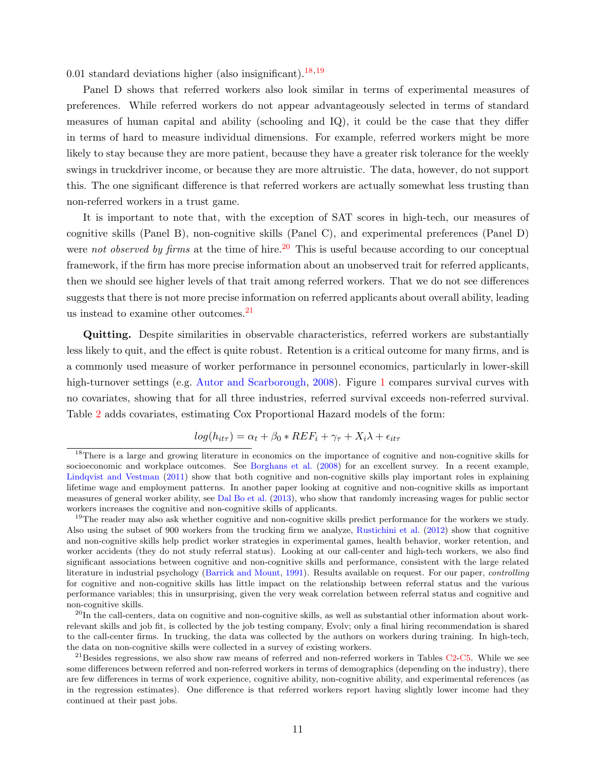0.01 standard deviations higher (also insignificant).<sup>[18](#page-10-0),[19](#page-10-1)</sup>

Panel D shows that referred workers also look similar in terms of experimental measures of preferences. While referred workers do not appear advantageously selected in terms of standard measures of human capital and ability (schooling and IQ), it could be the case that they differ in terms of hard to measure individual dimensions. For example, referred workers might be more likely to stay because they are more patient, because they have a greater risk tolerance for the weekly swings in truckdriver income, or because they are more altruistic. The data, however, do not support this. The one significant difference is that referred workers are actually somewhat less trusting than non-referred workers in a trust game.

It is important to note that, with the exception of SAT scores in high-tech, our measures of cognitive skills (Panel B), non-cognitive skills (Panel C), and experimental preferences (Panel D) were not observed by firms at the time of hire.<sup>[20](#page-10-2)</sup> This is useful because according to our conceptual framework, if the firm has more precise information about an unobserved trait for referred applicants, then we should see higher levels of that trait among referred workers. That we do not see differences suggests that there is not more precise information on referred applicants about overall ability, leading us instead to examine other outcomes.[21](#page-10-3)

Quitting. Despite similarities in observable characteristics, referred workers are substantially less likely to quit, and the effect is quite robust. Retention is a critical outcome for many firms, and is a commonly used measure of worker performance in personnel economics, particularly in lower-skill high-turnover settings (e.g. [Autor and Scarborough,](#page-26-3) [2008\)](#page-26-3). Figure [1](#page-29-0) compares survival curves with no covariates, showing that for all three industries, referred survival exceeds non-referred survival. Table [2](#page-33-0) adds covariates, estimating Cox Proportional Hazard models of the form:

$$
log(h_{it\tau}) = \alpha_t + \beta_0 * REF_i + \gamma_\tau + X_i\lambda + \epsilon_{it\tau}
$$

<span id="page-10-0"></span><sup>&</sup>lt;sup>18</sup>There is a large and growing literature in economics on the importance of cognitive and non-cognitive skills for socioeconomic and workplace outcomes. See [Borghans et al.](#page-27-18) [\(2008\)](#page-27-18) for an excellent survey. In a recent example, [Lindqvist and Vestman](#page-28-16) [\(2011\)](#page-28-16) show that both cognitive and non-cognitive skills play important roles in explaining lifetime wage and employment patterns. In another paper looking at cognitive and non-cognitive skills as important measures of general worker ability, see [Dal Bo et al.](#page-27-19) [\(2013\)](#page-27-19), who show that randomly increasing wages for public sector workers increases the cognitive and non-cognitive skills of applicants.

<span id="page-10-1"></span> $19$ The reader may also ask whether cognitive and non-cognitive skills predict performance for the workers we study. Also using the subset of 900 workers from the trucking firm we analyze, [Rustichini et al.](#page-28-17) [\(2012\)](#page-28-17) show that cognitive and non-cognitive skills help predict worker strategies in experimental games, health behavior, worker retention, and worker accidents (they do not study referral status). Looking at our call-center and high-tech workers, we also find significant associations between cognitive and non-cognitive skills and performance, consistent with the large related literature in industrial psychology [\(Barrick and Mount,](#page-27-20) [1991\)](#page-27-20). Results available on request. For our paper, controlling for cognitive and non-cognitive skills has little impact on the relationship between referral status and the various performance variables; this in unsurprising, given the very weak correlation between referral status and cognitive and non-cognitive skills.

<span id="page-10-2"></span> $^{20}$ In the call-centers, data on cognitive and non-cognitive skills, as well as substantial other information about workrelevant skills and job fit, is collected by the job testing company, Evolv; only a final hiring recommendation is shared to the call-center firms. In trucking, the data was collected by the authors on workers during training. In high-tech, the data on non-cognitive skills were collected in a survey of existing workers.

<span id="page-10-3"></span> $^{21}$ Besides regressions, we also show raw means of referred and non-referred workers in Tables [C2](#page-55-0)[-C5.](#page-57-0) While we see some differences between referred and non-referred workers in terms of demographics (depending on the industry), there are few differences in terms of work experience, cognitive ability, non-cognitive ability, and experimental references (as in the regression estimates). One difference is that referred workers report having slightly lower income had they continued at their past jobs.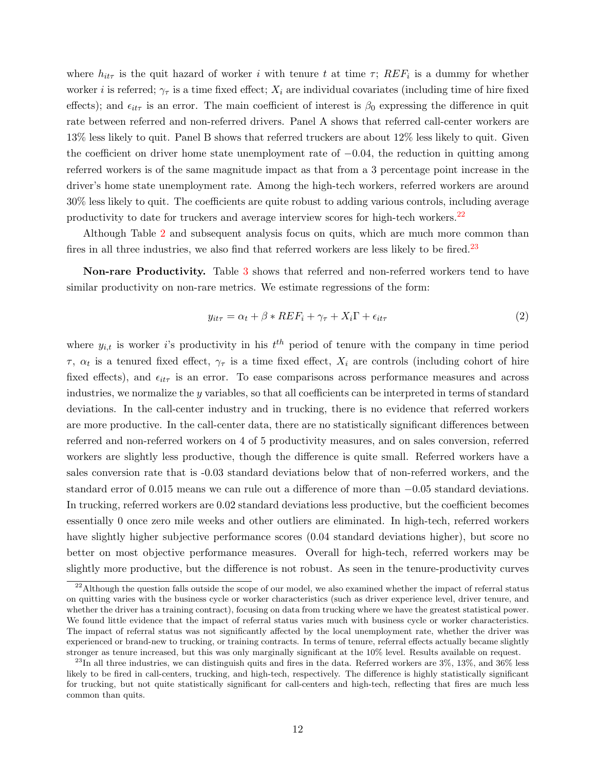where  $h_{it\tau}$  is the quit hazard of worker i with tenure t at time  $\tau$ ;  $REF_i$  is a dummy for whether worker *i* is referred;  $\gamma_{\tau}$  is a time fixed effect;  $X_i$  are individual covariates (including time of hire fixed effects); and  $\epsilon_{it\tau}$  is an error. The main coefficient of interest is  $\beta_0$  expressing the difference in quit rate between referred and non-referred drivers. Panel A shows that referred call-center workers are 13% less likely to quit. Panel B shows that referred truckers are about 12% less likely to quit. Given the coefficient on driver home state unemployment rate of  $-0.04$ , the reduction in quitting among referred workers is of the same magnitude impact as that from a 3 percentage point increase in the driver's home state unemployment rate. Among the high-tech workers, referred workers are around 30% less likely to quit. The coefficients are quite robust to adding various controls, including average productivity to date for truckers and average interview scores for high-tech workers.<sup>[22](#page-11-0)</sup>

Although Table [2](#page-33-0) and subsequent analysis focus on quits, which are much more common than fires in all three industries, we also find that referred workers are less likely to be fired.<sup>[23](#page-11-1)</sup>

Non-rare Productivity. Table [3](#page-34-0) shows that referred and non-referred workers tend to have similar productivity on non-rare metrics. We estimate regressions of the form:

$$
y_{it\tau} = \alpha_t + \beta * REF_i + \gamma_\tau + X_i \Gamma + \epsilon_{it\tau}
$$
\n<sup>(2)</sup>

where  $y_{i,t}$  is worker is productivity in his  $t^{th}$  period of tenure with the company in time period  $\tau$ ,  $\alpha_t$  is a tenured fixed effect,  $\gamma_\tau$  is a time fixed effect,  $X_i$  are controls (including cohort of hire fixed effects), and  $\epsilon_{it\tau}$  is an error. To ease comparisons across performance measures and across industries, we normalize the y variables, so that all coefficients can be interpreted in terms of standard deviations. In the call-center industry and in trucking, there is no evidence that referred workers are more productive. In the call-center data, there are no statistically significant differences between referred and non-referred workers on 4 of 5 productivity measures, and on sales conversion, referred workers are slightly less productive, though the difference is quite small. Referred workers have a sales conversion rate that is -0.03 standard deviations below that of non-referred workers, and the standard error of 0.015 means we can rule out a difference of more than  $-0.05$  standard deviations. In trucking, referred workers are 0.02 standard deviations less productive, but the coefficient becomes essentially 0 once zero mile weeks and other outliers are eliminated. In high-tech, referred workers have slightly higher subjective performance scores (0.04 standard deviations higher), but score no better on most objective performance measures. Overall for high-tech, referred workers may be slightly more productive, but the difference is not robust. As seen in the tenure-productivity curves

<span id="page-11-0"></span><sup>&</sup>lt;sup>22</sup>Although the question falls outside the scope of our model, we also examined whether the impact of referral status on quitting varies with the business cycle or worker characteristics (such as driver experience level, driver tenure, and whether the driver has a training contract), focusing on data from trucking where we have the greatest statistical power. We found little evidence that the impact of referral status varies much with business cycle or worker characteristics. The impact of referral status was not significantly affected by the local unemployment rate, whether the driver was experienced or brand-new to trucking, or training contracts. In terms of tenure, referral effects actually became slightly stronger as tenure increased, but this was only marginally significant at the 10% level. Results available on request.

<span id="page-11-1"></span> $^{23}$ In all three industries, we can distinguish quits and fires in the data. Referred workers are  $3\%$ ,  $13\%$ , and  $36\%$  less likely to be fired in call-centers, trucking, and high-tech, respectively. The difference is highly statistically significant for trucking, but not quite statistically significant for call-centers and high-tech, reflecting that fires are much less common than quits.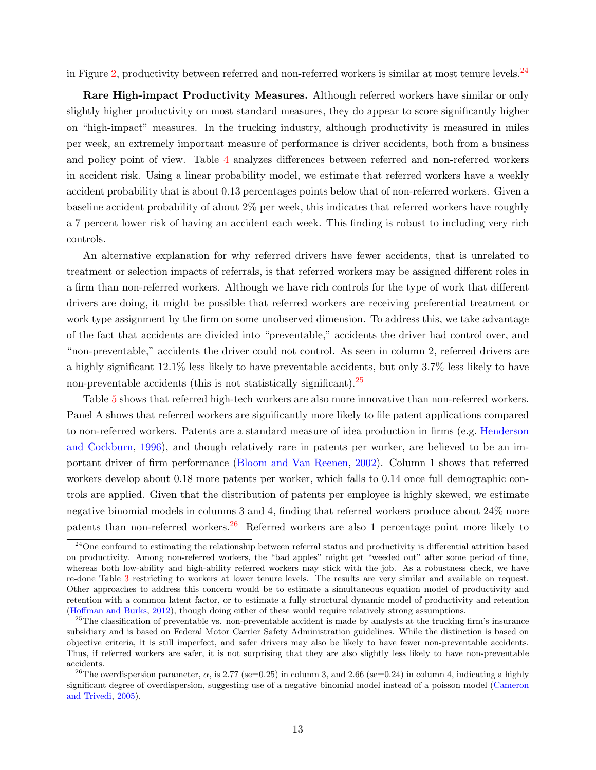in Figure [2,](#page-30-0) productivity between referred and non-referred workers is similar at most tenure levels.<sup>[24](#page-12-0)</sup>

Rare High-impact Productivity Measures. Although referred workers have similar or only slightly higher productivity on most standard measures, they do appear to score significantly higher on "high-impact" measures. In the trucking industry, although productivity is measured in miles per week, an extremely important measure of performance is driver accidents, both from a business and policy point of view. Table [4](#page-35-0) analyzes differences between referred and non-referred workers in accident risk. Using a linear probability model, we estimate that referred workers have a weekly accident probability that is about 0.13 percentages points below that of non-referred workers. Given a baseline accident probability of about 2% per week, this indicates that referred workers have roughly a 7 percent lower risk of having an accident each week. This finding is robust to including very rich controls.

An alternative explanation for why referred drivers have fewer accidents, that is unrelated to treatment or selection impacts of referrals, is that referred workers may be assigned different roles in a firm than non-referred workers. Although we have rich controls for the type of work that different drivers are doing, it might be possible that referred workers are receiving preferential treatment or work type assignment by the firm on some unobserved dimension. To address this, we take advantage of the fact that accidents are divided into "preventable," accidents the driver had control over, and "non-preventable," accidents the driver could not control. As seen in column 2, referred drivers are a highly significant 12.1% less likely to have preventable accidents, but only 3.7% less likely to have non-preventable accidents (this is not statistically significant).  $25$ 

Table [5](#page-35-1) shows that referred high-tech workers are also more innovative than non-referred workers. Panel A shows that referred workers are significantly more likely to file patent applications compared to non-referred workers. Patents are a standard measure of idea production in firms (e.g. [Henderson](#page-27-21) [and Cockburn,](#page-27-21) [1996\)](#page-27-21), and though relatively rare in patents per worker, are believed to be an important driver of firm performance [\(Bloom and Van Reenen,](#page-27-22) [2002\)](#page-27-22). Column 1 shows that referred workers develop about 0.18 more patents per worker, which falls to 0.14 once full demographic controls are applied. Given that the distribution of patents per employee is highly skewed, we estimate negative binomial models in columns 3 and 4, finding that referred workers produce about 24% more patents than non-referred workers.<sup>[26](#page-12-2)</sup> Referred workers are also 1 percentage point more likely to

<span id="page-12-0"></span> $24$ One confound to estimating the relationship between referral status and productivity is differential attrition based on productivity. Among non-referred workers, the "bad apples" might get "weeded out" after some period of time, whereas both low-ability and high-ability referred workers may stick with the job. As a robustness check, we have re-done Table [3](#page-34-0) restricting to workers at lower tenure levels. The results are very similar and available on request. Other approaches to address this concern would be to estimate a simultaneous equation model of productivity and retention with a common latent factor, or to estimate a fully structural dynamic model of productivity and retention [\(Hoffman and Burks,](#page-27-23) [2012\)](#page-27-23), though doing either of these would require relatively strong assumptions.

<span id="page-12-1"></span> $25$ The classification of preventable vs. non-preventable accident is made by analysts at the trucking firm's insurance subsidiary and is based on Federal Motor Carrier Safety Administration guidelines. While the distinction is based on objective criteria, it is still imperfect, and safer drivers may also be likely to have fewer non-preventable accidents. Thus, if referred workers are safer, it is not surprising that they are also slightly less likely to have non-preventable accidents.

<span id="page-12-2"></span><sup>&</sup>lt;sup>26</sup>The overdispersion parameter,  $\alpha$ , is 2.77 (se=0.25) in column 3, and 2.66 (se=0.24) in column 4, indicating a highly significant degree of overdispersion, suggesting use of a negative binomial model instead of a poisson model [\(Cameron](#page-27-24) [and Trivedi,](#page-27-24) [2005\)](#page-27-24).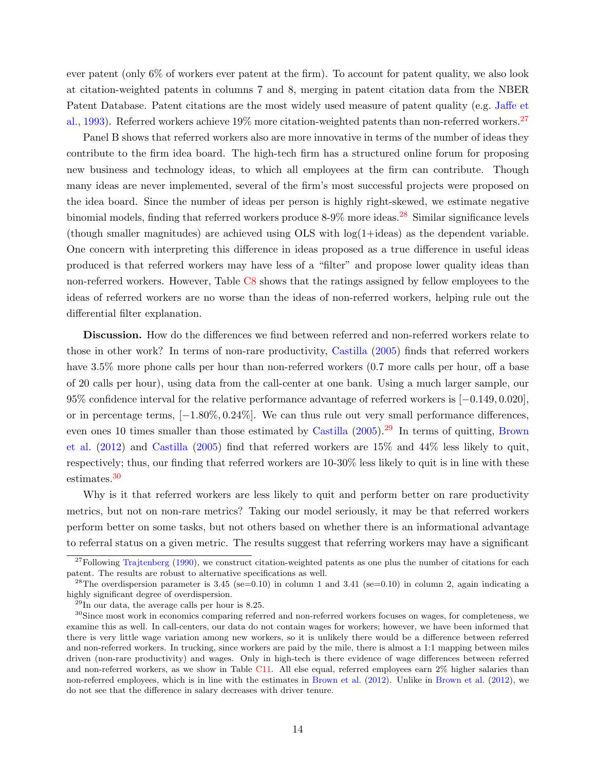ever patent (only 6% of workers ever patent at the firm). To account for patent quality, we also look at citation-weighted patents in columns 7 and 8, merging in patent citation data from the NBER Patent Database. Patent citations are the most widely used measure of patent quality (e.g. [Jaffe et](#page-28-18) [al.,](#page-28-18) [1993\)](#page-28-18). Referred workers achieve 19% more citation-weighted patents than non-referred workers.<sup>[27](#page-13-0)</sup>

Panel B shows that referred workers also are more innovative in terms of the number of ideas they contribute to the firm idea board. The high-tech firm has a structured online forum for proposing new business and technology ideas, to which all employees at the firm can contribute. Though many ideas are never implemented, several of the firm's most successful projects were proposed on the idea board. Since the number of ideas per person is highly right-skewed, we estimate negative binomial models, finding that referred workers produce  $8-9\%$  more ideas.<sup>[28](#page-13-1)</sup> Similar significance levels (though smaller magnitudes) are achieved using OLS with log(1+ideas) as the dependent variable. One concern with interpreting this difference in ideas proposed as a true difference in useful ideas produced is that referred workers may have less of a "filter" and propose lower quality ideas than non-referred workers. However, Table [C8](#page-59-0) shows that the ratings assigned by fellow employees to the ideas of referred workers are no worse than the ideas of non-referred workers, helping rule out the differential filter explanation.

Discussion. How do the differences we find between referred and non-referred workers relate to those in other work? In terms of non-rare productivity, [Castilla](#page-27-3) [\(2005\)](#page-27-3) finds that referred workers have 3.5% more phone calls per hour than non-referred workers (0.7 more calls per hour, off a base of 20 calls per hour), using data from the call-center at one bank. Using a much larger sample, our 95% confidence interval for the relative performance advantage of referred workers is [−0.149, 0.020], or in percentage terms, [−1.80%, 0.24%]. We can thus rule out very small performance differences, even ones 10 times smaller than those estimated by [Castilla](#page-27-3)  $(2005)$ <sup>[29](#page-13-2)</sup> In terms of quitting, [Brown](#page-27-11) [et al.](#page-27-11) [\(2012\)](#page-27-11) and [Castilla](#page-27-3) [\(2005\)](#page-27-3) find that referred workers are 15% and 44% less likely to quit, respectively; thus, our finding that referred workers are 10-30% less likely to quit is in line with these estimates.[30](#page-13-3)

Why is it that referred workers are less likely to quit and perform better on rare productivity metrics, but not on non-rare metrics? Taking our model seriously, it may be that referred workers perform better on some tasks, but not others based on whether there is an informational advantage to referral status on a given metric. The results suggest that referring workers may have a significant

<span id="page-13-0"></span> $27$ Following [Trajtenberg](#page-28-19) [\(1990\)](#page-28-19), we construct citation-weighted patents as one plus the number of citations for each patent. The results are robust to alternative specifications as well.

<span id="page-13-1"></span><sup>&</sup>lt;sup>28</sup>The overdispersion parameter is 3.45 (se=0.10) in column 1 and 3.41 (se=0.10) in column 2, again indicating a highly significant degree of overdispersion.

<span id="page-13-3"></span><span id="page-13-2"></span> $^{29}$ In our data, the average calls per hour is 8.25.

<sup>&</sup>lt;sup>30</sup>Since most work in economics comparing referred and non-referred workers focuses on wages, for completeness, we examine this as well. In call-centers, our data do not contain wages for workers; however, we have been informed that there is very little wage variation among new workers, so it is unlikely there would be a difference between referred and non-referred workers. In trucking, since workers are paid by the mile, there is almost a 1:1 mapping between miles driven (non-rare productivity) and wages. Only in high-tech is there evidence of wage differences between referred and non-referred workers, as we show in Table [C11.](#page-60-0) All else equal, referred employees earn 2% higher salaries than non-referred employees, which is in line with the estimates in [Brown et al.](#page-27-11) [\(2012\)](#page-27-11). Unlike in [Brown et al.](#page-27-11) [\(2012\)](#page-27-11), we do not see that the difference in salary decreases with driver tenure.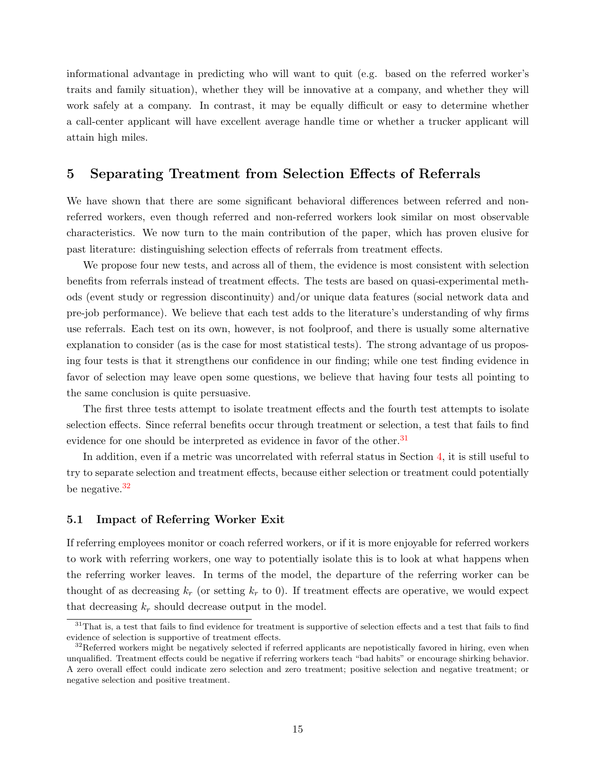informational advantage in predicting who will want to quit (e.g. based on the referred worker's traits and family situation), whether they will be innovative at a company, and whether they will work safely at a company. In contrast, it may be equally difficult or easy to determine whether a call-center applicant will have excellent average handle time or whether a trucker applicant will attain high miles.

## <span id="page-14-0"></span>5 Separating Treatment from Selection Effects of Referrals

We have shown that there are some significant behavioral differences between referred and nonreferred workers, even though referred and non-referred workers look similar on most observable characteristics. We now turn to the main contribution of the paper, which has proven elusive for past literature: distinguishing selection effects of referrals from treatment effects.

We propose four new tests, and across all of them, the evidence is most consistent with selection benefits from referrals instead of treatment effects. The tests are based on quasi-experimental methods (event study or regression discontinuity) and/or unique data features (social network data and pre-job performance). We believe that each test adds to the literature's understanding of why firms use referrals. Each test on its own, however, is not foolproof, and there is usually some alternative explanation to consider (as is the case for most statistical tests). The strong advantage of us proposing four tests is that it strengthens our confidence in our finding; while one test finding evidence in favor of selection may leave open some questions, we believe that having four tests all pointing to the same conclusion is quite persuasive.

The first three tests attempt to isolate treatment effects and the fourth test attempts to isolate selection effects. Since referral benefits occur through treatment or selection, a test that fails to find evidence for one should be interpreted as evidence in favor of the other.<sup>[31](#page-14-1)</sup>

In addition, even if a metric was uncorrelated with referral status in Section [4,](#page-8-0) it is still useful to try to separate selection and treatment effects, because either selection or treatment could potentially be negative.[32](#page-14-2)

#### <span id="page-14-3"></span>5.1 Impact of Referring Worker Exit

If referring employees monitor or coach referred workers, or if it is more enjoyable for referred workers to work with referring workers, one way to potentially isolate this is to look at what happens when the referring worker leaves. In terms of the model, the departure of the referring worker can be thought of as decreasing  $k_r$  (or setting  $k_r$  to 0). If treatment effects are operative, we would expect that decreasing  $k_r$  should decrease output in the model.

<span id="page-14-1"></span><sup>&</sup>lt;sup>31</sup>That is, a test that fails to find evidence for treatment is supportive of selection effects and a test that fails to find evidence of selection is supportive of treatment effects.

<span id="page-14-2"></span> $32$ Referred workers might be negatively selected if referred applicants are nepotistically favored in hiring, even when unqualified. Treatment effects could be negative if referring workers teach "bad habits" or encourage shirking behavior. A zero overall effect could indicate zero selection and zero treatment; positive selection and negative treatment; or negative selection and positive treatment.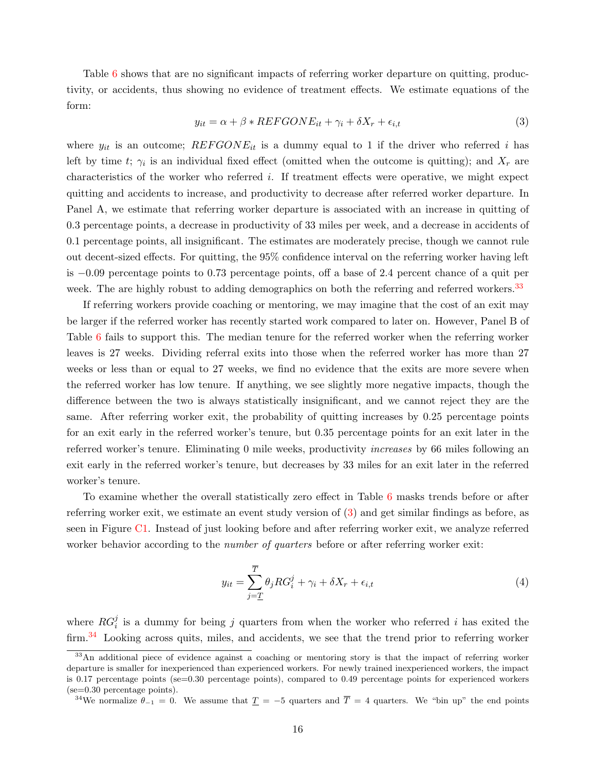Table [6](#page-36-0) shows that are no significant impacts of referring worker departure on quitting, productivity, or accidents, thus showing no evidence of treatment effects. We estimate equations of the form:

<span id="page-15-1"></span>
$$
y_{it} = \alpha + \beta * REFGONE_{it} + \gamma_i + \delta X_r + \epsilon_{i,t}
$$
\n
$$
\tag{3}
$$

where  $y_{it}$  is an outcome;  $REFGONE_{it}$  is a dummy equal to 1 if the driver who referred i has left by time t;  $\gamma_i$  is an individual fixed effect (omitted when the outcome is quitting); and  $X_r$  are characteristics of the worker who referred i. If treatment effects were operative, we might expect quitting and accidents to increase, and productivity to decrease after referred worker departure. In Panel A, we estimate that referring worker departure is associated with an increase in quitting of 0.3 percentage points, a decrease in productivity of 33 miles per week, and a decrease in accidents of 0.1 percentage points, all insignificant. The estimates are moderately precise, though we cannot rule out decent-sized effects. For quitting, the 95% confidence interval on the referring worker having left is −0.09 percentage points to 0.73 percentage points, off a base of 2.4 percent chance of a quit per week. The are highly robust to adding demographics on both the referring and referred workers.<sup>[33](#page-15-0)</sup>

If referring workers provide coaching or mentoring, we may imagine that the cost of an exit may be larger if the referred worker has recently started work compared to later on. However, Panel B of Table [6](#page-36-0) fails to support this. The median tenure for the referred worker when the referring worker leaves is 27 weeks. Dividing referral exits into those when the referred worker has more than 27 weeks or less than or equal to 27 weeks, we find no evidence that the exits are more severe when the referred worker has low tenure. If anything, we see slightly more negative impacts, though the difference between the two is always statistically insignificant, and we cannot reject they are the same. After referring worker exit, the probability of quitting increases by 0.25 percentage points for an exit early in the referred worker's tenure, but 0.35 percentage points for an exit later in the referred worker's tenure. Eliminating 0 mile weeks, productivity increases by 66 miles following an exit early in the referred worker's tenure, but decreases by 33 miles for an exit later in the referred worker's tenure.

To examine whether the overall statistically zero effect in Table [6](#page-36-0) masks trends before or after referring worker exit, we estimate an event study version of [\(3\)](#page-15-1) and get similar findings as before, as seen in Figure [C1.](#page-53-0) Instead of just looking before and after referring worker exit, we analyze referred worker behavior according to the *number of quarters* before or after referring worker exit:

$$
y_{it} = \sum_{j=\underline{T}}^{\overline{T}} \theta_j RG_i^j + \gamma_i + \delta X_r + \epsilon_{i,t}
$$
\n<sup>(4)</sup>

where  $RG_i^j$  is a dummy for being j quarters from when the worker who referred i has exited the firm.<sup>[34](#page-15-2)</sup> Looking across quits, miles, and accidents, we see that the trend prior to referring worker

<span id="page-15-0"></span><sup>&</sup>lt;sup>33</sup>An additional piece of evidence against a coaching or mentoring story is that the impact of referring worker departure is smaller for inexperienced than experienced workers. For newly trained inexperienced workers, the impact is 0.17 percentage points (se=0.30 percentage points), compared to 0.49 percentage points for experienced workers (se=0.30 percentage points).

<span id="page-15-2"></span><sup>&</sup>lt;sup>34</sup>We normalize  $\theta_{-1} = 0$ . We assume that  $\underline{T} = -5$  quarters and  $\overline{T} = 4$  quarters. We "bin up" the end points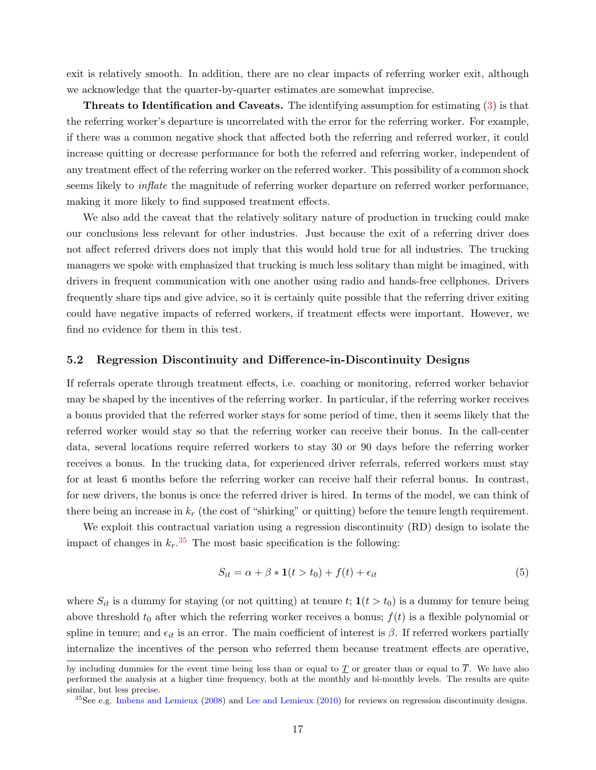exit is relatively smooth. In addition, there are no clear impacts of referring worker exit, although we acknowledge that the quarter-by-quarter estimates are somewhat imprecise.

Threats to Identification and Caveats. The identifying assumption for estimating [\(3\)](#page-15-1) is that the referring worker's departure is uncorrelated with the error for the referring worker. For example, if there was a common negative shock that affected both the referring and referred worker, it could increase quitting or decrease performance for both the referred and referring worker, independent of any treatment effect of the referring worker on the referred worker. This possibility of a common shock seems likely to *inflate* the magnitude of referring worker departure on referred worker performance, making it more likely to find supposed treatment effects.

We also add the caveat that the relatively solitary nature of production in trucking could make our conclusions less relevant for other industries. Just because the exit of a referring driver does not affect referred drivers does not imply that this would hold true for all industries. The trucking managers we spoke with emphasized that trucking is much less solitary than might be imagined, with drivers in frequent communication with one another using radio and hands-free cellphones. Drivers frequently share tips and give advice, so it is certainly quite possible that the referring driver exiting could have negative impacts of referred workers, if treatment effects were important. However, we find no evidence for them in this test.

#### <span id="page-16-1"></span>5.2 Regression Discontinuity and Difference-in-Discontinuity Designs

If referrals operate through treatment effects, i.e. coaching or monitoring, referred worker behavior may be shaped by the incentives of the referring worker. In particular, if the referring worker receives a bonus provided that the referred worker stays for some period of time, then it seems likely that the referred worker would stay so that the referring worker can receive their bonus. In the call-center data, several locations require referred workers to stay 30 or 90 days before the referring worker receives a bonus. In the trucking data, for experienced driver referrals, referred workers must stay for at least 6 months before the referring worker can receive half their referral bonus. In contrast, for new drivers, the bonus is once the referred driver is hired. In terms of the model, we can think of there being an increase in  $k_r$  (the cost of "shirking" or quitting) before the tenure length requirement.

We exploit this contractual variation using a regression discontinuity (RD) design to isolate the impact of changes in  $k_r$ .<sup>[35](#page-16-0)</sup> The most basic specification is the following:

$$
S_{it} = \alpha + \beta * \mathbf{1}(t > t_0) + f(t) + \epsilon_{it}
$$
\n<sup>(5)</sup>

where  $S_{it}$  is a dummy for staying (or not quitting) at tenure  $t$ ;  $\mathbf{1}(t > t_0)$  is a dummy for tenure being above threshold  $t_0$  after which the referring worker receives a bonus;  $f(t)$  is a flexible polynomial or spline in tenure; and  $\epsilon_{it}$  is an error. The main coefficient of interest is  $\beta$ . If referred workers partially internalize the incentives of the person who referred them because treatment effects are operative,

by including dummies for the event time being less than or equal to  $\underline{T}$  or greater than or equal to  $\overline{T}$ . We have also performed the analysis at a higher time frequency, both at the monthly and bi-monthly levels. The results are quite similar, but less precise.

<span id="page-16-0"></span> $35$ See e.g. [Imbens and Lemieux](#page-28-20) [\(2008\)](#page-28-20) and [Lee and Lemieux](#page-28-21) [\(2010\)](#page-28-21) for reviews on regression discontinuity designs.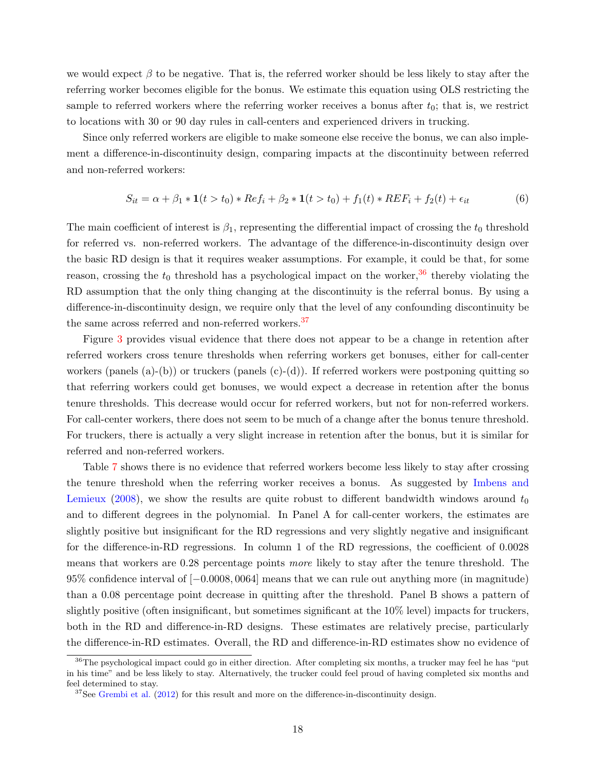we would expect  $\beta$  to be negative. That is, the referred worker should be less likely to stay after the referring worker becomes eligible for the bonus. We estimate this equation using OLS restricting the sample to referred workers where the referring worker receives a bonus after  $t_0$ ; that is, we restrict to locations with 30 or 90 day rules in call-centers and experienced drivers in trucking.

Since only referred workers are eligible to make someone else receive the bonus, we can also implement a difference-in-discontinuity design, comparing impacts at the discontinuity between referred and non-referred workers:

$$
S_{it} = \alpha + \beta_1 * \mathbf{1}(t > t_0) * Ref_i + \beta_2 * \mathbf{1}(t > t_0) + f_1(t) * REF_i + f_2(t) + \epsilon_{it}
$$
(6)

The main coefficient of interest is  $\beta_1$ , representing the differential impact of crossing the  $t_0$  threshold for referred vs. non-referred workers. The advantage of the difference-in-discontinuity design over the basic RD design is that it requires weaker assumptions. For example, it could be that, for some reason, crossing the  $t_0$  threshold has a psychological impact on the worker,  $36$  thereby violating the RD assumption that the only thing changing at the discontinuity is the referral bonus. By using a difference-in-discontinuity design, we require only that the level of any confounding discontinuity be the same across referred and non-referred workers.<sup>[37](#page-17-1)</sup>

Figure [3](#page-31-0) provides visual evidence that there does not appear to be a change in retention after referred workers cross tenure thresholds when referring workers get bonuses, either for call-center workers (panels  $(a)-(b)$ ) or truckers (panels  $(c)-(d)$ ). If referred workers were postponing quitting so that referring workers could get bonuses, we would expect a decrease in retention after the bonus tenure thresholds. This decrease would occur for referred workers, but not for non-referred workers. For call-center workers, there does not seem to be much of a change after the bonus tenure threshold. For truckers, there is actually a very slight increase in retention after the bonus, but it is similar for referred and non-referred workers.

Table [7](#page-37-0) shows there is no evidence that referred workers become less likely to stay after crossing the tenure threshold when the referring worker receives a bonus. As suggested by [Imbens and](#page-28-20) [Lemieux](#page-28-20) [\(2008\)](#page-28-20), we show the results are quite robust to different bandwidth windows around  $t_0$ and to different degrees in the polynomial. In Panel A for call-center workers, the estimates are slightly positive but insignificant for the RD regressions and very slightly negative and insignificant for the difference-in-RD regressions. In column 1 of the RD regressions, the coefficient of 0.0028 means that workers are 0.28 percentage points more likely to stay after the tenure threshold. The 95% confidence interval of [−0.0008, 0064] means that we can rule out anything more (in magnitude) than a 0.08 percentage point decrease in quitting after the threshold. Panel B shows a pattern of slightly positive (often insignificant, but sometimes significant at the 10% level) impacts for truckers, both in the RD and difference-in-RD designs. These estimates are relatively precise, particularly the difference-in-RD estimates. Overall, the RD and difference-in-RD estimates show no evidence of

<span id="page-17-0"></span><sup>&</sup>lt;sup>36</sup>The psychological impact could go in either direction. After completing six months, a trucker may feel he has "put in his time" and be less likely to stay. Alternatively, the trucker could feel proud of having completed six months and feel determined to stay.

<span id="page-17-1"></span> $37$ See [Grembi et al.](#page-27-25)  $(2012)$  for this result and more on the difference-in-discontinuity design.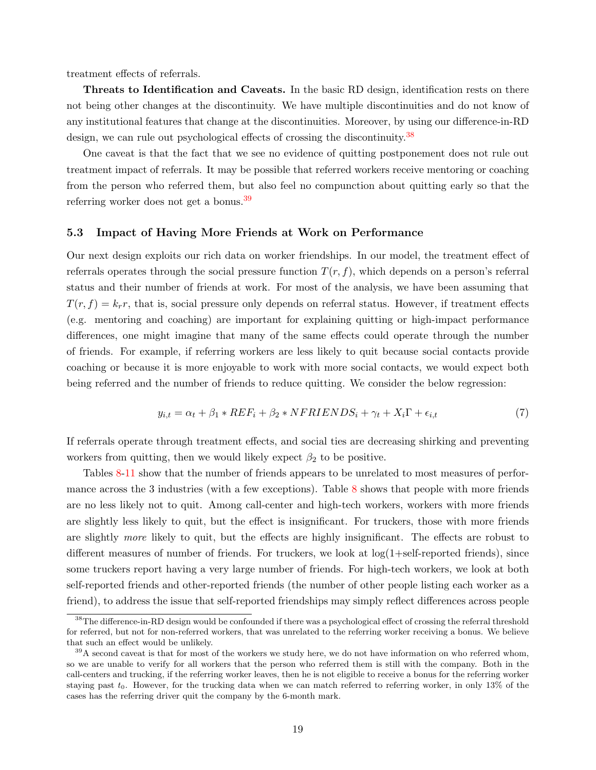treatment effects of referrals.

Threats to Identification and Caveats. In the basic RD design, identification rests on there not being other changes at the discontinuity. We have multiple discontinuities and do not know of any institutional features that change at the discontinuities. Moreover, by using our difference-in-RD design, we can rule out psychological effects of crossing the discontinuity.<sup>[38](#page-18-1)</sup>

One caveat is that the fact that we see no evidence of quitting postponement does not rule out treatment impact of referrals. It may be possible that referred workers receive mentoring or coaching from the person who referred them, but also feel no compunction about quitting early so that the referring worker does not get a bonus.[39](#page-18-2)

#### <span id="page-18-0"></span>5.3 Impact of Having More Friends at Work on Performance

Our next design exploits our rich data on worker friendships. In our model, the treatment effect of referrals operates through the social pressure function  $T(r, f)$ , which depends on a person's referral status and their number of friends at work. For most of the analysis, we have been assuming that  $T(r, f) = k_r r$ , that is, social pressure only depends on referral status. However, if treatment effects (e.g. mentoring and coaching) are important for explaining quitting or high-impact performance differences, one might imagine that many of the same effects could operate through the number of friends. For example, if referring workers are less likely to quit because social contacts provide coaching or because it is more enjoyable to work with more social contacts, we would expect both being referred and the number of friends to reduce quitting. We consider the below regression:

<span id="page-18-3"></span>
$$
y_{i,t} = \alpha_t + \beta_1 * REF_i + \beta_2 * NFRIENDS_i + \gamma_t + X_i\Gamma + \epsilon_{i,t}
$$
\n<sup>(7)</sup>

If referrals operate through treatment effects, and social ties are decreasing shirking and preventing workers from quitting, then we would likely expect  $\beta_2$  to be positive.

Tables [8](#page-38-0)[-11](#page-41-0) show that the number of friends appears to be unrelated to most measures of perfor-mance across the 3 industries (with a few exceptions). Table [8](#page-38-0) shows that people with more friends are no less likely not to quit. Among call-center and high-tech workers, workers with more friends are slightly less likely to quit, but the effect is insignificant. For truckers, those with more friends are slightly more likely to quit, but the effects are highly insignificant. The effects are robust to different measures of number of friends. For truckers, we look at  $log(1+self-reported$  friends), since some truckers report having a very large number of friends. For high-tech workers, we look at both self-reported friends and other-reported friends (the number of other people listing each worker as a friend), to address the issue that self-reported friendships may simply reflect differences across people

<span id="page-18-1"></span><sup>&</sup>lt;sup>38</sup>The difference-in-RD design would be confounded if there was a psychological effect of crossing the referral threshold for referred, but not for non-referred workers, that was unrelated to the referring worker receiving a bonus. We believe that such an effect would be unlikely.

<span id="page-18-2"></span> $39A$  second caveat is that for most of the workers we study here, we do not have information on who referred whom, so we are unable to verify for all workers that the person who referred them is still with the company. Both in the call-centers and trucking, if the referring worker leaves, then he is not eligible to receive a bonus for the referring worker staying past  $t_0$ . However, for the trucking data when we can match referred to referring worker, in only 13% of the cases has the referring driver quit the company by the 6-month mark.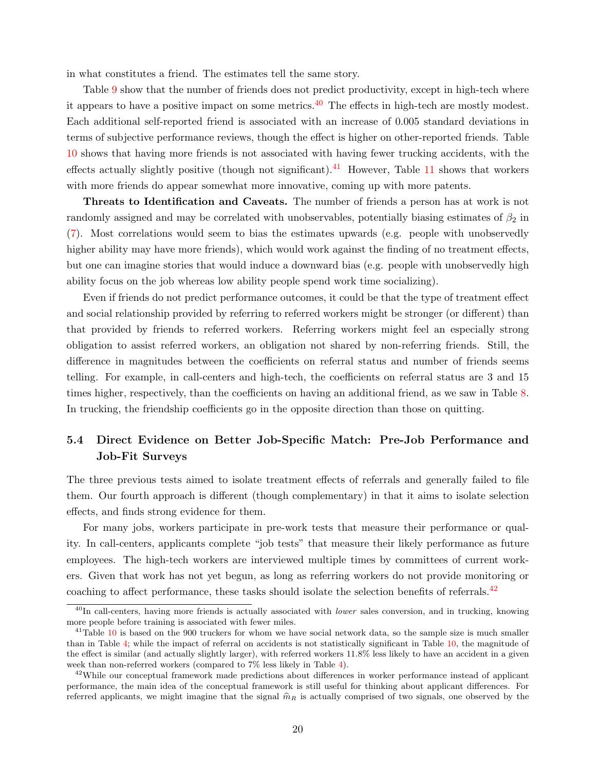in what constitutes a friend. The estimates tell the same story.

Table [9](#page-39-0) show that the number of friends does not predict productivity, except in high-tech where it appears to have a positive impact on some metrics.  $40$  The effects in high-tech are mostly modest. Each additional self-reported friend is associated with an increase of 0.005 standard deviations in terms of subjective performance reviews, though the effect is higher on other-reported friends. Table [10](#page-40-0) shows that having more friends is not associated with having fewer trucking accidents, with the effects actually slightly positive (though not significant).<sup>[41](#page-19-1)</sup> However, Table [11](#page-41-0) shows that workers with more friends do appear somewhat more innovative, coming up with more patents.

Threats to Identification and Caveats. The number of friends a person has at work is not randomly assigned and may be correlated with unobservables, potentially biasing estimates of  $\beta_2$  in [\(7\)](#page-18-3). Most correlations would seem to bias the estimates upwards (e.g. people with unobservedly higher ability may have more friends), which would work against the finding of no treatment effects, but one can imagine stories that would induce a downward bias (e.g. people with unobservedly high ability focus on the job whereas low ability people spend work time socializing).

Even if friends do not predict performance outcomes, it could be that the type of treatment effect and social relationship provided by referring to referred workers might be stronger (or different) than that provided by friends to referred workers. Referring workers might feel an especially strong obligation to assist referred workers, an obligation not shared by non-referring friends. Still, the difference in magnitudes between the coefficients on referral status and number of friends seems telling. For example, in call-centers and high-tech, the coefficients on referral status are 3 and 15 times higher, respectively, than the coefficients on having an additional friend, as we saw in Table [8.](#page-38-0) In trucking, the friendship coefficients go in the opposite direction than those on quitting.

## <span id="page-19-3"></span>5.4 Direct Evidence on Better Job-Specific Match: Pre-Job Performance and Job-Fit Surveys

The three previous tests aimed to isolate treatment effects of referrals and generally failed to file them. Our fourth approach is different (though complementary) in that it aims to isolate selection effects, and finds strong evidence for them.

For many jobs, workers participate in pre-work tests that measure their performance or quality. In call-centers, applicants complete "job tests" that measure their likely performance as future employees. The high-tech workers are interviewed multiple times by committees of current workers. Given that work has not yet begun, as long as referring workers do not provide monitoring or coaching to affect performance, these tasks should isolate the selection benefits of referrals.<sup>[42](#page-19-2)</sup>

<span id="page-19-0"></span> $^{40}$ In call-centers, having more friends is actually associated with *lower* sales conversion, and in trucking, knowing more people before training is associated with fewer miles.

<span id="page-19-1"></span> $^{41}$ Table [10](#page-40-0) is based on the 900 truckers for whom we have social network data, so the sample size is much smaller than in Table [4;](#page-35-0) while the impact of referral on accidents is not statistically significant in Table [10,](#page-40-0) the magnitude of the effect is similar (and actually slightly larger), with referred workers 11.8% less likely to have an accident in a given week than non-referred workers (compared to 7% less likely in Table [4\)](#page-35-0).

<span id="page-19-2"></span><sup>&</sup>lt;sup>42</sup>While our conceptual framework made predictions about differences in worker performance instead of applicant performance, the main idea of the conceptual framework is still useful for thinking about applicant differences. For referred applicants, we might imagine that the signal  $\widehat{m}_R$  is actually comprised of two signals, one observed by the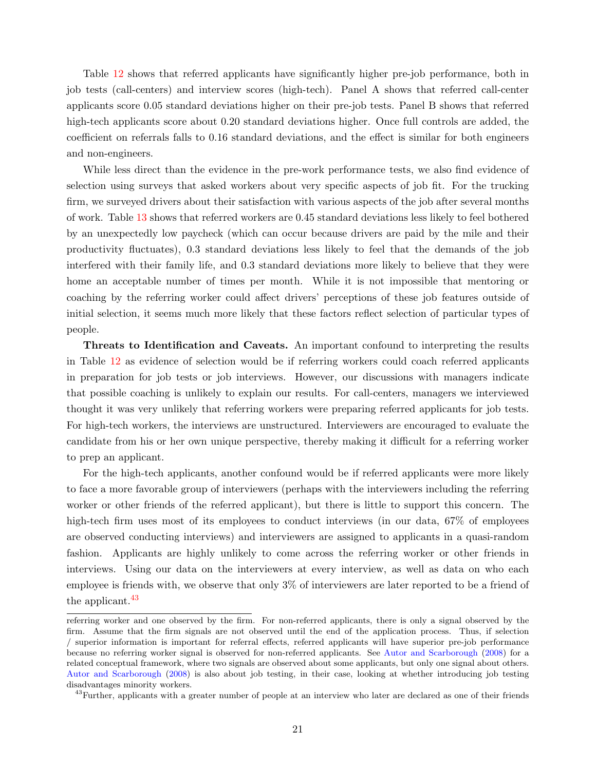Table [12](#page-42-0) shows that referred applicants have significantly higher pre-job performance, both in job tests (call-centers) and interview scores (high-tech). Panel A shows that referred call-center applicants score 0.05 standard deviations higher on their pre-job tests. Panel B shows that referred high-tech applicants score about 0.20 standard deviations higher. Once full controls are added, the coefficient on referrals falls to 0.16 standard deviations, and the effect is similar for both engineers and non-engineers.

While less direct than the evidence in the pre-work performance tests, we also find evidence of selection using surveys that asked workers about very specific aspects of job fit. For the trucking firm, we surveyed drivers about their satisfaction with various aspects of the job after several months of work. Table [13](#page-43-0) shows that referred workers are 0.45 standard deviations less likely to feel bothered by an unexpectedly low paycheck (which can occur because drivers are paid by the mile and their productivity fluctuates), 0.3 standard deviations less likely to feel that the demands of the job interfered with their family life, and 0.3 standard deviations more likely to believe that they were home an acceptable number of times per month. While it is not impossible that mentoring or coaching by the referring worker could affect drivers' perceptions of these job features outside of initial selection, it seems much more likely that these factors reflect selection of particular types of people.

Threats to Identification and Caveats. An important confound to interpreting the results in Table [12](#page-42-0) as evidence of selection would be if referring workers could coach referred applicants in preparation for job tests or job interviews. However, our discussions with managers indicate that possible coaching is unlikely to explain our results. For call-centers, managers we interviewed thought it was very unlikely that referring workers were preparing referred applicants for job tests. For high-tech workers, the interviews are unstructured. Interviewers are encouraged to evaluate the candidate from his or her own unique perspective, thereby making it difficult for a referring worker to prep an applicant.

For the high-tech applicants, another confound would be if referred applicants were more likely to face a more favorable group of interviewers (perhaps with the interviewers including the referring worker or other friends of the referred applicant), but there is little to support this concern. The high-tech firm uses most of its employees to conduct interviews (in our data,  $67\%$  of employees are observed conducting interviews) and interviewers are assigned to applicants in a quasi-random fashion. Applicants are highly unlikely to come across the referring worker or other friends in interviews. Using our data on the interviewers at every interview, as well as data on who each employee is friends with, we observe that only 3% of interviewers are later reported to be a friend of the applicant.<sup>[43](#page-20-0)</sup>

referring worker and one observed by the firm. For non-referred applicants, there is only a signal observed by the firm. Assume that the firm signals are not observed until the end of the application process. Thus, if selection / superior information is important for referral effects, referred applicants will have superior pre-job performance because no referring worker signal is observed for non-referred applicants. See [Autor and Scarborough](#page-26-3) [\(2008\)](#page-26-3) for a related conceptual framework, where two signals are observed about some applicants, but only one signal about others. [Autor and Scarborough](#page-26-3) [\(2008\)](#page-26-3) is also about job testing, in their case, looking at whether introducing job testing disadvantages minority workers.

<span id="page-20-0"></span><sup>&</sup>lt;sup>43</sup>Further, applicants with a greater number of people at an interview who later are declared as one of their friends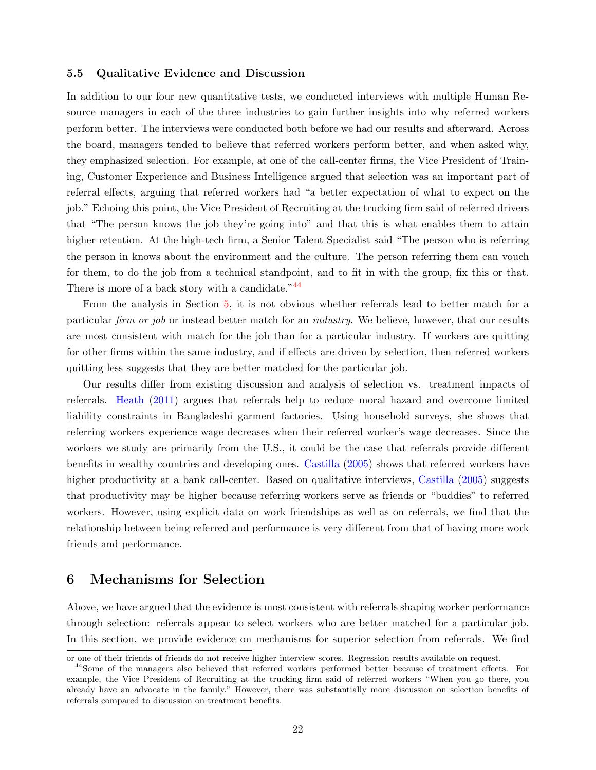#### 5.5 Qualitative Evidence and Discussion

In addition to our four new quantitative tests, we conducted interviews with multiple Human Resource managers in each of the three industries to gain further insights into why referred workers perform better. The interviews were conducted both before we had our results and afterward. Across the board, managers tended to believe that referred workers perform better, and when asked why, they emphasized selection. For example, at one of the call-center firms, the Vice President of Training, Customer Experience and Business Intelligence argued that selection was an important part of referral effects, arguing that referred workers had "a better expectation of what to expect on the job." Echoing this point, the Vice President of Recruiting at the trucking firm said of referred drivers that "The person knows the job they're going into" and that this is what enables them to attain higher retention. At the high-tech firm, a Senior Talent Specialist said "The person who is referring the person in knows about the environment and the culture. The person referring them can vouch for them, to do the job from a technical standpoint, and to fit in with the group, fix this or that. There is more of a back story with a candidate."<sup>[44](#page-21-1)</sup>

From the analysis in Section [5,](#page-14-0) it is not obvious whether referrals lead to better match for a particular firm or job or instead better match for an industry. We believe, however, that our results are most consistent with match for the job than for a particular industry. If workers are quitting for other firms within the same industry, and if effects are driven by selection, then referred workers quitting less suggests that they are better matched for the particular job.

Our results differ from existing discussion and analysis of selection vs. treatment impacts of referrals. [Heath](#page-27-12) [\(2011\)](#page-27-12) argues that referrals help to reduce moral hazard and overcome limited liability constraints in Bangladeshi garment factories. Using household surveys, she shows that referring workers experience wage decreases when their referred worker's wage decreases. Since the workers we study are primarily from the U.S., it could be the case that referrals provide different benefits in wealthy countries and developing ones. [Castilla](#page-27-3) [\(2005\)](#page-27-3) shows that referred workers have higher productivity at a bank call-center. Based on qualitative interviews, [Castilla](#page-27-3) [\(2005\)](#page-27-3) suggests that productivity may be higher because referring workers serve as friends or "buddies" to referred workers. However, using explicit data on work friendships as well as on referrals, we find that the relationship between being referred and performance is very different from that of having more work friends and performance.

## <span id="page-21-0"></span>6 Mechanisms for Selection

Above, we have argued that the evidence is most consistent with referrals shaping worker performance through selection: referrals appear to select workers who are better matched for a particular job. In this section, we provide evidence on mechanisms for superior selection from referrals. We find

or one of their friends of friends do not receive higher interview scores. Regression results available on request.

<span id="page-21-1"></span><sup>44</sup>Some of the managers also believed that referred workers performed better because of treatment effects. For example, the Vice President of Recruiting at the trucking firm said of referred workers "When you go there, you already have an advocate in the family." However, there was substantially more discussion on selection benefits of referrals compared to discussion on treatment benefits.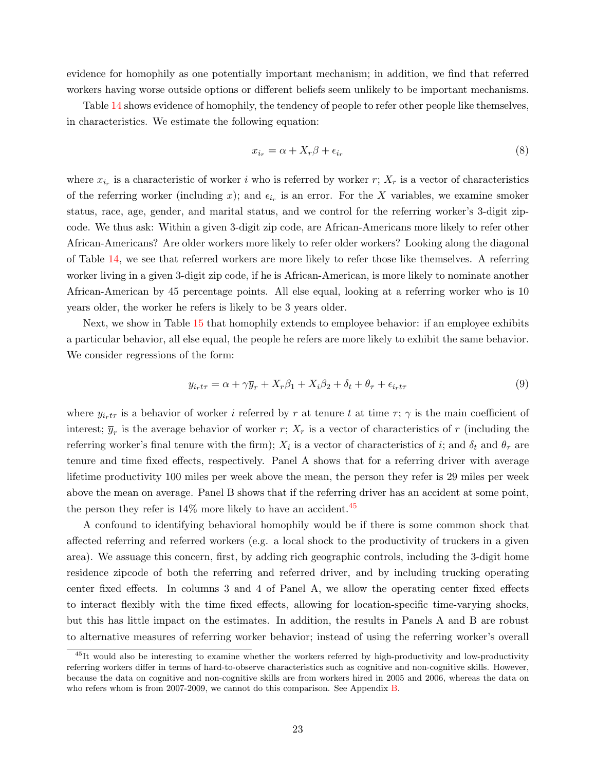evidence for homophily as one potentially important mechanism; in addition, we find that referred workers having worse outside options or different beliefs seem unlikely to be important mechanisms.

Table [14](#page-43-1) shows evidence of homophily, the tendency of people to refer other people like themselves, in characteristics. We estimate the following equation:

$$
x_{i_r} = \alpha + X_r \beta + \epsilon_{i_r} \tag{8}
$$

where  $x_{i_r}$  is a characteristic of worker i who is referred by worker r;  $X_r$  is a vector of characteristics of the referring worker (including x); and  $\epsilon_{i_r}$  is an error. For the X variables, we examine smoker status, race, age, gender, and marital status, and we control for the referring worker's 3-digit zipcode. We thus ask: Within a given 3-digit zip code, are African-Americans more likely to refer other African-Americans? Are older workers more likely to refer older workers? Looking along the diagonal of Table [14,](#page-43-1) we see that referred workers are more likely to refer those like themselves. A referring worker living in a given 3-digit zip code, if he is African-American, is more likely to nominate another African-American by 45 percentage points. All else equal, looking at a referring worker who is 10 years older, the worker he refers is likely to be 3 years older.

Next, we show in Table [15](#page-44-0) that homophily extends to employee behavior: if an employee exhibits a particular behavior, all else equal, the people he refers are more likely to exhibit the same behavior. We consider regressions of the form:

$$
y_{i_r t\tau} = \alpha + \gamma \overline{y}_r + X_r \beta_1 + X_i \beta_2 + \delta_t + \theta_\tau + \epsilon_{i_r t\tau}
$$
\n
$$
\tag{9}
$$

where  $y_{irt\tau}$  is a behavior of worker i referred by r at tenure t at time  $\tau$ ;  $\gamma$  is the main coefficient of interest;  $\overline{y}_r$  is the average behavior of worker r;  $X_r$  is a vector of characteristics of r (including the referring worker's final tenure with the firm);  $X_i$  is a vector of characteristics of i; and  $\delta_t$  and  $\theta_\tau$  are tenure and time fixed effects, respectively. Panel A shows that for a referring driver with average lifetime productivity 100 miles per week above the mean, the person they refer is 29 miles per week above the mean on average. Panel B shows that if the referring driver has an accident at some point, the person they refer is  $14\%$  more likely to have an accident.<sup>[45](#page-22-0)</sup>

A confound to identifying behavioral homophily would be if there is some common shock that affected referring and referred workers (e.g. a local shock to the productivity of truckers in a given area). We assuage this concern, first, by adding rich geographic controls, including the 3-digit home residence zipcode of both the referring and referred driver, and by including trucking operating center fixed effects. In columns 3 and 4 of Panel A, we allow the operating center fixed effects to interact flexibly with the time fixed effects, allowing for location-specific time-varying shocks, but this has little impact on the estimates. In addition, the results in Panels A and B are robust to alternative measures of referring worker behavior; instead of using the referring worker's overall

<span id="page-22-0"></span><sup>&</sup>lt;sup>45</sup>It would also be interesting to examine whether the workers referred by high-productivity and low-productivity referring workers differ in terms of hard-to-observe characteristics such as cognitive and non-cognitive skills. However, because the data on cognitive and non-cognitive skills are from workers hired in 2005 and 2006, whereas the data on who refers whom is from 2007-2009, we cannot do this comparison. See Appendix [B.](#page-47-0)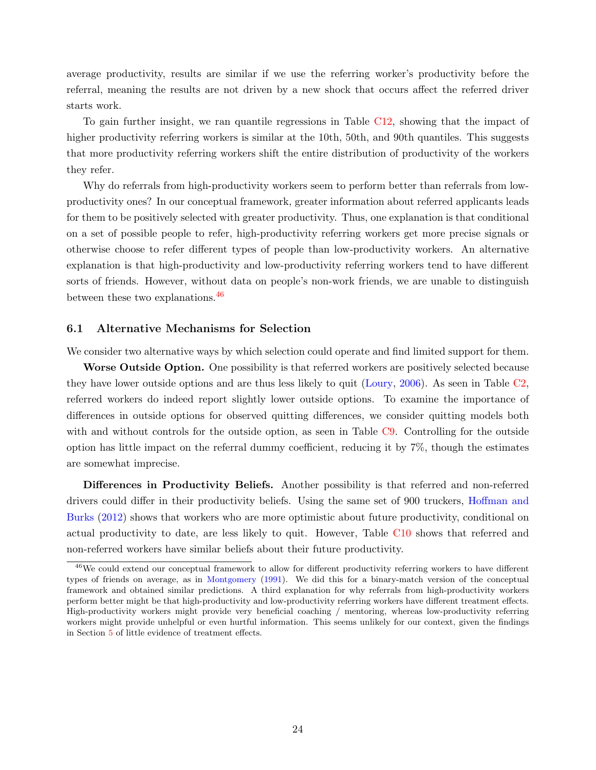average productivity, results are similar if we use the referring worker's productivity before the referral, meaning the results are not driven by a new shock that occurs affect the referred driver starts work.

To gain further insight, we ran quantile regressions in Table [C12,](#page-61-0) showing that the impact of higher productivity referring workers is similar at the 10th, 50th, and 90th quantiles. This suggests that more productivity referring workers shift the entire distribution of productivity of the workers they refer.

Why do referrals from high-productivity workers seem to perform better than referrals from lowproductivity ones? In our conceptual framework, greater information about referred applicants leads for them to be positively selected with greater productivity. Thus, one explanation is that conditional on a set of possible people to refer, high-productivity referring workers get more precise signals or otherwise choose to refer different types of people than low-productivity workers. An alternative explanation is that high-productivity and low-productivity referring workers tend to have different sorts of friends. However, without data on people's non-work friends, we are unable to distinguish between these two explanations.<sup>[46](#page-23-0)</sup>

#### 6.1 Alternative Mechanisms for Selection

We consider two alternative ways by which selection could operate and find limited support for them.

Worse Outside Option. One possibility is that referred workers are positively selected because they have lower outside options and are thus less likely to quit [\(Loury,](#page-28-22) [2006\)](#page-28-22). As seen in Table [C2,](#page-55-0) referred workers do indeed report slightly lower outside options. To examine the importance of differences in outside options for observed quitting differences, we consider quitting models both with and without controls for the outside option, as seen in Table [C9.](#page-59-1) Controlling for the outside option has little impact on the referral dummy coefficient, reducing it by 7%, though the estimates are somewhat imprecise.

Differences in Productivity Beliefs. Another possibility is that referred and non-referred drivers could differ in their productivity beliefs. Using the same set of 900 truckers, [Hoffman and](#page-27-23) [Burks](#page-27-23) [\(2012\)](#page-27-23) shows that workers who are more optimistic about future productivity, conditional on actual productivity to date, are less likely to quit. However, Table [C10](#page-60-1) shows that referred and non-referred workers have similar beliefs about their future productivity.

<span id="page-23-0"></span><sup>46</sup>We could extend our conceptual framework to allow for different productivity referring workers to have different types of friends on average, as in [Montgomery](#page-28-4) [\(1991\)](#page-28-4). We did this for a binary-match version of the conceptual framework and obtained similar predictions. A third explanation for why referrals from high-productivity workers perform better might be that high-productivity and low-productivity referring workers have different treatment effects. High-productivity workers might provide very beneficial coaching / mentoring, whereas low-productivity referring workers might provide unhelpful or even hurtful information. This seems unlikely for our context, given the findings in Section [5](#page-14-0) of little evidence of treatment effects.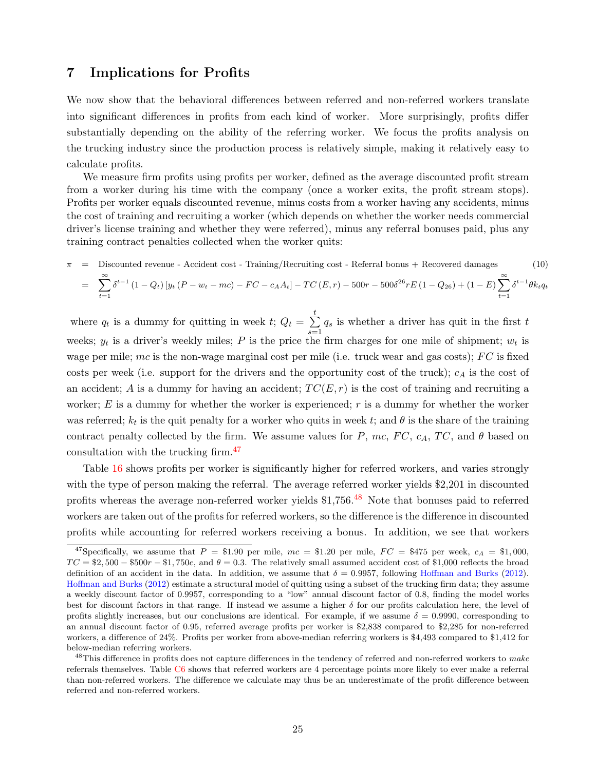## <span id="page-24-0"></span>7 Implications for Profits

We now show that the behavioral differences between referred and non-referred workers translate into significant differences in profits from each kind of worker. More surprisingly, profits differ substantially depending on the ability of the referring worker. We focus the profits analysis on the trucking industry since the production process is relatively simple, making it relatively easy to calculate profits.

We measure firm profits using profits per worker, defined as the average discounted profit stream from a worker during his time with the company (once a worker exits, the profit stream stops). Profits per worker equals discounted revenue, minus costs from a worker having any accidents, minus the cost of training and recruiting a worker (which depends on whether the worker needs commercial driver's license training and whether they were referred), minus any referral bonuses paid, plus any training contract penalties collected when the worker quits:

<span id="page-24-3"></span>
$$
\pi = \text{Discounted revenue - Accident cost - Training/Recriting cost - Referral bonus + Recovered damages} \qquad (10)
$$
\n
$$
= \sum_{t=1}^{\infty} \delta^{t-1} \left(1 - Q_t\right) \left[y_t \left(P - w_t - mc\right) - FC - c_A A_t\right] - TC\left(E, r\right) - 500r - 500\delta^{26} rE\left(1 - Q_{26}\right) + \left(1 - E\right) \sum_{t=1}^{\infty} \delta^{t-1} \theta k_t q_t
$$

where  $q_t$  is a dummy for quitting in week  $t$ ;  $Q_t = \sum_{i=1}^{t}$  $s=1$  $q_s$  is whether a driver has quit in the first  $t$ weeks;  $y_t$  is a driver's weekly miles; P is the price the firm charges for one mile of shipment;  $w_t$  is wage per mile; mc is the non-wage marginal cost per mile (i.e. truck wear and gas costs);  $FC$  is fixed costs per week (i.e. support for the drivers and the opportunity cost of the truck);  $c_A$  is the cost of an accident; A is a dummy for having an accident;  $TC(E, r)$  is the cost of training and recruiting a worker;  $E$  is a dummy for whether the worker is experienced;  $r$  is a dummy for whether the worker was referred;  $k_t$  is the quit penalty for a worker who quits in week t; and  $\theta$  is the share of the training contract penalty collected by the firm. We assume values for P, mc, FC,  $c_A$ , TC, and  $\theta$  based on consultation with the trucking firm.[47](#page-24-1)

Table [16](#page-44-1) shows profits per worker is significantly higher for referred workers, and varies strongly with the type of person making the referral. The average referred worker yields \$2,201 in discounted profits whereas the average non-referred worker yields \$1,756.<sup>[48](#page-24-2)</sup> Note that bonuses paid to referred workers are taken out of the profits for referred workers, so the difference is the difference in discounted profits while accounting for referred workers receiving a bonus. In addition, we see that workers

<span id="page-24-1"></span><sup>&</sup>lt;sup>47</sup>Specifically, we assume that  $P = \$1.90$  per mile,  $mc = \$1.20$  per mile,  $FC = \$475$  per week,  $c_A = \$1,000$ ,  $TC = $2,500 - $500r - $1,750e$ , and  $\theta = 0.3$ . The relatively small assumed accident cost of \$1,000 reflects the broad definition of an accident in the data. In addition, we assume that  $\delta = 0.9957$ , following [Hoffman and Burks](#page-27-23) [\(2012\)](#page-27-23). [Hoffman and Burks](#page-27-23) [\(2012\)](#page-27-23) estimate a structural model of quitting using a subset of the trucking firm data; they assume a weekly discount factor of 0.9957, corresponding to a "low" annual discount factor of 0.8, finding the model works best for discount factors in that range. If instead we assume a higher  $\delta$  for our profits calculation here, the level of profits slightly increases, but our conclusions are identical. For example, if we assume  $\delta = 0.9990$ , corresponding to an annual discount factor of 0.95, referred average profits per worker is \$2,838 compared to \$2,285 for non-referred workers, a difference of 24%. Profits per worker from above-median referring workers is \$4,493 compared to \$1,412 for below-median referring workers.

<span id="page-24-2"></span> $^{48}$ This difference in profits does not capture differences in the tendency of referred and non-referred workers to make referrals themselves. Table [C6](#page-57-1) shows that referred workers are 4 percentage points more likely to ever make a referral than non-referred workers. The difference we calculate may thus be an underestimate of the profit difference between referred and non-referred workers.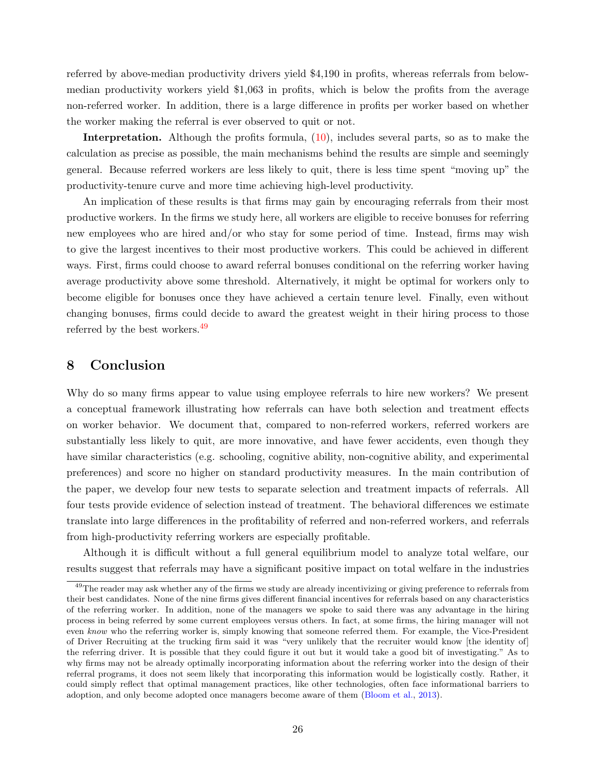referred by above-median productivity drivers yield \$4,190 in profits, whereas referrals from belowmedian productivity workers yield \$1,063 in profits, which is below the profits from the average non-referred worker. In addition, there is a large difference in profits per worker based on whether the worker making the referral is ever observed to quit or not.

Interpretation. Although the profits formula, [\(10\)](#page-24-3), includes several parts, so as to make the calculation as precise as possible, the main mechanisms behind the results are simple and seemingly general. Because referred workers are less likely to quit, there is less time spent "moving up" the productivity-tenure curve and more time achieving high-level productivity.

An implication of these results is that firms may gain by encouraging referrals from their most productive workers. In the firms we study here, all workers are eligible to receive bonuses for referring new employees who are hired and/or who stay for some period of time. Instead, firms may wish to give the largest incentives to their most productive workers. This could be achieved in different ways. First, firms could choose to award referral bonuses conditional on the referring worker having average productivity above some threshold. Alternatively, it might be optimal for workers only to become eligible for bonuses once they have achieved a certain tenure level. Finally, even without changing bonuses, firms could decide to award the greatest weight in their hiring process to those referred by the best workers.<sup>[49](#page-25-1)</sup>

## <span id="page-25-0"></span>8 Conclusion

Why do so many firms appear to value using employee referrals to hire new workers? We present a conceptual framework illustrating how referrals can have both selection and treatment effects on worker behavior. We document that, compared to non-referred workers, referred workers are substantially less likely to quit, are more innovative, and have fewer accidents, even though they have similar characteristics (e.g. schooling, cognitive ability, non-cognitive ability, and experimental preferences) and score no higher on standard productivity measures. In the main contribution of the paper, we develop four new tests to separate selection and treatment impacts of referrals. All four tests provide evidence of selection instead of treatment. The behavioral differences we estimate translate into large differences in the profitability of referred and non-referred workers, and referrals from high-productivity referring workers are especially profitable.

Although it is difficult without a full general equilibrium model to analyze total welfare, our results suggest that referrals may have a significant positive impact on total welfare in the industries

<span id="page-25-1"></span><sup>&</sup>lt;sup>49</sup>The reader may ask whether any of the firms we study are already incentivizing or giving preference to referrals from their best candidates. None of the nine firms gives different financial incentives for referrals based on any characteristics of the referring worker. In addition, none of the managers we spoke to said there was any advantage in the hiring process in being referred by some current employees versus others. In fact, at some firms, the hiring manager will not even know who the referring worker is, simply knowing that someone referred them. For example, the Vice-President of Driver Recruiting at the trucking firm said it was "very unlikely that the recruiter would know [the identity of] the referring driver. It is possible that they could figure it out but it would take a good bit of investigating." As to why firms may not be already optimally incorporating information about the referring worker into the design of their referral programs, it does not seem likely that incorporating this information would be logistically costly. Rather, it could simply reflect that optimal management practices, like other technologies, often face informational barriers to adoption, and only become adopted once managers become aware of them [\(Bloom et al.,](#page-27-26) [2013\)](#page-27-26).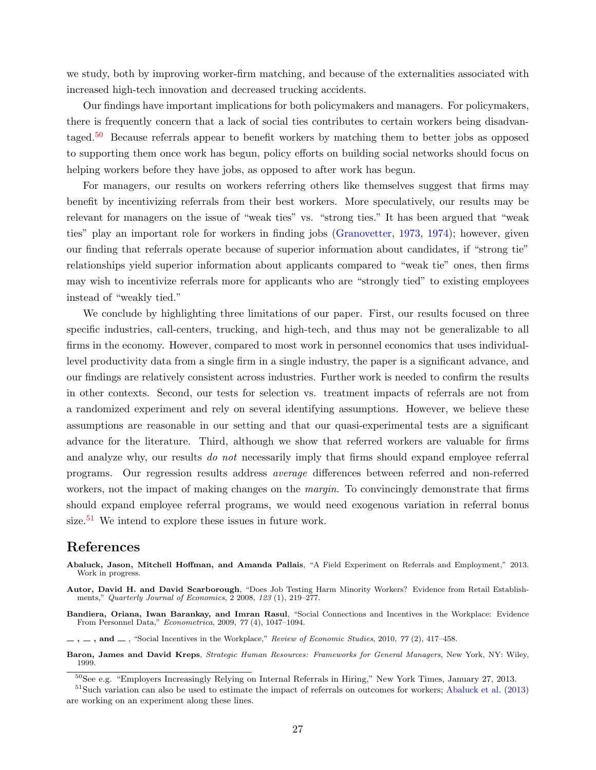we study, both by improving worker-firm matching, and because of the externalities associated with increased high-tech innovation and decreased trucking accidents.

Our findings have important implications for both policymakers and managers. For policymakers, there is frequently concern that a lack of social ties contributes to certain workers being disadvan-taged.<sup>[50](#page-26-4)</sup> Because referrals appear to benefit workers by matching them to better jobs as opposed to supporting them once work has begun, policy efforts on building social networks should focus on helping workers before they have jobs, as opposed to after work has begun.

For managers, our results on workers referring others like themselves suggest that firms may benefit by incentivizing referrals from their best workers. More speculatively, our results may be relevant for managers on the issue of "weak ties" vs. "strong ties." It has been argued that "weak ties" play an important role for workers in finding jobs [\(Granovetter,](#page-27-4) [1973,](#page-27-4) [1974\)](#page-27-5); however, given our finding that referrals operate because of superior information about candidates, if "strong tie" relationships yield superior information about applicants compared to "weak tie" ones, then firms may wish to incentivize referrals more for applicants who are "strongly tied" to existing employees instead of "weakly tied."

We conclude by highlighting three limitations of our paper. First, our results focused on three specific industries, call-centers, trucking, and high-tech, and thus may not be generalizable to all firms in the economy. However, compared to most work in personnel economics that uses individuallevel productivity data from a single firm in a single industry, the paper is a significant advance, and our findings are relatively consistent across industries. Further work is needed to confirm the results in other contexts. Second, our tests for selection vs. treatment impacts of referrals are not from a randomized experiment and rely on several identifying assumptions. However, we believe these assumptions are reasonable in our setting and that our quasi-experimental tests are a significant advance for the literature. Third, although we show that referred workers are valuable for firms and analyze why, our results *do not* necessarily imply that firms should expand employee referral programs. Our regression results address average differences between referred and non-referred workers, not the impact of making changes on the *margin*. To convincingly demonstrate that firms should expand employee referral programs, we would need exogenous variation in referral bonus size.<sup>[51](#page-26-5)</sup> We intend to explore these issues in future work.

#### References

- <span id="page-26-3"></span>Autor, David H. and David Scarborough, "Does Job Testing Harm Minority Workers? Evidence from Retail Establishments," Quarterly Journal of Economics, 2 2008, 123 (1), 219–277.
- <span id="page-26-0"></span>Bandiera, Oriana, Iwan Barankay, and Imran Rasul, "Social Connections and Incentives in the Workplace: Evidence From Personnel Data," Econometrica, 2009, 77 (4), 1047–1094.
- <span id="page-26-1"></span> $\ldots$ , and  $\ldots$ , "Social Incentives in the Workplace," Review of Economic Studies, 2010, 77 (2), 417–458.
- <span id="page-26-2"></span>Baron, James and David Kreps, Strategic Human Resources: Frameworks for General Managers, New York, NY: Wiley, 1999.

<span id="page-26-6"></span>Abaluck, Jason, Mitchell Hoffman, and Amanda Pallais, "A Field Experiment on Referrals and Employment," 2013. Work in progress.

<span id="page-26-5"></span><span id="page-26-4"></span><sup>50</sup>See e.g. "Employers Increasingly Relying on Internal Referrals in Hiring," New York Times, January 27, 2013.

<sup>51</sup>Such variation can also be used to estimate the impact of referrals on outcomes for workers; [Abaluck et al.](#page-26-6) [\(2013\)](#page-26-6) are working on an experiment along these lines.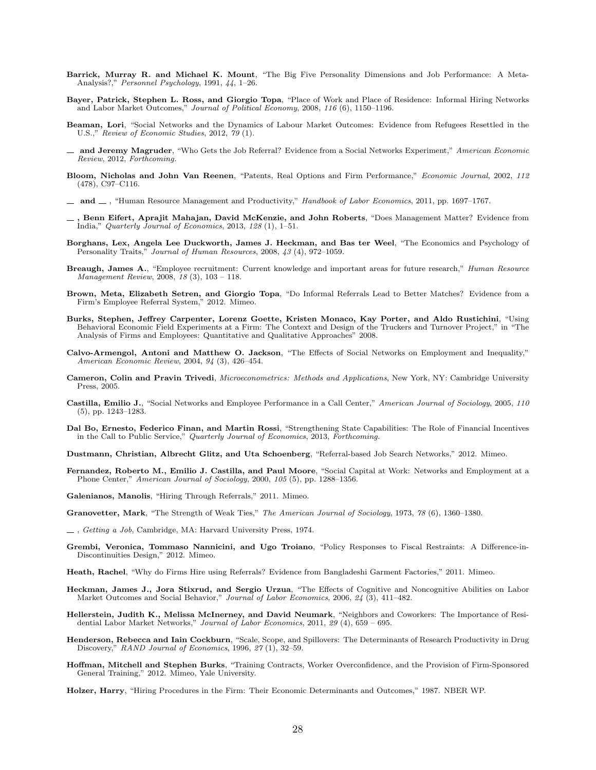- <span id="page-27-20"></span>Barrick, Murray R. and Michael K. Mount, "The Big Five Personality Dimensions and Job Performance: A Meta-Analysis?," Personnel Psychology, 1991, 44, 1–26.
- <span id="page-27-7"></span>Bayer, Patrick, Stephen L. Ross, and Giorgio Topa, "Place of Work and Place of Residence: Informal Hiring Networks and Labor Market Outcomes," Journal of Political Economy, 2008, 116 (6), 1150–1196.
- <span id="page-27-8"></span>Beaman, Lori, "Social Networks and the Dynamics of Labour Market Outcomes: Evidence from Refugees Resettled in the U.S.," Review of Economic Studies, 2012, 79 (1).
- <span id="page-27-10"></span> $-$  and Jeremy Magruder, "Who Gets the Job Referral? Evidence from a Social Networks Experiment," American Economic Review, 2012, Forthcoming.
- <span id="page-27-22"></span>Bloom, Nicholas and John Van Reenen, "Patents, Real Options and Firm Performance," Economic Journal, 2002, 112 (478), C97–C116.
- <span id="page-27-16"></span> $-$  and  $-$ , "Human Resource Management and Productivity," Handbook of Labor Economics, 2011, pp. 1697–1767.
- <span id="page-27-26"></span>, Benn Eifert, Aprajit Mahajan, David McKenzie, and John Roberts, "Does Management Matter? Evidence from India," Quarterly Journal of Economics, 2013, 128 (1), 1–51.
- <span id="page-27-18"></span>Borghans, Lex, Angela Lee Duckworth, James J. Heckman, and Bas ter Weel, "The Economics and Psychology of Personality Traits," Journal of Human Resources, 2008, 43 (4), 972-1059.
- <span id="page-27-14"></span>Breaugh, James A., "Employee recruitment: Current knowledge and important areas for future research," Human Resource Management Review, 2008, 18 (3), 103 – 118.
- <span id="page-27-11"></span>Brown, Meta, Elizabeth Setren, and Giorgio Topa, "Do Informal Referrals Lead to Better Matches? Evidence from a Firm's Employee Referral System," 2012. Mimeo.
- <span id="page-27-17"></span>Burks, Stephen, Jeffrey Carpenter, Lorenz Goette, Kristen Monaco, Kay Porter, and Aldo Rustichini, "Using Behavioral Economic Field Experiments at a Firm: The Context and Design of the Truckers and Turnover Project," in "The Analysis of Firms and Employees: Quantitative and Qualitative Approaches" 2008.
- <span id="page-27-15"></span>Calvo-Armengol, Antoni and Matthew O. Jackson, "The Effects of Social Networks on Employment and Inequality," American Economic Review, 2004, 94 (3), 426–454.
- <span id="page-27-24"></span>Cameron, Colin and Pravin Trivedi, Microeconometrics: Methods and Applications, New York, NY: Cambridge University Press, 2005.
- <span id="page-27-3"></span>Castilla, Emilio J., "Social Networks and Employee Performance in a Call Center," American Journal of Sociology, 2005, 110 (5), pp. 1243–1283.
- <span id="page-27-19"></span>Dal Bo, Ernesto, Federico Finan, and Martin Rossi, "Strengthening State Capabilities: The Role of Financial Incentives in the Call to Public Service," Quarterly Journal of Economics, 2013, Forthcoming.
- <span id="page-27-13"></span>Dustmann, Christian, Albrecht Glitz, and Uta Schoenberg, "Referral-based Job Search Networks," 2012. Mimeo.
- <span id="page-27-6"></span>Fernandez, Roberto M., Emilio J. Castilla, and Paul Moore, "Social Capital at Work: Networks and Employment at a Phone Center," American Journal of Sociology, 2000, 105 (5), pp. 1288-1356.
- <span id="page-27-0"></span>Galenianos, Manolis, "Hiring Through Referrals," 2011. Mimeo.
- <span id="page-27-4"></span>Granovetter, Mark, "The Strength of Weak Ties," The American Journal of Sociology, 1973, 78 (6), 1360–1380.
- <span id="page-27-5"></span>, Getting a Job, Cambridge, MA: Harvard University Press, 1974.
- <span id="page-27-25"></span>Grembi, Veronica, Tommaso Nannicini, and Ugo Troiano, "Policy Responses to Fiscal Restraints: A Difference-in-Discontinuities Design," 2012. Mimeo.
- <span id="page-27-12"></span>Heath, Rachel, "Why do Firms Hire using Referrals? Evidence from Bangladeshi Garment Factories," 2011. Mimeo.
- <span id="page-27-2"></span>Heckman, James J., Jora Stixrud, and Sergio Urzua, "The Effects of Cognitive and Noncognitive Abilities on Labor Market Outcomes and Social Behavior," Journal of Labor Economics, 2006, 24 (3), 411–482.
- <span id="page-27-9"></span>Hellerstein, Judith K., Melissa McInerney, and David Neumark, "Neighbors and Coworkers: The Importance of Residential Labor Market Networks," Journal of Labor Economics, 2011, 29 (4), 659 – 695.
- <span id="page-27-21"></span>Henderson, Rebecca and Iain Cockburn, "Scale, Scope, and Spillovers: The Determinants of Research Productivity in Drug Discovery," RAND Journal of Economics, 1996, 27(1), 32-59.
- <span id="page-27-23"></span>Hoffman, Mitchell and Stephen Burks, "Training Contracts, Worker Overconfidence, and the Provision of Firm-Sponsored General Training," 2012. Mimeo, Yale University.
- <span id="page-27-1"></span>Holzer, Harry, "Hiring Procedures in the Firm: Their Economic Determinants and Outcomes," 1987. NBER WP.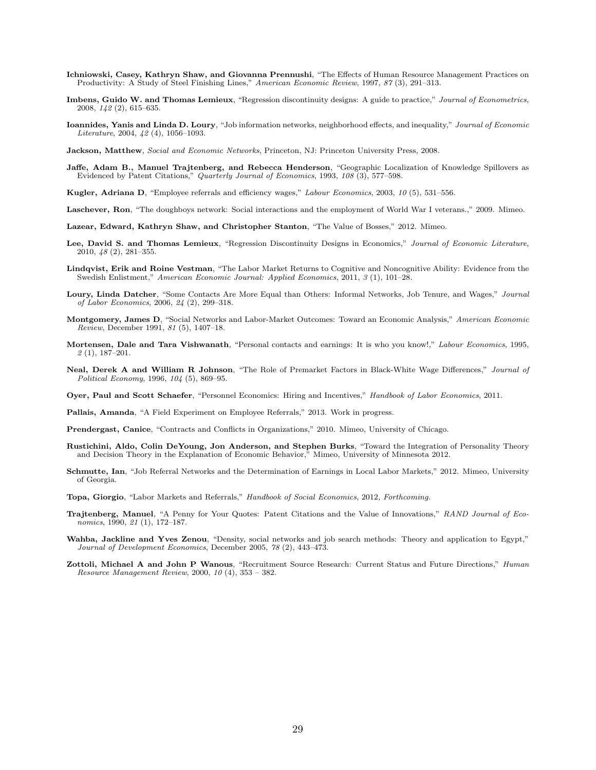- <span id="page-28-15"></span>Ichniowski, Casey, Kathryn Shaw, and Giovanna Prennushi, "The Effects of Human Resource Management Practices on Productivity: A Study of Steel Finishing Lines," American Economic Review, 1997, 87 (3), 291–313.
- <span id="page-28-20"></span>Imbens, Guido W. and Thomas Lemieux, "Regression discontinuity designs: A guide to practice," Journal of Econometrics, 2008, 142 (2), 615–635.
- <span id="page-28-3"></span>Ioannides, Yanis and Linda D. Loury, "Job information networks, neighborhood effects, and inequality," Journal of Economic Literature, 2004, 42 (4), 1056–1093.
- <span id="page-28-14"></span>Jackson, Matthew, Social and Economic Networks, Princeton, NJ: Princeton University Press, 2008.
- <span id="page-28-18"></span>Jaffe, Adam B., Manuel Trajtenberg, and Rebecca Henderson, "Geographic Localization of Knowledge Spillovers as Evidenced by Patent Citations," Quarterly Journal of Economics, 1993, 108 (3), 577-598.
- <span id="page-28-6"></span>Kugler, Adriana D, "Employee referrals and efficiency wages," Labour Economics, 2003, 10 (5), 531–556.
- <span id="page-28-8"></span>Laschever, Ron, "The doughboys network: Social interactions and the employment of World War I veterans.," 2009. Mimeo.
- <span id="page-28-7"></span>Lazear, Edward, Kathryn Shaw, and Christopher Stanton, "The Value of Bosses," 2012. Mimeo.
- <span id="page-28-21"></span>Lee, David S. and Thomas Lemieux, "Regression Discontinuity Designs in Economics," Journal of Economic Literature, 2010, 48 (2), 281–355.
- <span id="page-28-16"></span>Lindqvist, Erik and Roine Vestman, "The Labor Market Returns to Cognitive and Noncognitive Ability: Evidence from the Swedish Enlistment," American Economic Journal: Applied Economics, 2011, 3 (1), 101–28.
- <span id="page-28-22"></span>Loury, Linda Datcher, "Some Contacts Are More Equal than Others: Informal Networks, Job Tenure, and Wages," Journal of Labor Economics, 2006, 24 (2), 299–318.
- <span id="page-28-4"></span>Montgomery, James D, "Social Networks and Labor-Market Outcomes: Toward an Economic Analysis," American Economic Review, December 1991, 81 (5), 1407–18.
- <span id="page-28-9"></span>Mortensen, Dale and Tara Vishwanath, "Personal contacts and earnings: It is who you know!," Labour Economics, 1995, 2 (1), 187–201.
- <span id="page-28-5"></span>Neal, Derek A and William R Johnson, "The Role of Premarket Factors in Black-White Wage Differences," Journal of Political Economy, 1996, 104 (5), 869–95.
- <span id="page-28-1"></span>Oyer, Paul and Scott Schaefer, "Personnel Economics: Hiring and Incentives," Handbook of Labor Economics, 2011.
- <span id="page-28-10"></span>Pallais, Amanda, "A Field Experiment on Employee Referrals," 2013. Work in progress.
- <span id="page-28-0"></span>Prendergast, Canice, "Contracts and Conflicts in Organizations," 2010. Mimeo, University of Chicago.
- <span id="page-28-17"></span>Rustichini, Aldo, Colin DeYoung, Jon Anderson, and Stephen Burks, "Toward the Integration of Personality Theory and Decision Theory in the Explanation of Economic Behavior," Mimeo, University of Minnesota 2012.
- <span id="page-28-11"></span>Schmutte, Ian, "Job Referral Networks and the Determination of Earnings in Local Labor Markets," 2012. Mimeo, University of Georgia.
- <span id="page-28-2"></span>Topa, Giorgio, "Labor Markets and Referrals," Handbook of Social Economics, 2012, Forthcoming.
- <span id="page-28-19"></span>Trajtenberg, Manuel, "A Penny for Your Quotes: Patent Citations and the Value of Innovations," RAND Journal of Economics, 1990, 21 (1), 172–187.
- <span id="page-28-12"></span>Wahba, Jackline and Yves Zenou, "Density, social networks and job search methods: Theory and application to Egypt," Journal of Development Economics, December 2005, 78 (2), 443–473.
- <span id="page-28-13"></span>Zottoli, Michael A and John P Wanous, "Recruitment Source Research: Current Status and Future Directions," Human Resource Management Review, 2000, 10 (4), 353 – 382.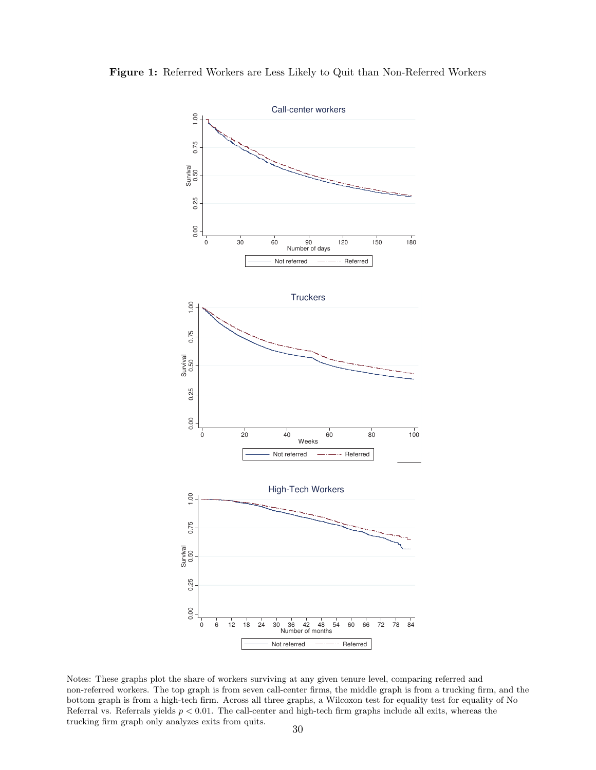

<span id="page-29-0"></span>Figure 1: Referred Workers are Less Likely to Quit than Non-Referred Workers

Notes: These graphs plot the share of workers surviving at any given tenure level, comparing referred and non-referred workers. The top graph is from seven call-center firms, the middle graph is from a trucking firm, and the bottom graph is from a high-tech firm. Across all three graphs, a Wilcoxon test for equality test for equality of No Referral vs. Referrals yields  $p < 0.01$ . The call-center and high-tech firm graphs include all exits, whereas the trucking firm graph only analyzes exits from quits.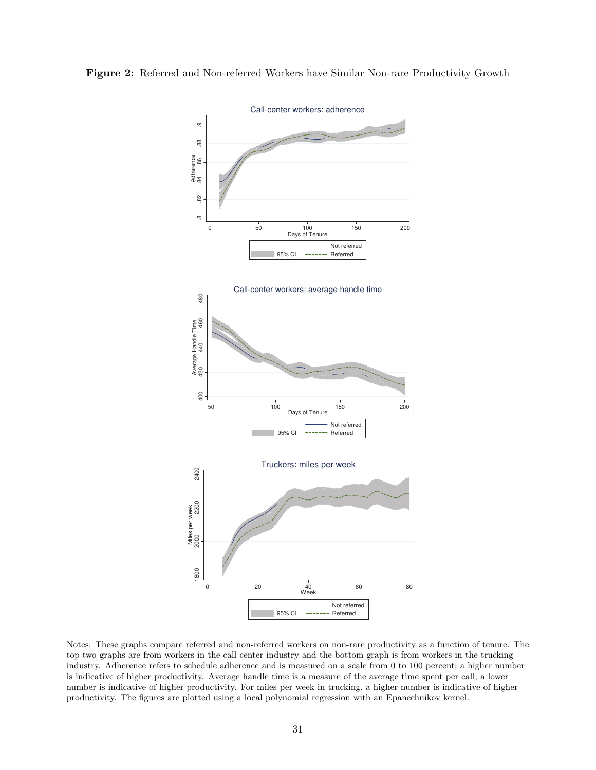

<span id="page-30-0"></span>Figure 2: Referred and Non-referred Workers have Similar Non-rare Productivity Growth

Notes: These graphs compare referred and non-referred workers on non-rare productivity as a function of tenure. The top two graphs are from workers in the call center industry and the bottom graph is from workers in the trucking industry. Adherence refers to schedule adherence and is measured on a scale from 0 to 100 percent; a higher number is indicative of higher productivity. Average handle time is a measure of the average time spent per call; a lower number is indicative of higher productivity. For miles per week in trucking, a higher number is indicative of higher productivity. The figures are plotted using a local polynomial regression with an Epanechnikov kernel.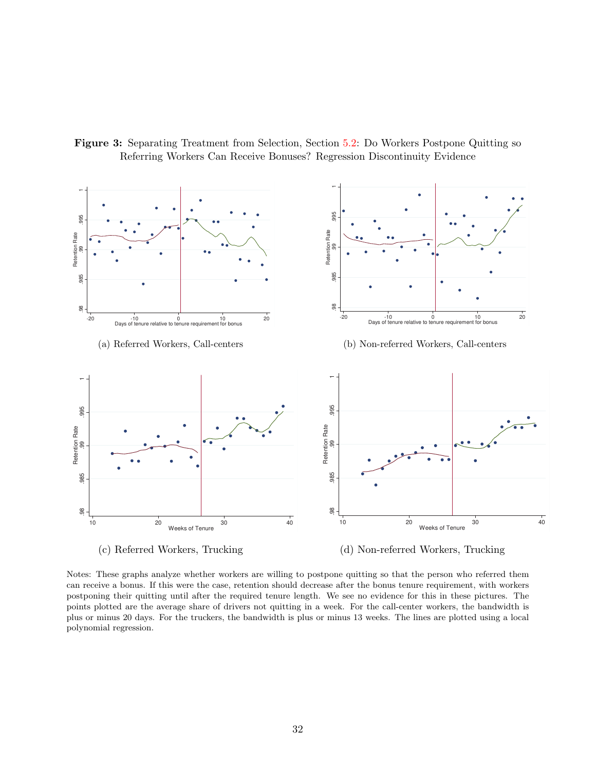

<span id="page-31-0"></span>Figure 3: Separating Treatment from Selection, Section [5.2:](#page-16-1) Do Workers Postpone Quitting so Referring Workers Can Receive Bonuses? Regression Discontinuity Evidence

Notes: These graphs analyze whether workers are willing to postpone quitting so that the person who referred them can receive a bonus. If this were the case, retention should decrease after the bonus tenure requirement, with workers postponing their quitting until after the required tenure length. We see no evidence for this in these pictures. The points plotted are the average share of drivers not quitting in a week. For the call-center workers, the bandwidth is plus or minus 20 days. For the truckers, the bandwidth is plus or minus 13 weeks. The lines are plotted using a local polynomial regression.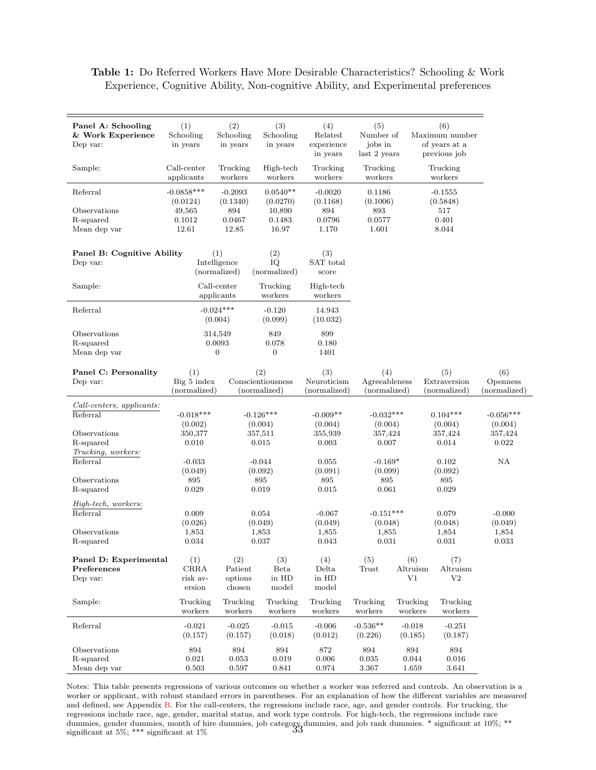#### <span id="page-32-0"></span>Table 1: Do Referred Workers Have More Desirable Characteristics? Schooling & Work Experience, Cognitive Ability, Non-cognitive Ability, and Experimental preferences

| Panel A: Schooling<br>& Work Experience<br>Dep var: | (1)<br>Schooling<br>in years       | (2)<br>Schooling<br>in years        | (3)<br>Schooling<br>in years     | (4)<br>Related<br>experience<br>in years | (5)<br>Number of<br>jobs in<br>last 2 years |                       | (6)<br>Maximum number<br>of years at a<br>previous job |                        |
|-----------------------------------------------------|------------------------------------|-------------------------------------|----------------------------------|------------------------------------------|---------------------------------------------|-----------------------|--------------------------------------------------------|------------------------|
| Sample:                                             | Call-center<br>applicants          | Trucking<br>workers                 | High-tech<br>workers             | Trucking<br>workers                      | Trucking<br>workers                         |                       | Trucking<br>workers                                    |                        |
| Referral<br>Observations                            | $-0.0858***$<br>(0.0124)<br>49,565 | $-0.2093$<br>(0.1340)<br>894        | $0.0540**$<br>(0.0270)<br>10,890 | $-0.0020$<br>(0.1168)<br>894             | 0.1186<br>(0.1006)<br>893                   |                       | $-0.1555$<br>(0.5848)                                  |                        |
| R-squared<br>Mean dep var                           | 0.1012<br>12.61                    | 0.0467<br>12.85                     | 0.1483<br>16.97                  | 0.0796<br>1.170                          | 0.0577<br>1.601                             |                       | 517<br>0.401<br>8.044                                  |                        |
| Panel B: Cognitive Ability<br>Dep var:              |                                    | (1)<br>Intelligence<br>(normalized) | (2)<br>IQ<br>(normalized)        | (3)<br>SAT total<br>score                |                                             |                       |                                                        |                        |
| Sample:                                             |                                    | Call-center<br>applicants           | Trucking<br>workers              | High-tech<br>workers                     |                                             |                       |                                                        |                        |
| Referral                                            |                                    | $-0.024***$<br>(0.004)              | $-0.120$<br>(0.099)              | 14.943<br>(10.032)                       |                                             |                       |                                                        |                        |
| Observations                                        |                                    | 314,549                             | 849                              | 899                                      |                                             |                       |                                                        |                        |
| R-squared<br>Mean dep var                           |                                    | 0.0093<br>$\boldsymbol{0}$          | 0.078<br>$\overline{0}$          | 0.180<br>1401                            |                                             |                       |                                                        |                        |
|                                                     |                                    |                                     |                                  |                                          |                                             |                       |                                                        |                        |
| Panel C: Personality<br>Dep var:                    | (1)<br>Big 5 index                 |                                     | (2)<br>Conscientiousness         | (3)<br>Neuroticism                       | (4)<br>Agreeableness                        |                       | (5)<br>Extraversion                                    | (6)<br>Openness        |
|                                                     | (normalized)                       |                                     | (normalized)                     | (normalized)                             | (normalized)                                |                       | (normalized)                                           | (normalized)           |
| Call-centers, applicants:                           |                                    |                                     |                                  |                                          |                                             |                       |                                                        |                        |
| Referral                                            | $-0.018***$<br>(0.002)             |                                     | $-0.126***$<br>(0.004)           | $-0.009**$<br>(0.004)                    | $-0.032***$<br>(0.004)                      |                       | $0.104***$<br>(0.004)                                  | $-0.056***$<br>(0.004) |
| Observations                                        | 350,377                            |                                     | 357,511                          | 355,939                                  | 357,424                                     |                       | 357,424                                                | 357,424                |
| R-squared                                           | 0.010                              |                                     | 0.015                            | 0.003                                    | 0.007                                       |                       | 0.014                                                  | 0.022                  |
| Trucking, workers:                                  |                                    |                                     |                                  |                                          |                                             |                       |                                                        |                        |
| Referral                                            | $-0.033$                           |                                     | $-0.044$                         | 0.055                                    | $-0.169*$                                   |                       | 0.102                                                  | NA                     |
|                                                     | (0.049)                            |                                     | (0.092)                          | (0.091)                                  | (0.099)                                     |                       | (0.092)                                                |                        |
| Observations                                        | 895                                |                                     | 895                              | 895                                      | 895                                         |                       | 895                                                    |                        |
| R-squared                                           | 0.029                              |                                     | 0.019                            | 0.015                                    | 0.061                                       |                       | 0.029                                                  |                        |
| High-tech, workers:<br>Referral                     | 0.009                              |                                     | 0.054                            | $-0.067$                                 | $-0.151***$                                 |                       | 0.079                                                  | $-0.000$               |
| Observations                                        | (0.026)<br>1,853                   |                                     | (0.049)<br>1,853                 | (0.049)<br>1,855                         | (0.048)<br>1,855                            |                       | (0.048)<br>1,854                                       | (0.049)<br>1,854       |
| R-squared                                           | 0.034                              |                                     | 0.037                            | 0.043                                    | 0.031                                       |                       | 0.031                                                  | 0.033                  |
|                                                     |                                    |                                     |                                  |                                          |                                             |                       |                                                        |                        |
| Panel D: Experimental                               | (1)                                | (2)                                 | (3)                              | (4)                                      | (5)                                         | (6)                   | (7)                                                    |                        |
| Preferences                                         | $\rm{CRRA}$                        | Patient                             | <b>Beta</b>                      | Delta                                    | Trust                                       | Altruism              | Altruism                                               |                        |
| Dep var:                                            | risk av-<br>ersion                 | options<br>chosen                   | in HD<br>model                   | in HD<br>model                           |                                             | V1                    | $_{\rm V2}$                                            |                        |
| Sample:                                             | Trucking<br>workers                | Trucking<br>workers                 | Trucking<br>workers              | Trucking<br>workers                      | Trucking<br>workers                         | Trucking<br>workers   | Trucking<br>workers                                    |                        |
| Referral                                            | $-0.021$<br>(0.157)                | $-0.025$<br>(0.157)                 | $-0.015$<br>(0.018)              | $-0.006$<br>(0.012)                      | $-0.536**$<br>(0.226)                       | $-0.018$<br>(0.185)   | $-0.251$<br>(0.187)                                    |                        |
| Observations<br>R-squared<br>Mean dep var           | 894<br>$\,0.021\,$<br>0.503        | 894<br>0.053<br>0.597               | 894<br>$\,0.019\,$<br>0.841      | 872<br>0.006<br>0.974                    | 894<br>0.035<br>3.367                       | 894<br>0.044<br>1.659 | 894<br>0.016<br>3.641                                  |                        |
|                                                     |                                    |                                     |                                  |                                          |                                             |                       |                                                        |                        |

Notes: This table presents regressions of various outcomes on whether a worker was referred and controls. An observation is a worker or applicant, with robust standard errors in parentheses. For an explanation of how the different variables are measured and defined, see Appendix [B.](#page-47-0) For the call-centers, the regressions include race, age, and gender controls. For trucking, the regressions include race, age, gender, marital status, and work type controls. For high-tech, the regressions include race dummies, gender dummies, month of hire dummies, job category dummies, and job rank dummies. \* significant at 10%; \*\*<br>significant at 5%; \*\*\* significant at 1%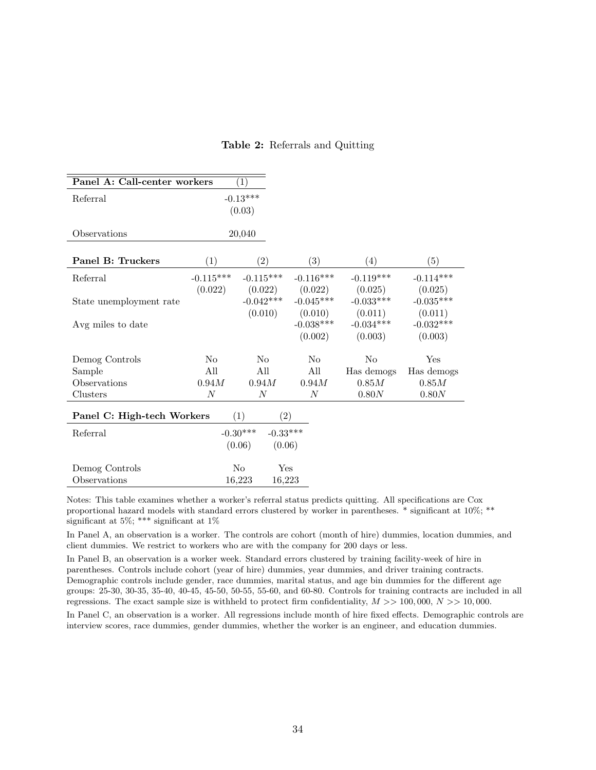|  | Table 2: Referrals and Quitting |  |  |
|--|---------------------------------|--|--|
|--|---------------------------------|--|--|

<span id="page-33-0"></span>

| Panel A: Call-center workers |                | $\left( 1\right)$        |                |             |             |
|------------------------------|----------------|--------------------------|----------------|-------------|-------------|
| Referral                     |                | $-0.13***$               |                |             |             |
|                              |                | (0.03)                   |                |             |             |
| Observations                 |                | 20,040                   |                |             |             |
|                              |                |                          |                |             |             |
| Panel B: Truckers            | (1)            | (2)                      | (3)            | (4)         | (5)         |
| Referral                     | $-0.115***$    | $-0.115***$              | $-0.116***$    | $-0.119***$ | $-0.114***$ |
|                              | (0.022)        | (0.022)                  | (0.022)        | (0.025)     | (0.025)     |
| State unemployment rate      |                | $-0.042***$              | $-0.045***$    | $-0.033***$ | $-0.035***$ |
|                              |                | (0.010)                  | (0.010)        | (0.011)     | (0.011)     |
| Avg miles to date            |                |                          | $-0.038***$    | $-0.034***$ | $-0.032***$ |
|                              |                |                          | (0.002)        | (0.003)     | (0.003)     |
| Demog Controls               | N <sub>0</sub> | N <sub>o</sub>           | N <sub>0</sub> | No          | Yes         |
| Sample                       | All            | All                      | All            | Has demogs  | Has demogs  |
| Observations                 | 0.94M          | 0.94M                    | 0.94M          | $0.85M$     | $0.85M$     |
| Clusters                     | N              | $\overline{N}$           | N              | 0.80N       | 0.80N       |
| Panel C: High-tech Workers   |                | (1)<br>$\left( 2\right)$ |                |             |             |
| Referral                     |                | $-0.30***$<br>$-0.33***$ |                |             |             |
|                              |                | (0.06)<br>(0.06)         |                |             |             |
| Demog Controls               |                | $\rm No$<br>Yes          |                |             |             |
| Observations                 |                | 16,223<br>16,223         |                |             |             |

Notes: This table examines whether a worker's referral status predicts quitting. All specifications are Cox proportional hazard models with standard errors clustered by worker in parentheses. \* significant at 10%; \*\* significant at 5%; \*\*\* significant at 1%

In Panel A, an observation is a worker. The controls are cohort (month of hire) dummies, location dummies, and client dummies. We restrict to workers who are with the company for 200 days or less.

In Panel B, an observation is a worker week. Standard errors clustered by training facility-week of hire in parentheses. Controls include cohort (year of hire) dummies, year dummies, and driver training contracts. Demographic controls include gender, race dummies, marital status, and age bin dummies for the different age groups: 25-30, 30-35, 35-40, 40-45, 45-50, 50-55, 55-60, and 60-80. Controls for training contracts are included in all regressions. The exact sample size is withheld to protect firm confidentiality,  $M \gg 100,000$ ,  $N \gg 10,000$ .

In Panel C, an observation is a worker. All regressions include month of hire fixed effects. Demographic controls are interview scores, race dummies, gender dummies, whether the worker is an engineer, and education dummies.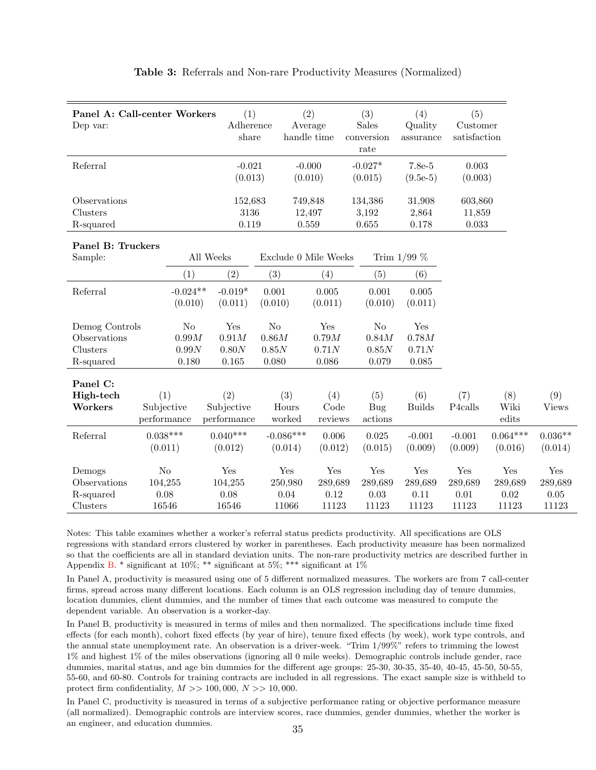<span id="page-34-0"></span>

| Panel A: Call-center Workers<br>Dep var:                |                                            | (1)<br>Adherence<br>share        |                                           | (2)<br>Average<br>handle time   | (3)<br><b>Sales</b><br>conversion<br>rate | (4)<br>Quality<br>assurance     | (5)<br>Customer<br>satisfaction |                                     |                                     |
|---------------------------------------------------------|--------------------------------------------|----------------------------------|-------------------------------------------|---------------------------------|-------------------------------------------|---------------------------------|---------------------------------|-------------------------------------|-------------------------------------|
| Referral                                                |                                            | $-0.021$<br>(0.013)              |                                           | $-0.000$<br>(0.010)             | $-0.027*$<br>(0.015)                      | 7.8e-5<br>$(9.5e-5)$            | 0.003<br>(0.003)                |                                     |                                     |
| Observations<br>Clusters<br>R-squared                   |                                            | 152,683<br>3136<br>0.119         |                                           | 749,848<br>12,497<br>0.559      | 134,386<br>3,192<br>0.655                 | 31,908<br>2,864<br>0.178        | 603,860<br>11,859<br>0.033      |                                     |                                     |
| Panel B: Truckers<br>Sample:                            |                                            | All Weeks                        | Exclude 0 Mile Weeks                      |                                 |                                           | Trim $1/99\%$                   |                                 |                                     |                                     |
| Referral                                                | (1)<br>$-0.024**$<br>(0.010)               | (2)<br>$-0.019*$<br>(0.011)      | (3)<br>0.001<br>(0.010)                   | (4)<br>0.005<br>(0.011)         | (5)<br>0.001<br>(0.010)                   | (6)<br>0.005<br>(0.011)         |                                 |                                     |                                     |
| Demog Controls<br>Observations<br>Clusters<br>R-squared | N <sub>o</sub><br>0.99M<br>0.99N<br>0.180  | Yes<br>0.91M<br>0.80N<br>0.165   | N <sub>o</sub><br>0.86M<br>0.85N<br>0.080 | Yes<br>0.79M<br>0.71N<br>0.086  | N <sub>o</sub><br>0.84M<br>0.85N<br>0.079 | Yes<br>0.78M<br>0.71N<br>0.085  |                                 |                                     |                                     |
| Panel C:<br>High-tech<br>Workers                        | (1)<br>Subjective<br>performance           | (2)<br>Subjective<br>performance | (3)<br>Hours<br>worked                    | (4)<br>Code<br>reviews          | (5)<br>Bug<br>actions                     | (6)<br><b>Builds</b>            | (7)<br>P4calls                  | (8)<br>Wiki<br>edits                | (9)<br><b>Views</b>                 |
| Referral                                                | $0.038***$<br>(0.011)                      | $0.040***$<br>(0.012)            | $-0.086***$<br>(0.014)                    | 0.006<br>(0.012)                | 0.025<br>(0.015)                          | $-0.001$<br>(0.009)             | $-0.001$<br>(0.009)             | $0.064***$<br>(0.016)               | $0.036**$<br>(0.014)                |
| Demogs<br>Observations<br>R-squared<br>Clusters         | N <sub>o</sub><br>104,255<br>0.08<br>16546 | Yes<br>104,255<br>0.08<br>16546  | Yes<br>250,980<br>0.04<br>11066           | Yes<br>289,689<br>0.12<br>11123 | Yes<br>289,689<br>0.03<br>11123           | Yes<br>289,689<br>0.11<br>11123 | Yes<br>289,689<br>0.01<br>11123 | Yes<br>289,689<br>$0.02\,$<br>11123 | Yes<br>289,689<br>$0.05\,$<br>11123 |

#### Table 3: Referrals and Non-rare Productivity Measures (Normalized)

Notes: This table examines whether a worker's referral status predicts productivity. All specifications are OLS regressions with standard errors clustered by worker in parentheses. Each productivity measure has been normalized so that the coefficients are all in standard deviation units. The non-rare productivity metrics are described further in Appendix [B.](#page-47-0) \* significant at 10%; \*\* significant at 5%; \*\*\* significant at 1%

In Panel A, productivity is measured using one of 5 different normalized measures. The workers are from 7 call-center firms, spread across many different locations. Each column is an OLS regression including day of tenure dummies, location dummies, client dummies, and the number of times that each outcome was measured to compute the dependent variable. An observation is a worker-day.

In Panel B, productivity is measured in terms of miles and then normalized. The specifications include time fixed effects (for each month), cohort fixed effects (by year of hire), tenure fixed effects (by week), work type controls, and the annual state unemployment rate. An observation is a driver-week. "Trim 1/99%" refers to trimming the lowest 1% and highest 1% of the miles observations (ignoring all 0 mile weeks). Demographic controls include gender, race dummies, marital status, and age bin dummies for the different age groups: 25-30, 30-35, 35-40, 40-45, 45-50, 50-55, 55-60, and 60-80. Controls for training contracts are included in all regressions. The exact sample size is withheld to protect firm confidentiality,  $M \gg 100,000, N \gg 10,000$ .

In Panel C, productivity is measured in terms of a subjective performance rating or objective performance measure (all normalized). Demographic controls are interview scores, race dummies, gender dummies, whether the worker is an engineer, and education dummies. <sup>35</sup>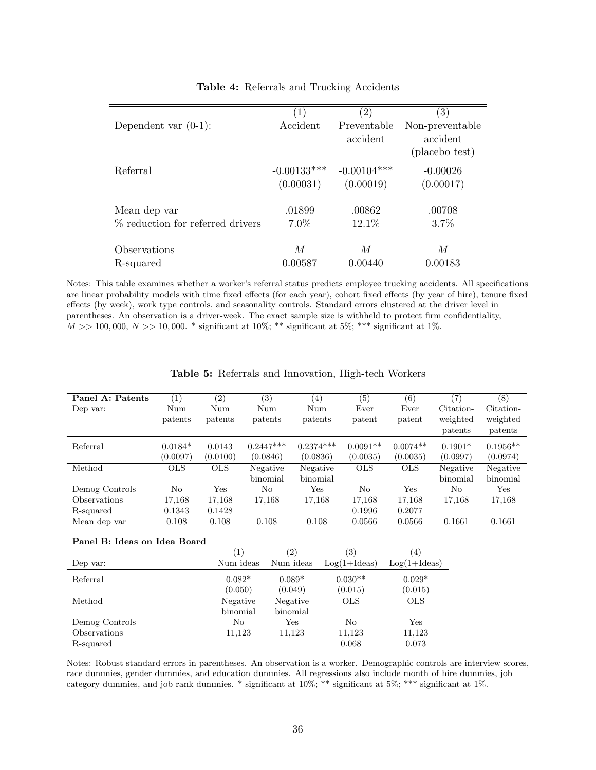<span id="page-35-0"></span>

|                                  | $\left( 1\right)$ | $\left( 2\right)$ | $\left( 3\right)$ |
|----------------------------------|-------------------|-------------------|-------------------|
| Dependent var $(0-1)$ :          | Accident          | Preventable       | Non-preventable   |
|                                  |                   | accident          | accident          |
|                                  |                   |                   | (placebo test)    |
| Referral                         | $-0.00133***$     | $-0.00104***$     | $-0.00026$        |
|                                  | (0.00031)         | (0.00019)         | (0.00017)         |
| Mean dep var                     | .01899            | .00862            | .00708            |
| % reduction for referred drivers | $7.0\%$           | 12.1\%            | 3.7%              |
| Observations                     | M                 | M                 | М                 |
| R-squared                        | 0.00587           | 0.00440           | 0.00183           |

#### Table 4: Referrals and Trucking Accidents

Notes: This table examines whether a worker's referral status predicts employee trucking accidents. All specifications are linear probability models with time fixed effects (for each year), cohort fixed effects (by year of hire), tenure fixed effects (by week), work type controls, and seasonality controls. Standard errors clustered at the driver level in parentheses. An observation is a driver-week. The exact sample size is withheld to protect firm confidentiality,  $M >> 100,000, N >> 10,000.$  \* significant at 10%; \*\* significant at 5%; \*\*\* significant at 1%.

<span id="page-35-1"></span>

| Panel A: Patents             | (1)        | (2)        |  | $\overline{(3)}$ | (4)         |  | (5)            | $\overline{(6)}$ | $\overline{(7)}$ | (8)        |  |
|------------------------------|------------|------------|--|------------------|-------------|--|----------------|------------------|------------------|------------|--|
| Dep var:                     | Num        | Num        |  | Num              | Num         |  | Ever           | Ever             | Citation-        | Citation-  |  |
|                              | patents    | patents    |  | patents          | patents     |  | patent         | patent           | weighted         | weighted   |  |
|                              |            |            |  |                  |             |  |                |                  | patents          | patents    |  |
| Referral                     | $0.0184*$  | 0.0143     |  | $0.2447***$      | $0.2374***$ |  | $0.0091**$     | $0.0074**$       | $0.1901*$        | $0.1956**$ |  |
|                              | (0.0097)   | (0.0100)   |  | (0.0846)         | (0.0836)    |  | (0.0035)       | (0.0035)         | (0.0997)         | (0.0974)   |  |
| Method                       | <b>OLS</b> | <b>OLS</b> |  | Negative         | Negative    |  | <b>OLS</b>     | <b>OLS</b>       | Negative         | Negative   |  |
|                              |            |            |  | binomial         | binomial    |  |                |                  | binomial         | binomial   |  |
| Demog Controls               | No         | Yes        |  | No               | Yes         |  | No             | Yes              | $\rm No$         | Yes        |  |
| Observations                 | 17,168     | 17,168     |  | 17,168           | 17,168      |  | 17,168         | 17,168           | 17,168           | 17,168     |  |
| R-squared                    | 0.1343     | 0.1428     |  |                  |             |  | 0.1996         | 0.2077           |                  |            |  |
| Mean dep var                 | 0.108      | 0.108      |  | 0.108            | 0.108       |  | 0.0566         | 0.0566           | 0.1661           | 0.1661     |  |
| Panel B: Ideas on Idea Board |            |            |  |                  |             |  |                |                  |                  |            |  |
|                              |            | (1)        |  |                  | (2)         |  | (3)            | (4)              |                  |            |  |
| Dep var:                     |            | Num ideas  |  |                  | Num ideas   |  | $Log(1+Ideas)$ | $Log(1+Ideas)$   |                  |            |  |
| Referral                     |            | $0.082*$   |  |                  | $0.089*$    |  | $0.030**$      | $0.029*$         |                  |            |  |
|                              |            | (0.050)    |  |                  | (0.049)     |  | (0.015)        | (0.015)          |                  |            |  |
| Method                       |            | Negative   |  |                  | Negative    |  | <b>OLS</b>     | <b>OLS</b>       |                  |            |  |
|                              |            | binomial   |  |                  | binomial    |  |                |                  |                  |            |  |
| Demog Controls               |            | No         |  |                  | Yes         |  | No             | Yes              |                  |            |  |
| Observations                 |            | 11,123     |  |                  | 11,123      |  | 11,123         | 11,123           |                  |            |  |
| R-squared                    |            |            |  |                  |             |  | 0.068          | 0.073            |                  |            |  |

Table 5: Referrals and Innovation, High-tech Workers

Notes: Robust standard errors in parentheses. An observation is a worker. Demographic controls are interview scores, race dummies, gender dummies, and education dummies. All regressions also include month of hire dummies, job category dummies, and job rank dummies. \* significant at 10%; \*\* significant at 5%; \*\*\* significant at 1%.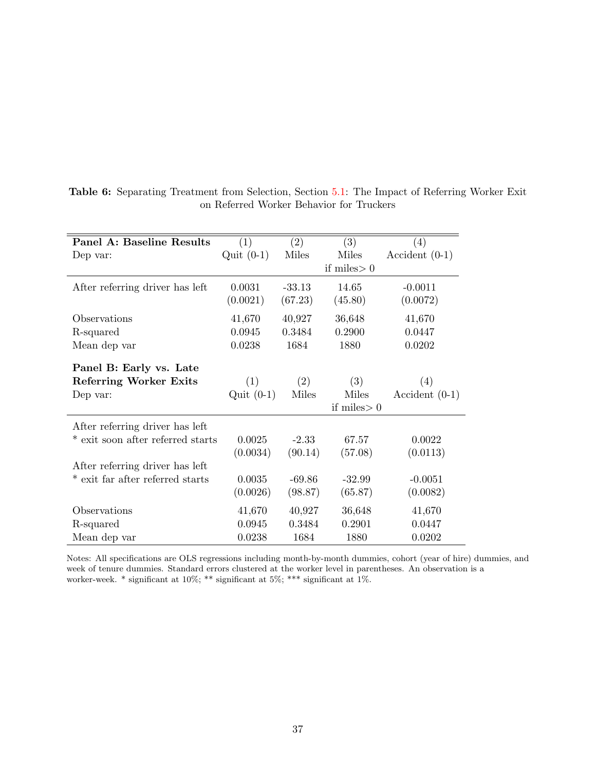| <b>Panel A: Baseline Results</b>  | $\left( 1\right)$ | $\left( 2\right)$ | (3)           | (4)              |
|-----------------------------------|-------------------|-------------------|---------------|------------------|
| Dep var:                          | Quit $(0-1)$      | Miles             | Miles         | $Accident(0-1)$  |
|                                   |                   |                   | if miles $>0$ |                  |
| After referring driver has left   | 0.0031            | $-33.13$          | 14.65         | $-0.0011$        |
|                                   | (0.0021)          | (67.23)           | (45.80)       | (0.0072)         |
| Observations                      | 41,670            | 40,927            | 36,648        | 41,670           |
| R-squared                         | 0.0945            | 0.3484            | 0.2900        | 0.0447           |
| Mean dep var                      | 0.0238            | 1684              | 1880          | 0.0202           |
| Panel B: Early vs. Late           |                   |                   |               |                  |
| <b>Referring Worker Exits</b>     | (1)               | (2)               | (3)           | (4)              |
| Dep var:                          | $Quit(0-1)$       | Miles             | Miles         | Accident $(0-1)$ |
|                                   |                   |                   | if miles $>0$ |                  |
| After referring driver has left   |                   |                   |               |                  |
| * exit soon after referred starts | 0.0025            | $-2.33$           | 67.57         | 0.0022           |
|                                   | (0.0034)          | (90.14)           | (57.08)       | (0.0113)         |
| After referring driver has left   |                   |                   |               |                  |
| * exit far after referred starts  | 0.0035            | $-69.86$          | $-32.99$      | $-0.0051$        |
|                                   | (0.0026)          | (98.87)           | (65.87)       | (0.0082)         |
| Observations                      | 41,670            | 40,927            | 36,648        | 41,670           |
| R-squared                         | 0.0945            | 0.3484            | 0.2901        | 0.0447           |
| Mean dep var                      | 0.0238            | 1684              | 1880          | 0.0202           |

<span id="page-36-0"></span>Table 6: Separating Treatment from Selection, Section [5.1:](#page-14-3) The Impact of Referring Worker Exit on Referred Worker Behavior for Truckers

Notes: All specifications are OLS regressions including month-by-month dummies, cohort (year of hire) dummies, and week of tenure dummies. Standard errors clustered at the worker level in parentheses. An observation is a worker-week. \* significant at 10%; \*\* significant at 5%; \*\*\* significant at 1%.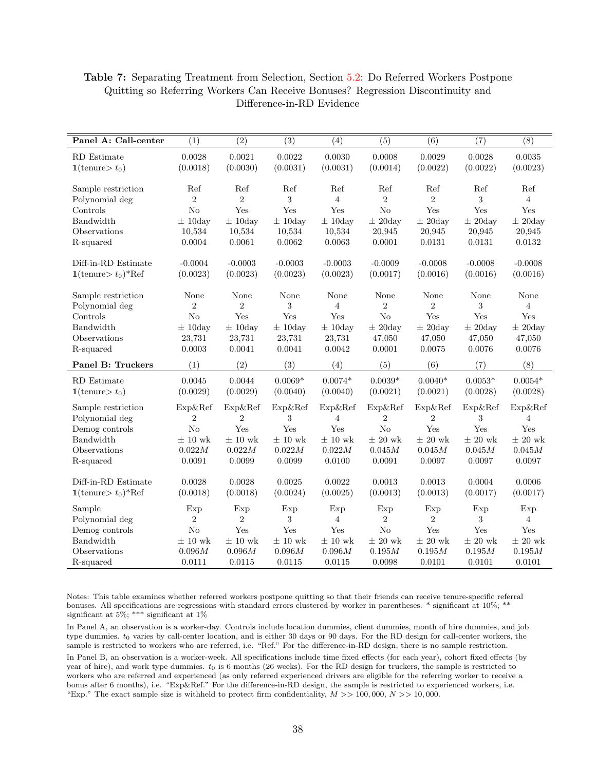| Panel A: Call-center    | $\overline{(1)}$ | $\overline{(2)}$ | $\overline{(3)}$ | $\overline{(4)}$ | $\overline{(5)}$ | $\overline{(6)}$ | $\overline{(7)}$ | $\overline{(8)}$ |
|-------------------------|------------------|------------------|------------------|------------------|------------------|------------------|------------------|------------------|
| RD Estimate             | 0.0028           | 0.0021           | 0.0022           | 0.0030           | 0.0008           | 0.0029           | 0.0028           | 0.0035           |
| $1$ (tenure $t_0$ )     | (0.0018)         | (0.0030)         | (0.0031)         | (0.0031)         | (0.0014)         | (0.0022)         | (0.0022)         | (0.0023)         |
|                         |                  |                  |                  |                  |                  |                  |                  |                  |
| Sample restriction      | Ref              | Ref              | Ref              | Ref              | Ref              | Ref              | Ref              | Ref              |
| Polynomial deg          | $\overline{2}$   | $\overline{2}$   | 3                | $\overline{4}$   | $\overline{2}$   | $\overline{2}$   | 3                | $\overline{4}$   |
| Controls                | No               | Yes              | Yes              | Yes              | No               | Yes              | Yes              | Yes              |
| Bandwidth               | $\pm$ 10day      | $\pm$ 10day      | $\pm$ 10day      | $\pm$ 10day      | $\pm$ 20day      | $\pm$ 20day      | $\pm$ 20day      | $\pm$ 20day      |
| Observations            | 10,534           | 10,534           | 10,534           | 10,534           | 20,945           | 20,945           | 20,945           | 20,945           |
| R-squared               | 0.0004           | 0.0061           | 0.0062           | 0.0063           | 0.0001           | 0.0131           | 0.0131           | 0.0132           |
| Diff-in-RD Estimate     | $-0.0004$        | $-0.0003$        | $-0.0003$        | $-0.0003$        | $-0.0009$        | $-0.0008$        | $-0.0008$        | $-0.0008$        |
| $1$ (tenure $t_0$ )*Ref | (0.0023)         | (0.0023)         | (0.0023)         | (0.0023)         | (0.0017)         | (0.0016)         | (0.0016)         | (0.0016)         |
|                         |                  |                  |                  |                  |                  |                  |                  |                  |
| Sample restriction      | None             | None             | None             | None             | None             | None             | None             | None             |
| Polynomial deg          | $\overline{2}$   | $\overline{2}$   | 3                | $\overline{4}$   | $\overline{2}$   | $\overline{2}$   | 3                | $\overline{4}$   |
| Controls                | No               | Yes              | Yes              | Yes              | No               | Yes              | Yes              | Yes              |
| Bandwidth               | $\pm$ 10day      | $\pm$ 10day      | $\pm$ 10day      | $\pm$ 10day      | $\pm$ 20day      | $\pm$ 20day      | $\pm$ 20day      | $\pm 20$ day     |
| Observations            | 23,731           | 23,731           | 23,731           | 23,731           | 47,050           | 47,050           | 47,050           | 47,050           |
| R-squared               | 0.0003           | 0.0041           | 0.0041           | 0.0042           | 0.0001           | 0.0075           | 0.0076           | 0.0076           |
| Panel B: Truckers       | (1)              | (2)              | (3)              | (4)              | (5)              | (6)              | (7)              | (8)              |
| RD Estimate             | 0.0045           | 0.0044           | $0.0069*$        | $0.0074*$        | $0.0039*$        | $0.0040*$        | $0.0053*$        | $0.0054*$        |
| $1$ (tenure $t_0$ )     | (0.0029)         | (0.0029)         | (0.0040)         | (0.0040)         | (0.0021)         | (0.0021)         | (0.0028)         | (0.0028)         |
| Sample restriction      | Exp&Ref          | Exp&Ref          | Exp&Ref          | Exp&Ref          | Exp&Ref          | Exp&Ref          | Exp&Ref          | Exp&Ref          |
| Polynomial deg          | $\overline{2}$   | 2                | 3                | 4                | $\overline{2}$   | $\overline{2}$   | 3                | 4                |
| Demog controls          | No               | Yes              | Yes              | Yes              | N <sub>o</sub>   | Yes              | Yes              | Yes              |
| Bandwidth               | $\pm$ 10 wk      | $\pm 10$ wk      | $\pm$ 10 wk      | $\pm$ 10 wk      | $\pm 20$ wk      | $\pm$ 20 wk      | $\pm$ 20 wk      | $\pm 20$ wk      |
| Observations            | 0.022M           | 0.022M           | 0.022M           | 0.022M           | 0.045M           | 0.045M           | $0.045M$         | 0.045M           |
| R-squared               | 0.0091           | 0.0099           | 0.0099           | 0.0100           | 0.0091           | 0.0097           | 0.0097           | 0.0097           |
|                         |                  |                  |                  |                  |                  |                  |                  |                  |
| Diff-in-RD Estimate     | 0.0028           | 0.0028           | 0.0025           | 0.0022           | 0.0013           | 0.0013           | 0.0004           | 0.0006           |
| $1$ (tenure $t_0$ )*Ref | (0.0018)         | (0.0018)         | (0.0024)         | (0.0025)         | (0.0013)         | (0.0013)         | (0.0017)         | (0.0017)         |
| Sample                  | Exp              | Exp              | Exp              | Exp              | Exp              | Exp              | Exp              | Exp              |
| Polynomial deg          | $\overline{2}$   | $\overline{2}$   | 3                | $\overline{4}$   | $\overline{2}$   | $\overline{2}$   | 3                | $\overline{4}$   |
| Demog controls          | No               | Yes              | Yes              | Yes              | No               | Yes              | Yes              | Yes              |
| Bandwidth               | $\pm$ 10 wk      | $\pm 10$ wk      | $\pm 10$ wk      | $\pm 10$ wk      | $\pm$ 20 wk      | $\pm$ 20 wk      | $\pm 20$ wk      | $\pm$ 20 wk      |
| Observations            | 0.096M           | 0.096M           | 0.096M           | 0.096M           | 0.195M           | 0.195M           | 0.195M           | 0.195M           |
| R-squared               | 0.0111           | 0.0115           | 0.0115           | 0.0115           | 0.0098           | 0.0101           | 0.0101           | 0.0101           |

<span id="page-37-0"></span>Table 7: Separating Treatment from Selection, Section [5.2:](#page-16-1) Do Referred Workers Postpone Quitting so Referring Workers Can Receive Bonuses? Regression Discontinuity and Difference-in-RD Evidence

Notes: This table examines whether referred workers postpone quitting so that their friends can receive tenure-specific referral bonuses. All specifications are regressions with standard errors clustered by worker in parentheses. \* significant at 10%; \*\* significant at 5%; \*\*\* significant at  $1\%$ 

In Panel A, an observation is a worker-day. Controls include location dummies, client dummies, month of hire dummies, and job type dummies.  $t_0$  varies by call-center location, and is either 30 days or 90 days. For the RD design for call-center workers, the sample is restricted to workers who are referred, i.e. "Ref." For the difference-in-RD design, there is no sample restriction. In Panel B, an observation is a worker-week. All specifications include time fixed effects (for each year), cohort fixed effects (by year of hire), and work type dummies.  $t_0$  is 6 months (26 weeks). For the RD design for truckers, the sample is restricted to workers who are referred and experienced (as only referred experienced drivers are eligible for the referring worker to receive a bonus after 6 months), i.e. "Exp&Ref." For the difference-in-RD design, the sample is restricted to experienced workers, i.e. "Exp." The exact sample size is withheld to protect firm confidentiality,  $M \gg 100,000$ ,  $N \gg 10,000$ .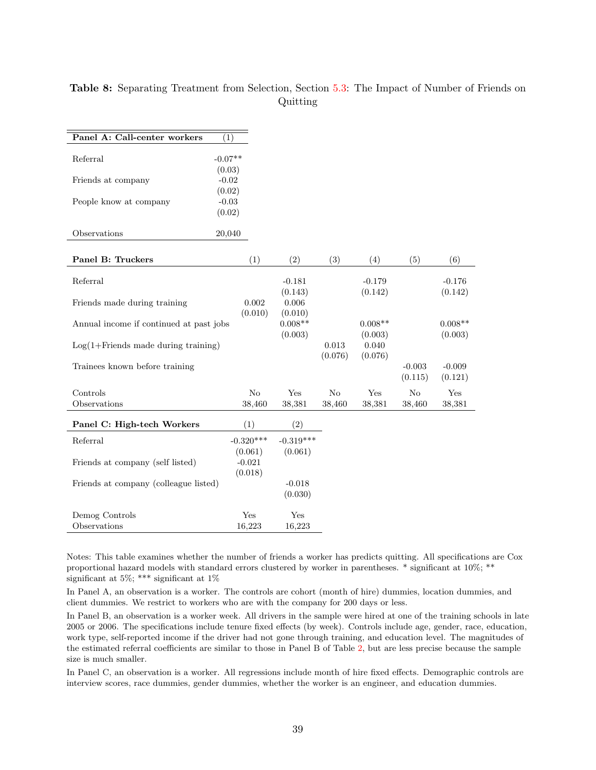| Panel A: Call-center workers                    | (1)                            |                      |                        |                      |                     |                      |
|-------------------------------------------------|--------------------------------|----------------------|------------------------|----------------------|---------------------|----------------------|
| Referral                                        | $-0.07**$<br>(0.03)            |                      |                        |                      |                     |                      |
| Friends at company                              | $-0.02$<br>(0.02)              |                      |                        |                      |                     |                      |
| People know at company                          | $-0.03$<br>(0.02)              |                      |                        |                      |                     |                      |
| Observations                                    | 20,040                         |                      |                        |                      |                     |                      |
| Panel B: Truckers                               | (1)                            | (2)                  | (3)                    | (4)                  | (5)                 | (6)                  |
| Referral                                        |                                | $-0.181$<br>(0.143)  |                        | $-0.179$<br>(0.142)  |                     | $-0.176$<br>(0.142)  |
| Friends made during training                    | 0.002<br>(0.010)               | 0.006<br>(0.010)     |                        |                      |                     |                      |
| Annual income if continued at past jobs         |                                | $0.008**$<br>(0.003) |                        | $0.008**$<br>(0.003) |                     | $0.008**$<br>(0.003) |
| $Log(1 + Friends \text{ made during training})$ |                                |                      | $\,0.013\,$<br>(0.076) | 0.040<br>(0.076)     |                     |                      |
| Trainees known before training                  |                                |                      |                        |                      | $-0.003$<br>(0.115) | $-0.009$<br>(0.121)  |
| Controls                                        | No                             | Yes                  | No                     | Yes                  | No                  | Yes                  |
| Observations                                    | 38,460                         | 38,381               | 38,460                 | 38,381               | 38,460              | 38,381               |
| Panel C: High-tech Workers                      | (1)                            | (2)                  |                        |                      |                     |                      |
| Referral                                        | $-0.320***$                    | $-0.319***$          |                        |                      |                     |                      |
| Friends at company (self listed)                | (0.061)<br>$-0.021$<br>(0.018) | (0.061)              |                        |                      |                     |                      |
| Friends at company (colleague listed)           |                                | $-0.018$<br>(0.030)  |                        |                      |                     |                      |
| Demog Controls                                  | Yes                            | Yes                  |                        |                      |                     |                      |
| Observations                                    | 16,223                         | 16,223               |                        |                      |                     |                      |

## <span id="page-38-0"></span>Table 8: Separating Treatment from Selection, Section [5.3:](#page-18-0) The Impact of Number of Friends on Quitting

Notes: This table examines whether the number of friends a worker has predicts quitting. All specifications are Cox proportional hazard models with standard errors clustered by worker in parentheses. \* significant at 10%; \*\* significant at 5%; \*\*\* significant at 1%

In Panel A, an observation is a worker. The controls are cohort (month of hire) dummies, location dummies, and client dummies. We restrict to workers who are with the company for 200 days or less.

In Panel B, an observation is a worker week. All drivers in the sample were hired at one of the training schools in late 2005 or 2006. The specifications include tenure fixed effects (by week). Controls include age, gender, race, education, work type, self-reported income if the driver had not gone through training, and education level. The magnitudes of the estimated referral coefficients are similar to those in Panel B of Table [2,](#page-33-0) but are less precise because the sample size is much smaller.

In Panel C, an observation is a worker. All regressions include month of hire fixed effects. Demographic controls are interview scores, race dummies, gender dummies, whether the worker is an engineer, and education dummies.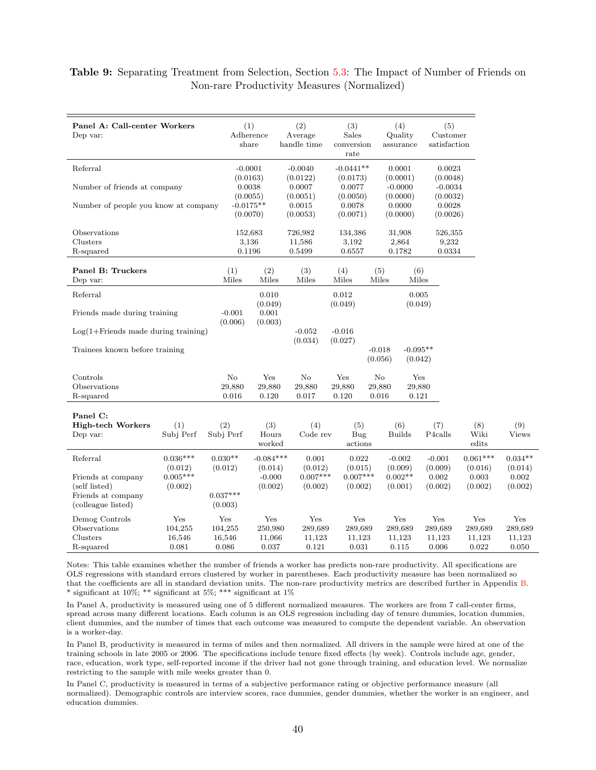#### <span id="page-39-0"></span>Table 9: Separating Treatment from Selection, Section [5.3:](#page-18-0) The Impact of Number of Friends on Non-rare Productivity Measures (Normalized)

| Dep var:                                                                        | Panel A: Call-center Workers      |                                   | (1)<br>Adherence<br>share         | (2)<br>Average<br>handle time     |                                   | (3)<br>(4)<br>Quality<br>Sales<br>conversion<br>assurance<br>rate |                                   | (5)<br>Customer<br>satisfaction   |                                   |                                   |
|---------------------------------------------------------------------------------|-----------------------------------|-----------------------------------|-----------------------------------|-----------------------------------|-----------------------------------|-------------------------------------------------------------------|-----------------------------------|-----------------------------------|-----------------------------------|-----------------------------------|
| Referral                                                                        |                                   | $-0.0001$                         |                                   | $-0.0040$                         | $-0.0441**$                       |                                                                   | 0.0001                            | 0.0023                            |                                   |                                   |
| Number of friends at company                                                    |                                   | 0.0038                            | (0.0163)<br>(0.0055)              | (0.0122)<br>0.0007<br>(0.0051)    | (0.0173)<br>0.0077<br>(0.0050)    |                                                                   | (0.0001)<br>$-0.0000$<br>(0.0000) | (0.0048)<br>$-0.0034$<br>(0.0032) |                                   |                                   |
| Number of people you know at company                                            |                                   | $-0.0175**$<br>(0.0070)           |                                   | 0.0015<br>(0.0053)                | 0.0078<br>(0.0071)                |                                                                   | 0.0000<br>(0.0000)                | 0.0028<br>(0.0026)                |                                   |                                   |
| Observations<br>Clusters<br>R-squared                                           |                                   | 152,683                           | 3,136<br>0.1196                   | 726,982<br>11,586<br>0.5499       | 134,386<br>3,192<br>0.6557        |                                                                   | 31,908<br>2,864<br>0.1782         | 526,355<br>9,232<br>0.0334        |                                   |                                   |
| Panel B: Truckers<br>Dep var:                                                   |                                   | (1)<br>Miles                      | (2)<br>Miles                      | (3)<br>Miles                      | (4)<br>Miles                      | (5)<br>Miles                                                      | (6)<br>Miles                      |                                   |                                   |                                   |
| Referral                                                                        |                                   |                                   | 0.010                             |                                   | 0.012                             |                                                                   | 0.005                             |                                   |                                   |                                   |
| Friends made during training                                                    |                                   | $-0.001$                          | (0.049)<br>0.001                  |                                   | (0.049)                           |                                                                   | (0.049)                           |                                   |                                   |                                   |
| $Log(1 +$ Friends made during training)                                         |                                   | (0.006)                           | (0.003)                           | $-0.052$                          | $-0.016$                          |                                                                   |                                   |                                   |                                   |                                   |
| Trainees known before training                                                  |                                   |                                   |                                   | (0.034)                           | (0.027)                           | $-0.018$<br>(0.056)                                               | $-0.095**$<br>(0.042)             |                                   |                                   |                                   |
| Controls<br>Observations<br>R-squared                                           |                                   | No<br>29,880<br>0.016             | Yes<br>29,880<br>0.120            | $\rm No$<br>29,880<br>0.017       | Yes<br>29,880<br>0.120            | $\rm No$<br>29,880<br>0.016                                       | Yes<br>29,880<br>0.121            |                                   |                                   |                                   |
|                                                                                 |                                   |                                   |                                   |                                   |                                   |                                                                   |                                   |                                   |                                   |                                   |
| Panel C:<br><b>High-tech Workers</b><br>Dep var:                                | (1)<br>Subj Perf                  | (2)<br>Subj Perf                  | (3)<br>Hours<br>worked            | (4)<br>Code rev                   | (5)<br>Bug<br>actions             |                                                                   | (6)<br><b>Builds</b>              | (7)<br>P <sub>4</sub> calls       | (8)<br>Wiki<br>edits              | (9)<br><b>Views</b>               |
| Referral                                                                        | $0.036***$<br>(0.012)             | $0.030**$<br>(0.012)              | $-0.084***$<br>(0.014)            | 0.001<br>(0.012)                  | 0.022<br>(0.015)                  |                                                                   | $-0.002$<br>(0.009)               | $-0.001$<br>(0.009)               | $0.061***$<br>(0.016)             | $0.034**$<br>(0.014)              |
| Friends at company<br>(self listed)<br>Friends at company<br>(colleague listed) | $0.005***$<br>(0.002)             | $0.037***$<br>(0.003)             | $-0.000$<br>(0.002)               | $0.007***$<br>(0.002)             | $0.007***$<br>(0.002)             |                                                                   | $0.002**$<br>(0.001)              | 0.002<br>(0.002)                  | 0.003<br>(0.002)                  | 0.002<br>(0.002)                  |
| Demog Controls<br>Observations<br>Clusters<br>R-squared                         | Yes<br>104,255<br>16,546<br>0.081 | Yes<br>104,255<br>16,546<br>0.086 | Yes<br>250,980<br>11,066<br>0.037 | Yes<br>289,689<br>11,123<br>0.121 | Yes<br>289,689<br>11,123<br>0.031 |                                                                   | Yes<br>289,689<br>11,123<br>0.115 | Yes<br>289,689<br>11,123<br>0.006 | Yes<br>289,689<br>11,123<br>0.022 | Yes<br>289,689<br>11,123<br>0.050 |

Notes: This table examines whether the number of friends a worker has predicts non-rare productivity. All specifications are OLS regressions with standard errors clustered by worker in parentheses. Each productivity measure has been normalized so that the coefficients are all in standard deviation units. The non-rare productivity metrics are described further in Appendix [B.](#page-47-0) \* significant at 10%; \*\* significant at 5%; \*\*\* significant at  $1\%$ 

In Panel A, productivity is measured using one of 5 different normalized measures. The workers are from 7 call-center firms, spread across many different locations. Each column is an OLS regression including day of tenure dummies, location dummies, client dummies, and the number of times that each outcome was measured to compute the dependent variable. An observation is a worker-day.

In Panel B, productivity is measured in terms of miles and then normalized. All drivers in the sample were hired at one of the training schools in late 2005 or 2006. The specifications include tenure fixed effects (by week). Controls include age, gender, race, education, work type, self-reported income if the driver had not gone through training, and education level. We normalize restricting to the sample with mile weeks greater than 0.

In Panel C, productivity is measured in terms of a subjective performance rating or objective performance measure (all normalized). Demographic controls are interview scores, race dummies, gender dummies, whether the worker is an engineer, and education dummies.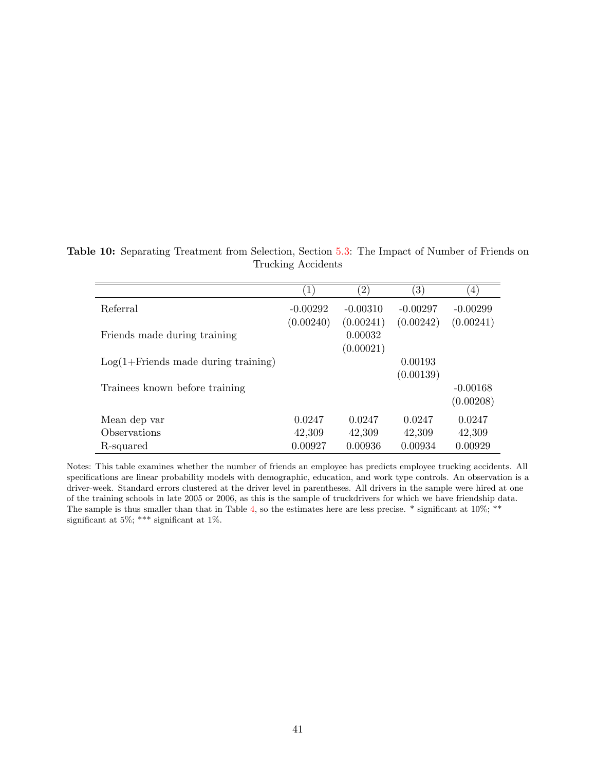<span id="page-40-0"></span>Table 10: Separating Treatment from Selection, Section [5.3:](#page-18-0) The Impact of Number of Friends on Trucking Accidents

|                                                 | $\left  \right $ | $\left( 2\right)$ | (3)        | $\left(4\right)$ |
|-------------------------------------------------|------------------|-------------------|------------|------------------|
| Referral                                        | $-0.00292$       | $-0.00310$        | $-0.00297$ | $-0.00299$       |
|                                                 | (0.00240)        | (0.00241)         | (0.00242)  | (0.00241)        |
| Friends made during training                    |                  | 0.00032           |            |                  |
|                                                 |                  | (0.00021)         |            |                  |
| $Log(1 + Friends \text{ made during training})$ |                  |                   | 0.00193    |                  |
|                                                 |                  |                   | (0.00139)  |                  |
| Trainees known before training                  |                  |                   |            | $-0.00168$       |
|                                                 |                  |                   |            | (0.00208)        |
| Mean dep var                                    | 0.0247           | 0.0247            | 0.0247     | 0.0247           |
| Observations                                    | 42,309           | 42,309            | 42,309     | 42,309           |
| R-squared                                       | 0.00927          | 0.00936           | 0.00934    | 0.00929          |

Notes: This table examines whether the number of friends an employee has predicts employee trucking accidents. All specifications are linear probability models with demographic, education, and work type controls. An observation is a driver-week. Standard errors clustered at the driver level in parentheses. All drivers in the sample were hired at one of the training schools in late 2005 or 2006, as this is the sample of truckdrivers for which we have friendship data. The sample is thus smaller than that in Table [4,](#page-35-0) so the estimates here are less precise.  $*$  significant at  $10\%;$  \*\* significant at 5%; \*\*\* significant at 1%.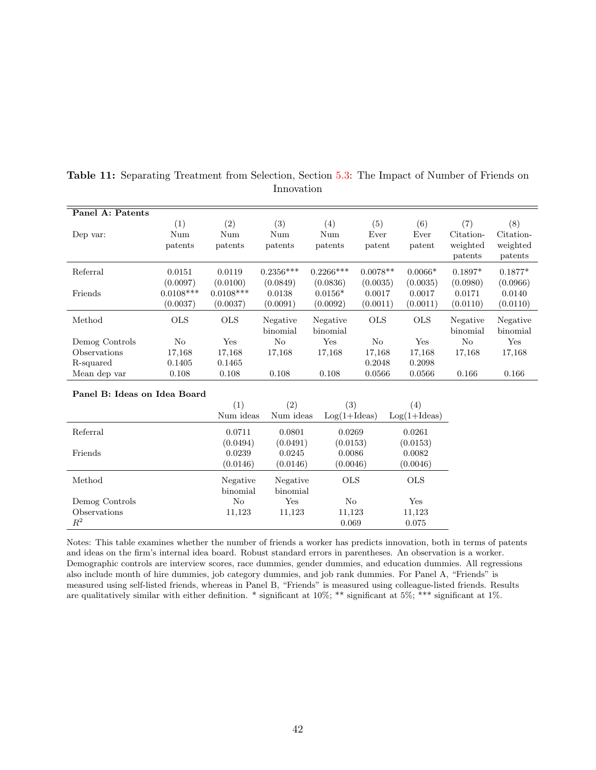| Panel A: Patents             |                                     |                                     |                                |                                   |                                |                                |                                         |                                         |
|------------------------------|-------------------------------------|-------------------------------------|--------------------------------|-----------------------------------|--------------------------------|--------------------------------|-----------------------------------------|-----------------------------------------|
| Dep var:                     | (1)<br>Num<br>patents               | (2)<br>Num<br>patents               | (3)<br>Num<br>patents          | (4)<br>Num<br>patents             | (5)<br>Ever<br>patent          | (6)<br>Ever<br>patent          | (7)<br>Citation-<br>weighted<br>patents | (8)<br>Citation-<br>weighted<br>patents |
| Referral                     | 0.0151                              | 0.0119                              | $0.2356***$                    | $0.2266***$                       | $0.0078**$                     | $0.0066*$                      | $0.1897*$                               | $0.1877*$                               |
| Friends                      | (0.0097)<br>$0.0108***$<br>(0.0037) | (0.0100)<br>$0.0108***$<br>(0.0037) | (0.0849)<br>0.0138<br>(0.0091) | (0.0836)<br>$0.0156*$<br>(0.0092) | (0.0035)<br>0.0017<br>(0.0011) | (0.0035)<br>0.0017<br>(0.0011) | (0.0980)<br>0.0171<br>(0.0110)          | (0.0966)<br>0.0140<br>(0.0110)          |
| Method                       | <b>OLS</b>                          | <b>OLS</b>                          | Negative<br>binomial           | Negative<br>binomial              | $_{\rm OLS}$                   | <b>OLS</b>                     | Negative<br>binomial                    | Negative<br>binomial                    |
| Demog Controls               | No                                  | Yes                                 | N <sub>o</sub>                 | Yes                               | No                             | Yes                            | N <sub>o</sub>                          | Yes                                     |
| Observations                 | 17,168                              | 17,168                              | 17,168                         | 17,168                            | 17,168                         | 17,168                         | 17,168                                  | 17,168                                  |
| R-squared                    | 0.1405                              | 0.1465                              |                                |                                   | 0.2048                         | 0.2098                         |                                         |                                         |
| Mean dep var                 | 0.108                               | 0.108                               | 0.108                          | 0.108                             | 0.0566                         | 0.0566                         | 0.166                                   | 0.166                                   |
| Panel B: Ideas on Idea Board |                                     | (1)                                 | (2)                            | (3)                               |                                | (4)                            |                                         |                                         |
|                              |                                     | Num ideas                           | Num ideas                      | $Log(1+Ideas)$                    |                                | $Log(1+Ideas)$                 |                                         |                                         |
| Referral                     |                                     | 0.0711                              | 0.0801                         | 0.0269                            |                                | 0.0261                         |                                         |                                         |
| Friends                      |                                     | (0.0494)<br>0.0239                  | (0.0491)<br>0.0245             | (0.0153)<br>0.0086                |                                | (0.0153)<br>0.0082             |                                         |                                         |
|                              |                                     | (0.0146)                            | (0.0146)                       | (0.0046)                          |                                | (0.0046)                       |                                         |                                         |
| Method                       |                                     | Negative<br>binomial                | Negative<br>binomial           | $_{\rm OLS}$                      |                                | <b>OLS</b>                     |                                         |                                         |
| Demog Controls               |                                     | No                                  | Yes                            | No                                |                                | Yes                            |                                         |                                         |
| Observations                 |                                     | 11,123                              | 11,123                         | 11,123                            |                                | 11,123                         |                                         |                                         |

<span id="page-41-0"></span>Table 11: Separating Treatment from Selection, Section [5.3:](#page-18-0) The Impact of Number of Friends on Innovation

Notes: This table examines whether the number of friends a worker has predicts innovation, both in terms of patents and ideas on the firm's internal idea board. Robust standard errors in parentheses. An observation is a worker. Demographic controls are interview scores, race dummies, gender dummies, and education dummies. All regressions also include month of hire dummies, job category dummies, and job rank dummies. For Panel A, "Friends" is measured using self-listed friends, whereas in Panel B, "Friends" is measured using colleague-listed friends. Results are qualitatively similar with either definition. \* significant at 10%; \*\* significant at 5%; \*\*\* significant at 1%.

0.069 0.075

 $R^2$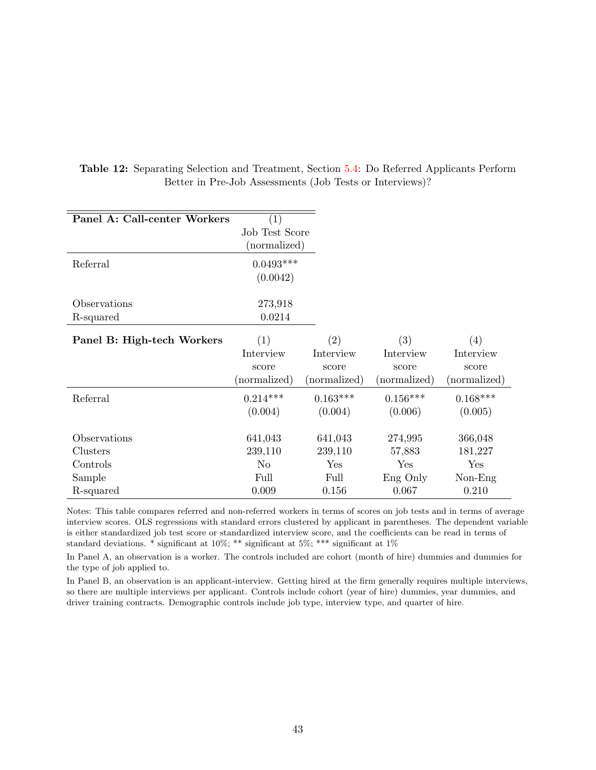| Panel A: Call-center Workers | $\left( 1\right)$ |              |              |              |
|------------------------------|-------------------|--------------|--------------|--------------|
|                              | Job Test Score    |              |              |              |
|                              | (normalized)      |              |              |              |
| Referral                     | $0.0493***$       |              |              |              |
|                              | (0.0042)          |              |              |              |
| Observations                 | 273,918           |              |              |              |
| R-squared                    | 0.0214            |              |              |              |
| Panel B: High-tech Workers   | (1)               | (2)          | (3)          | (4)          |
|                              | Interview         | Interview    | Interview    | Interview    |
|                              | score             | score        | score        | score        |
|                              | (normalized)      | (normalized) | (normalized) | (normalized) |
| Referral                     | $0.214***$        | $0.163***$   | $0.156***$   | $0.168***$   |
|                              | (0.004)           | (0.004)      | (0.006)      | (0.005)      |
| Observations                 | 641,043           | 641,043      | 274,995      | 366,048      |
| Clusters                     | 239,110           | 239,110      | 57,883       | 181,227      |
| Controls                     | N <sub>o</sub>    | Yes          | Yes          | Yes          |
| Sample                       | Full              | Full         | Eng Only     | $Non-Eng$    |
| R-squared                    | 0.009             | 0.156        | 0.067        | 0.210        |

<span id="page-42-0"></span>Table 12: Separating Selection and Treatment, Section [5.4:](#page-19-3) Do Referred Applicants Perform Better in Pre-Job Assessments (Job Tests or Interviews)?

Notes: This table compares referred and non-referred workers in terms of scores on job tests and in terms of average interview scores. OLS regressions with standard errors clustered by applicant in parentheses. The dependent variable is either standardized job test score or standardized interview score, and the coefficients can be read in terms of standard deviations. \* significant at 10%; \*\* significant at 5%; \*\*\* significant at 1%

In Panel A, an observation is a worker. The controls included are cohort (month of hire) dummies and dummies for the type of job applied to.

In Panel B, an observation is an applicant-interview. Getting hired at the firm generally requires multiple interviews, so there are multiple interviews per applicant. Controls include cohort (year of hire) dummies, year dummies, and driver training contracts. Demographic controls include job type, interview type, and quarter of hire.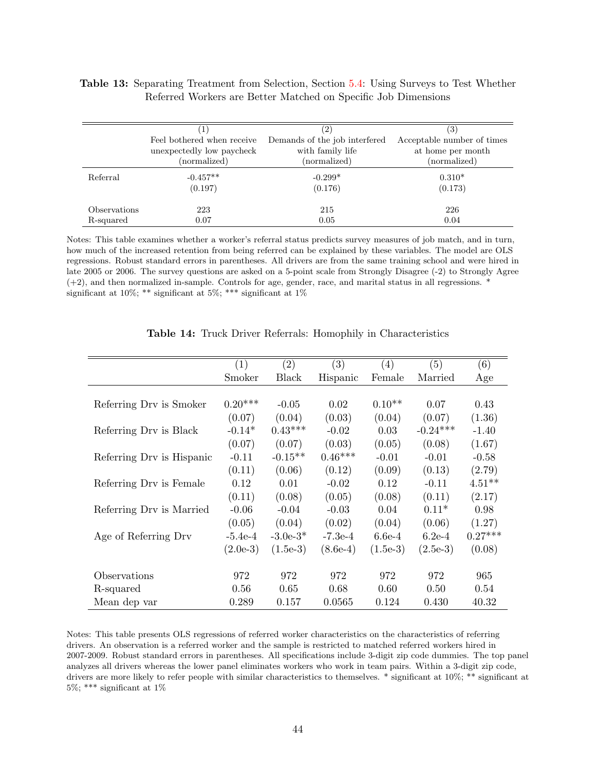#### <span id="page-43-0"></span>Table 13: Separating Treatment from Selection, Section [5.4:](#page-19-3) Using Surveys to Test Whether Referred Workers are Better Matched on Specific Job Dimensions

|              |                            | (2)                           | $\left(3\right)$           |
|--------------|----------------------------|-------------------------------|----------------------------|
|              | Feel bothered when receive | Demands of the job interfered | Acceptable number of times |
|              | unexpectedly low paycheck  | with family life              | at home per month          |
|              | (normalized)               | (normalized)                  | (normalized)               |
| Referral     | $-0.457**$                 | $-0.299*$                     | $0.310*$                   |
|              | (0.197)                    | (0.176)                       | (0.173)                    |
| Observations | 223                        | 215                           | 226                        |
| R-squared    | 0.07                       | 0.05                          | 0.04                       |

Notes: This table examines whether a worker's referral status predicts survey measures of job match, and in turn, how much of the increased retention from being referred can be explained by these variables. The model are OLS regressions. Robust standard errors in parentheses. All drivers are from the same training school and were hired in late 2005 or 2006. The survey questions are asked on a 5-point scale from Strongly Disagree (-2) to Strongly Agree (+2), and then normalized in-sample. Controls for age, gender, race, and marital status in all regressions. \* significant at 10%; \*\* significant at 5%; \*\*\* significant at  $1\%$ 

<span id="page-43-1"></span>

|                           | (1)        | (2)          | (3)        | (4)        | (5)        | (6)       |
|---------------------------|------------|--------------|------------|------------|------------|-----------|
|                           | Smoker     | <b>Black</b> | Hispanic   | Female     | Married    | Age       |
|                           |            |              |            |            |            |           |
| Referring Drv is Smoker   | $0.20***$  | $-0.05$      | 0.02       | $0.10**$   | 0.07       | 0.43      |
|                           | (0.07)     | (0.04)       | (0.03)     | (0.04)     | (0.07)     | (1.36)    |
| Referring Drv is Black    | $-0.14*$   | $0.43***$    | $-0.02$    | 0.03       | $-0.24***$ | $-1.40$   |
|                           | (0.07)     | (0.07)       | (0.03)     | (0.05)     | (0.08)     | (1.67)    |
| Referring Drv is Hispanic | $-0.11$    | $-0.15**$    | $0.46***$  | $-0.01$    | $-0.01$    | $-0.58$   |
|                           | (0.11)     | (0.06)       | (0.12)     | (0.09)     | (0.13)     | (2.79)    |
| Referring Drv is Female   | 0.12       | 0.01         | $-0.02$    | 0.12       | $-0.11$    | $4.51**$  |
|                           | (0.11)     | (0.08)       | (0.05)     | (0.08)     | (0.11)     | (2.17)    |
| Referring Drv is Married  | $-0.06$    | $-0.04$      | $-0.03$    | 0.04       | $0.11*$    | 0.98      |
|                           | (0.05)     | (0.04)       | (0.02)     | (0.04)     | (0.06)     | (1.27)    |
| Age of Referring Drv      | $-5.4e-4$  | $-3.0e-3*$   | $-7.3e-4$  | $6.6e-4$   | $6.2e-4$   | $0.27***$ |
|                           | $(2.0e-3)$ | $(1.5e-3)$   | $(8.6e-4)$ | $(1.5e-3)$ | $(2.5e-3)$ | (0.08)    |
|                           |            |              |            |            |            |           |
| Observations              | 972        | 972          | 972        | 972        | 972        | 965       |
| R-squared                 | 0.56       | 0.65         | 0.68       | 0.60       | 0.50       | 0.54      |
| Mean dep var              | 0.289      | 0.157        | 0.0565     | 0.124      | 0.430      | 40.32     |

|  |  |  |  | Table 14: Truck Driver Referrals: Homophily in Characteristics |
|--|--|--|--|----------------------------------------------------------------|
|--|--|--|--|----------------------------------------------------------------|

Notes: This table presents OLS regressions of referred worker characteristics on the characteristics of referring drivers. An observation is a referred worker and the sample is restricted to matched referred workers hired in 2007-2009. Robust standard errors in parentheses. All specifications include 3-digit zip code dummies. The top panel analyzes all drivers whereas the lower panel eliminates workers who work in team pairs. Within a 3-digit zip code, drivers are more likely to refer people with similar characteristics to themselves. \* significant at 10%; \*\* significant at  $5\%;$  <br>\*\*\* significant at  $1\%$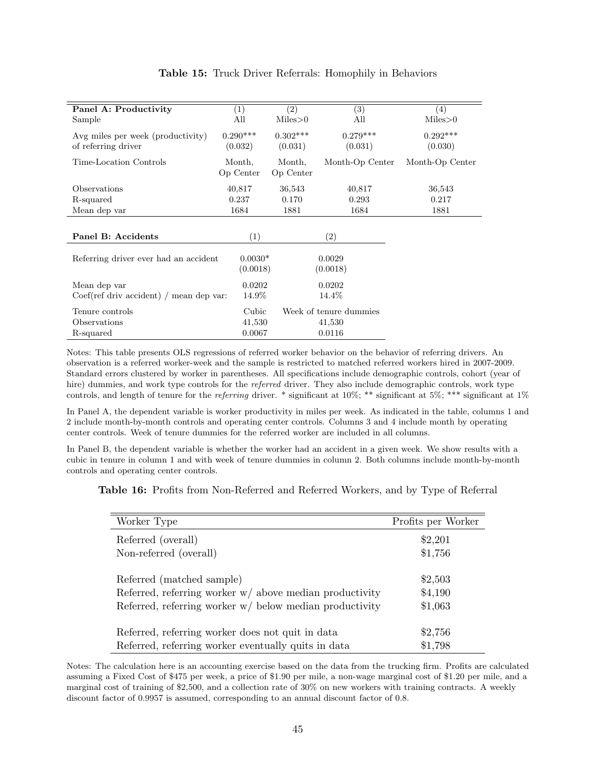<span id="page-44-0"></span>

| Panel A: Productivity                                    | (1)                   | (2)                   | (3)                    | (4)                   |
|----------------------------------------------------------|-----------------------|-----------------------|------------------------|-----------------------|
| Sample                                                   | All                   | Miles > 0             | All                    | Miles > 0             |
| Avg miles per week (productivity)<br>of referring driver | $0.290***$<br>(0.032) | $0.302***$<br>(0.031) | $0.279***$<br>(0.031)  | $0.292***$<br>(0.030) |
| Time-Location Controls                                   | Month,<br>Op Center   | Month,<br>Op Center   | Month-Op Center        | Month-Op Center       |
| Observations                                             | 40,817                | 36,543                | 40,817                 | 36,543                |
| R-squared                                                | 0.237                 | 0.170                 | 0.293                  | 0.217                 |
| Mean dep var                                             | 1684                  | 1881                  | 1684                   | 1881                  |
|                                                          |                       |                       |                        |                       |
| Panel B: Accidents                                       | (1)                   |                       | $\left( 2\right)$      |                       |
| Referring driver ever had an accident                    | $0.0030*$<br>(0.0018) |                       | 0.0029<br>(0.0018)     |                       |
| Mean dep var                                             | 0.0202                |                       | 0.0202                 |                       |
| $Coef (ref driv accident) / mean dep var:$               | 14.9%                 |                       | 14.4\%                 |                       |
| Tenure controls                                          | Cubic                 |                       | Week of tenure dummies |                       |
| Observations                                             | 41,530                |                       | 41,530                 |                       |
| R-squared                                                | 0.0067                |                       | 0.0116                 |                       |

#### Table 15: Truck Driver Referrals: Homophily in Behaviors

Notes: This table presents OLS regressions of referred worker behavior on the behavior of referring drivers. An observation is a referred worker-week and the sample is restricted to matched referred workers hired in 2007-2009. Standard errors clustered by worker in parentheses. All specifications include demographic controls, cohort (year of hire) dummies, and work type controls for the referred driver. They also include demographic controls, work type controls, and length of tenure for the referring driver. \* significant at 10%; \*\* significant at 5%; \*\*\* significant at 1%

In Panel A, the dependent variable is worker productivity in miles per week. As indicated in the table, columns 1 and 2 include month-by-month controls and operating center controls. Columns 3 and 4 include month by operating center controls. Week of tenure dummies for the referred worker are included in all columns.

In Panel B, the dependent variable is whether the worker had an accident in a given week. We show results with a cubic in tenure in column 1 and with week of tenure dummies in column 2. Both columns include month-by-month controls and operating center controls.

<span id="page-44-1"></span>Table 16: Profits from Non-Referred and Referred Workers, and by Type of Referral

| Worker Type                                               | Profits per Worker |
|-----------------------------------------------------------|--------------------|
| Referred (overall)                                        | \$2,201            |
| Non-referred (overall)                                    | \$1,756            |
| Referred (matched sample)                                 | \$2,503            |
| Referred, referring worker $w/$ above median productivity | \$4,190            |
| Referred, referring worker $w/$ below median productivity | \$1,063            |
| Referred, referring worker does not quit in data          | \$2,756            |
| Referred, referring worker eventually quits in data       | \$1,798            |

Notes: The calculation here is an accounting exercise based on the data from the trucking firm. Profits are calculated assuming a Fixed Cost of \$475 per week, a price of \$1.90 per mile, a non-wage marginal cost of \$1.20 per mile, and a marginal cost of training of \$2,500, and a collection rate of 30% on new workers with training contracts. A weekly discount factor of 0.9957 is assumed, corresponding to an annual discount factor of 0.8.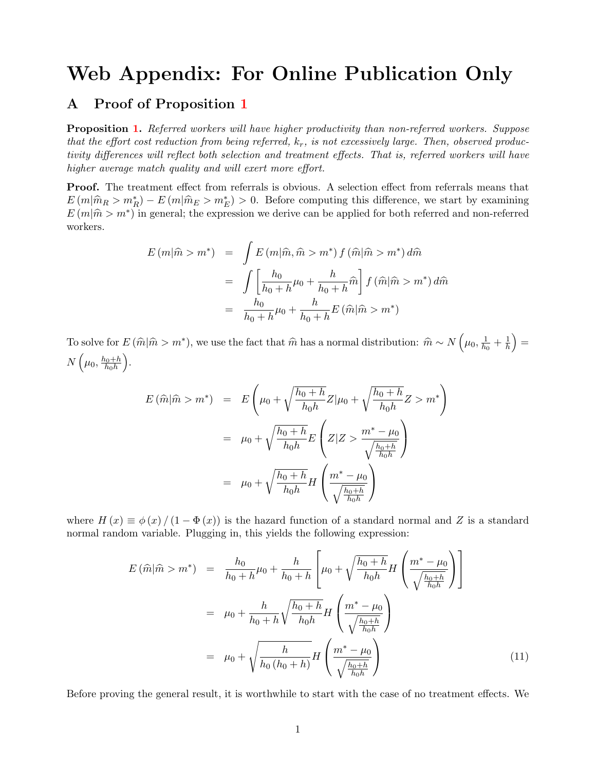# Web Appendix: For Online Publication Only

## <span id="page-45-0"></span>A Proof of Proposition [1](#page-6-1)

Proposition [1.](#page-6-1) Referred workers will have higher productivity than non-referred workers. Suppose that the effort cost reduction from being referred,  $k_r$ , is not excessively large. Then, observed productivity differences will reflect both selection and treatment effects. That is, referred workers will have higher average match quality and will exert more effort.

Proof. The treatment effect from referrals is obvious. A selection effect from referrals means that  $E(m|\hat{m}_R > m_R^*) - E(m|\hat{m}_E > m_E^*) > 0$ . Before computing this difference, we start by examining  $E(m|\hat{m}_R > m^*)$  in general, the expression we derive see he applied for both referred and non-referred  $E(m|\hat{m} > m^*)$  in general; the expression we derive can be applied for both referred and non-referred workers.

$$
E(m|\hat{m} > m^*) = \int E(m|\hat{m}, \hat{m} > m^*) f(\hat{m}|\hat{m} > m^*) d\hat{m}
$$
  

$$
= \int \left[\frac{h_0}{h_0 + h} \mu_0 + \frac{h}{h_0 + h} \hat{m}\right] f(\hat{m}|\hat{m} > m^*) d\hat{m}
$$
  

$$
= \frac{h_0}{h_0 + h} \mu_0 + \frac{h}{h_0 + h} E(\hat{m}|\hat{m} > m^*)
$$

To solve for  $E(\hat{m}|\hat{m} > m^*)$ , we use the fact that  $\hat{m}$  has a normal distribution:  $\hat{m} \sim N(\mu_0, \frac{1}{h_0})$  $\frac{1}{h_0} + \frac{1}{h}$  $\frac{1}{h}$   $\Big) =$  $N\left(\mu_0, \frac{h_0+h}{h_0h}\right)$  $h_0 h$ .

$$
E(\widehat{m}|\widehat{m} > m^*) = E\left(\mu_0 + \sqrt{\frac{h_0 + h}{h_0 h}} Z|\mu_0 + \sqrt{\frac{h_0 + h}{h_0 h}} Z > m^*\right)
$$
  

$$
= \mu_0 + \sqrt{\frac{h_0 + h}{h_0 h}} E\left(Z|Z > \frac{m^* - \mu_0}{\sqrt{\frac{h_0 + h}{h_0 h}}}\right)
$$
  

$$
= \mu_0 + \sqrt{\frac{h_0 + h}{h_0 h}} H\left(\frac{m^* - \mu_0}{\sqrt{\frac{h_0 + h}{h_0 h}}}\right)
$$

where  $H(x) \equiv \phi(x) / (1 - \Phi(x))$  is the hazard function of a standard normal and Z is a standard normal random variable. Plugging in, this yields the following expression:

<span id="page-45-1"></span>
$$
E(\hat{m}|\hat{m} > m^*) = \frac{h_0}{h_0 + h} \mu_0 + \frac{h}{h_0 + h} \left[ \mu_0 + \sqrt{\frac{h_0 + h}{h_0 h}} H\left(\frac{m^* - \mu_0}{\sqrt{\frac{h_0 + h}{h_0 h}}}\right) \right]
$$
  

$$
= \mu_0 + \frac{h}{h_0 + h} \sqrt{\frac{h_0 + h}{h_0 h}} H\left(\frac{m^* - \mu_0}{\sqrt{\frac{h_0 + h}{h_0 h}}}\right)
$$
  

$$
= \mu_0 + \sqrt{\frac{h}{h_0(h_0 + h)}} H\left(\frac{m^* - \mu_0}{\sqrt{\frac{h_0 + h}{h_0 h}}}\right)
$$
(11)

Before proving the general result, it is worthwhile to start with the case of no treatment effects. We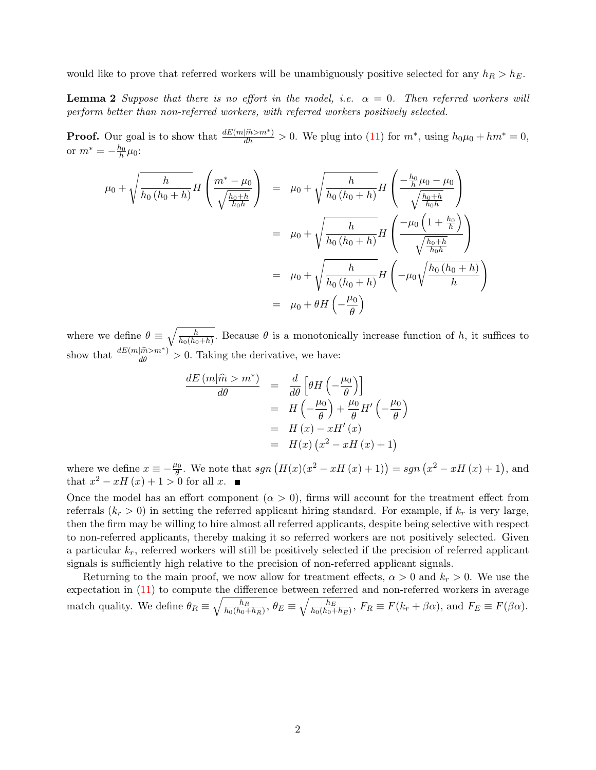would like to prove that referred workers will be unambiguously positive selected for any  $h_R > h_E$ .

**Lemma 2** Suppose that there is no effort in the model, i.e.  $\alpha = 0$ . Then referred workers will perform better than non-referred workers, with referred workers positively selected.

**Proof.** Our goal is to show that  $\frac{dE(m|\hat{m}>m^*)}{dh} > 0$ . We plug into [\(11\)](#page-45-1) for  $m^*$ , using  $h_0\mu_0 + hm^* = 0$ , or  $m^* = -\frac{h_0}{h} \mu_0$ :

$$
\mu_0 + \sqrt{\frac{h}{h_0(h_0 + h)}} H\left(\frac{m^* - \mu_0}{\sqrt{\frac{h_0 + h}{h_0 h}}}\right) = \mu_0 + \sqrt{\frac{h}{h_0(h_0 + h)}} H\left(\frac{-\frac{h_0}{h} \mu_0 - \mu_0}{\sqrt{\frac{h_0 + h}{h_0 h}}}\right)
$$
  

$$
= \mu_0 + \sqrt{\frac{h}{h_0(h_0 + h)}} H\left(\frac{-\mu_0 \left(1 + \frac{h_0}{h}\right)}{\sqrt{\frac{h_0 + h}{h_0 h}}}\right)
$$
  

$$
= \mu_0 + \sqrt{\frac{h}{h_0(h_0 + h)}} H\left(-\mu_0 \sqrt{\frac{h_0(h_0 + h)}{h}}\right)
$$
  

$$
= \mu_0 + \theta H\left(-\frac{\mu_0}{\theta}\right)
$$

where we define  $\theta \equiv \sqrt{\frac{h}{h_0(h_0+h)}}$ . Because  $\theta$  is a monotonically increase function of h, it suffices to show that  $\frac{dE(m|\hat{m}>m^*)}{d\theta} > 0$ . Taking the derivative, we have:

$$
\frac{dE(m|\hat{m} > m^*)}{d\theta} = \frac{d}{d\theta} \left[ \theta H\left(-\frac{\mu_0}{\theta}\right) \right]
$$

$$
= H\left(-\frac{\mu_0}{\theta}\right) + \frac{\mu_0}{\theta} H'\left(-\frac{\mu_0}{\theta}\right)
$$

$$
= H(x) - xH'(x)
$$

$$
= H(x) \left(x^2 - xH(x) + 1\right)
$$

where we define  $x \equiv -\frac{\mu_0}{\theta}$ . We note that  $sgn(H(x)(x^2 - xH(x) + 1)) = sgn(x^2 - xH(x) + 1)$ , and that  $x^2 - xH(x) + 1 > 0$  for all x.

Once the model has an effort component  $(\alpha > 0)$ , firms will account for the treatment effect from referrals  $(k_r > 0)$  in setting the referred applicant hiring standard. For example, if  $k_r$  is very large, then the firm may be willing to hire almost all referred applicants, despite being selective with respect to non-referred applicants, thereby making it so referred workers are not positively selected. Given a particular  $k_r$ , referred workers will still be positively selected if the precision of referred applicant signals is sufficiently high relative to the precision of non-referred applicant signals.

Returning to the main proof, we now allow for treatment effects,  $\alpha > 0$  and  $k_r > 0$ . We use the expectation in  $(11)$  to compute the difference between referred and non-referred workers in average match quality. We define  $\theta_R \equiv \sqrt{\frac{h_R}{h_0(h_0+h_1)}}$  $\overline{\frac{h_R}{h_0(h_0+h_R)}},\,\theta_E\equiv\sqrt{\frac{h_E}{h_0(h_0+h_R)}}$  $\frac{h_E}{h_0(h_0+h_E)}, F_R \equiv F(k_r+\beta\alpha)$ , and  $F_E \equiv F(\beta\alpha)$ .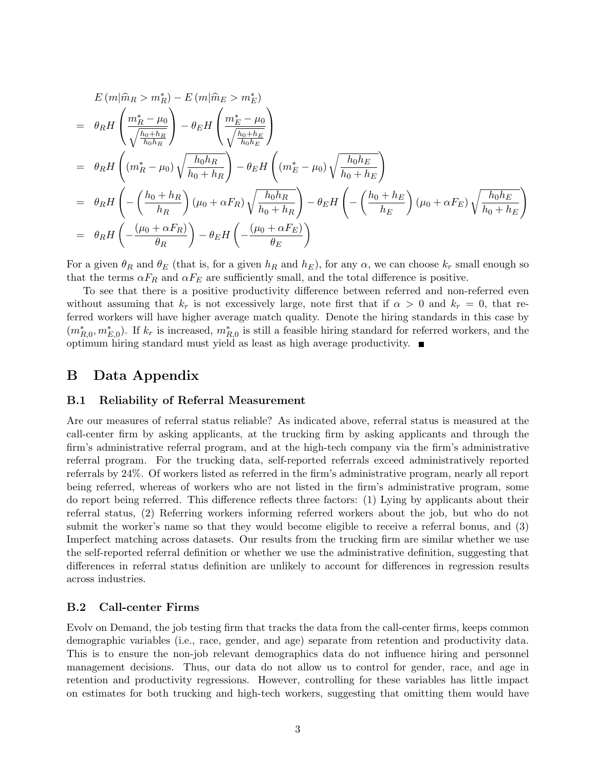$$
E (m | \hat{m}_R > m_R^*) - E (m | \hat{m}_E > m_E^*)
$$
  
=  $\theta_R H \left( \frac{m_R^* - \mu_0}{\sqrt{\frac{h_0 + h_R}{h_0 h_R}}} \right) - \theta_E H \left( \frac{m_E^* - \mu_0}{\sqrt{\frac{h_0 + h_E}{h_0 h_E}}} \right)$   
=  $\theta_R H \left( (m_R^* - \mu_0) \sqrt{\frac{h_0 h_R}{h_0 + h_R}} \right) - \theta_E H \left( (m_E^* - \mu_0) \sqrt{\frac{h_0 h_E}{h_0 + h_E}} \right)$   
=  $\theta_R H \left( -\left( \frac{h_0 + h_R}{h_R} \right) (\mu_0 + \alpha F_R) \sqrt{\frac{h_0 h_R}{h_0 + h_R}} \right) - \theta_E H \left( -\left( \frac{h_0 + h_E}{h_E} \right) (\mu_0 + \alpha F_E) \sqrt{\frac{h_0 h_E}{h_0 + h_E}} \right)$   
=  $\theta_R H \left( -\frac{(\mu_0 + \alpha F_R)}{\theta_R} \right) - \theta_E H \left( -\frac{(\mu_0 + \alpha F_E)}{\theta_E} \right)$ 

For a given  $\theta_R$  and  $\theta_E$  (that is, for a given  $h_R$  and  $h_E$ ), for any  $\alpha$ , we can choose  $k_r$  small enough so that the terms  $\alpha F_R$  and  $\alpha F_E$  are sufficiently small, and the total difference is positive.

To see that there is a positive productivity difference between referred and non-referred even without assuming that  $k_r$  is not excessively large, note first that if  $\alpha > 0$  and  $k_r = 0$ , that referred workers will have higher average match quality. Denote the hiring standards in this case by  $(m_{R,0}^*, m_{E,0}^*)$ . If  $k_r$  is increased,  $m_{R,0}^*$  is still a feasible hiring standard for referred workers, and the optimum hiring standard must yield as least as high average productivity.  $\blacksquare$ 

## <span id="page-47-0"></span>B Data Appendix

#### <span id="page-47-1"></span>B.1 Reliability of Referral Measurement

Are our measures of referral status reliable? As indicated above, referral status is measured at the call-center firm by asking applicants, at the trucking firm by asking applicants and through the firm's administrative referral program, and at the high-tech company via the firm's administrative referral program. For the trucking data, self-reported referrals exceed administratively reported referrals by 24%. Of workers listed as referred in the firm's administrative program, nearly all report being referred, whereas of workers who are not listed in the firm's administrative program, some do report being referred. This difference reflects three factors: (1) Lying by applicants about their referral status, (2) Referring workers informing referred workers about the job, but who do not submit the worker's name so that they would become eligible to receive a referral bonus, and (3) Imperfect matching across datasets. Our results from the trucking firm are similar whether we use the self-reported referral definition or whether we use the administrative definition, suggesting that differences in referral status definition are unlikely to account for differences in regression results across industries.

#### B.2 Call-center Firms

Evolv on Demand, the job testing firm that tracks the data from the call-center firms, keeps common demographic variables (i.e., race, gender, and age) separate from retention and productivity data. This is to ensure the non-job relevant demographics data do not influence hiring and personnel management decisions. Thus, our data do not allow us to control for gender, race, and age in retention and productivity regressions. However, controlling for these variables has little impact on estimates for both trucking and high-tech workers, suggesting that omitting them would have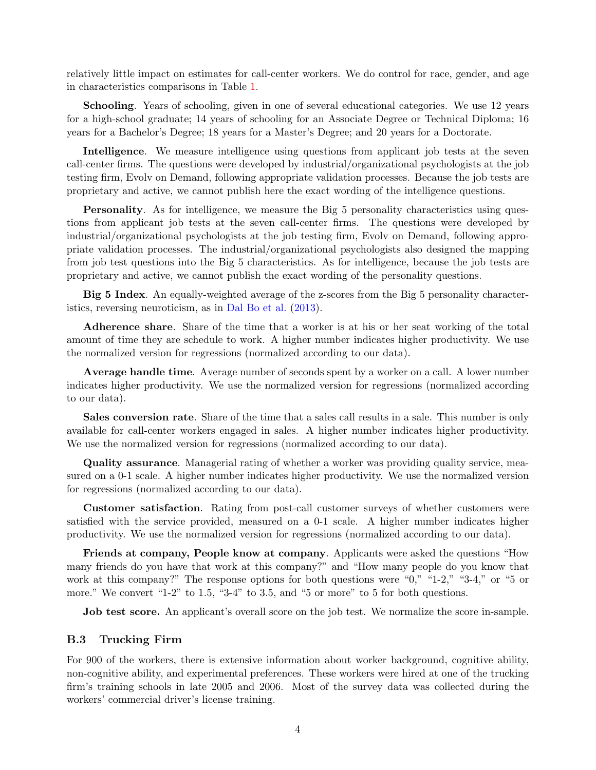relatively little impact on estimates for call-center workers. We do control for race, gender, and age in characteristics comparisons in Table [1.](#page-32-0)

Schooling. Years of schooling, given in one of several educational categories. We use 12 years for a high-school graduate; 14 years of schooling for an Associate Degree or Technical Diploma; 16 years for a Bachelor's Degree; 18 years for a Master's Degree; and 20 years for a Doctorate.

Intelligence. We measure intelligence using questions from applicant job tests at the seven call-center firms. The questions were developed by industrial/organizational psychologists at the job testing firm, Evolv on Demand, following appropriate validation processes. Because the job tests are proprietary and active, we cannot publish here the exact wording of the intelligence questions.

Personality. As for intelligence, we measure the Big 5 personality characteristics using questions from applicant job tests at the seven call-center firms. The questions were developed by industrial/organizational psychologists at the job testing firm, Evolv on Demand, following appropriate validation processes. The industrial/organizational psychologists also designed the mapping from job test questions into the Big 5 characteristics. As for intelligence, because the job tests are proprietary and active, we cannot publish the exact wording of the personality questions.

Big 5 Index. An equally-weighted average of the z-scores from the Big 5 personality characteristics, reversing neuroticism, as in [Dal Bo et al.](#page-27-19) [\(2013\)](#page-27-19).

Adherence share. Share of the time that a worker is at his or her seat working of the total amount of time they are schedule to work. A higher number indicates higher productivity. We use the normalized version for regressions (normalized according to our data).

Average handle time. Average number of seconds spent by a worker on a call. A lower number indicates higher productivity. We use the normalized version for regressions (normalized according to our data).

Sales conversion rate. Share of the time that a sales call results in a sale. This number is only available for call-center workers engaged in sales. A higher number indicates higher productivity. We use the normalized version for regressions (normalized according to our data).

Quality assurance. Managerial rating of whether a worker was providing quality service, measured on a 0-1 scale. A higher number indicates higher productivity. We use the normalized version for regressions (normalized according to our data).

Customer satisfaction. Rating from post-call customer surveys of whether customers were satisfied with the service provided, measured on a 0-1 scale. A higher number indicates higher productivity. We use the normalized version for regressions (normalized according to our data).

Friends at company, People know at company. Applicants were asked the questions "How many friends do you have that work at this company?" and "How many people do you know that work at this company?" The response options for both questions were "0," "1-2," "3-4," or "5 or more." We convert "1-2" to 1.5, "3-4" to 3.5, and "5 or more" to 5 for both questions.

**Job test score.** An applicant's overall score on the job test. We normalize the score in-sample.

#### B.3 Trucking Firm

For 900 of the workers, there is extensive information about worker background, cognitive ability, non-cognitive ability, and experimental preferences. These workers were hired at one of the trucking firm's training schools in late 2005 and 2006. Most of the survey data was collected during the workers' commercial driver's license training.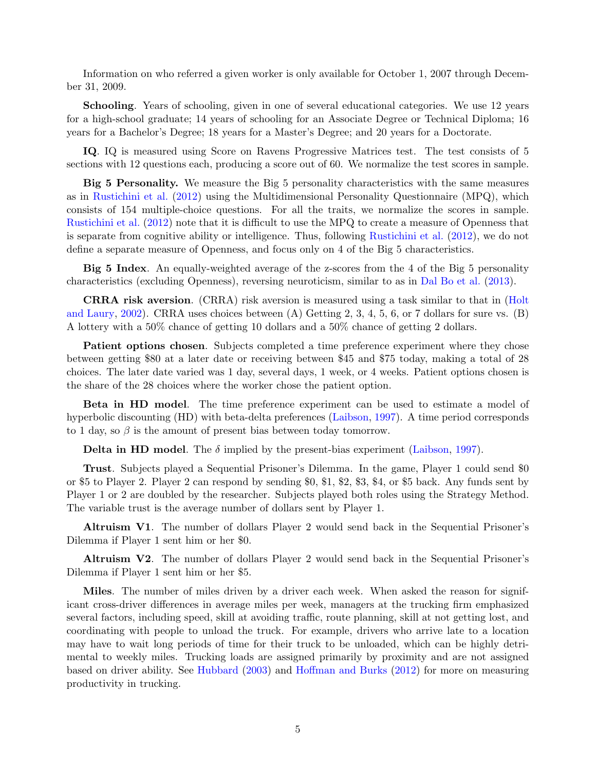Information on who referred a given worker is only available for October 1, 2007 through December 31, 2009.

Schooling. Years of schooling, given in one of several educational categories. We use 12 years for a high-school graduate; 14 years of schooling for an Associate Degree or Technical Diploma; 16 years for a Bachelor's Degree; 18 years for a Master's Degree; and 20 years for a Doctorate.

IQ. IQ is measured using Score on Ravens Progressive Matrices test. The test consists of 5 sections with 12 questions each, producing a score out of 60. We normalize the test scores in sample.

Big 5 Personality. We measure the Big 5 personality characteristics with the same measures as in [Rustichini et al.](#page-28-17) [\(2012\)](#page-28-17) using the Multidimensional Personality Questionnaire (MPQ), which consists of 154 multiple-choice questions. For all the traits, we normalize the scores in sample. [Rustichini et al.](#page-28-17) [\(2012\)](#page-28-17) note that it is difficult to use the MPQ to create a measure of Openness that is separate from cognitive ability or intelligence. Thus, following [Rustichini et al.](#page-28-17) [\(2012\)](#page-28-17), we do not define a separate measure of Openness, and focus only on 4 of the Big 5 characteristics.

Big 5 Index. An equally-weighted average of the z-scores from the 4 of the Big 5 personality characteristics (excluding Openness), reversing neuroticism, similar to as in [Dal Bo et al.](#page-27-19) [\(2013\)](#page-27-19).

CRRA risk aversion. (CRRA) risk aversion is measured using a task similar to that in [\(Holt](#page-62-0) [and Laury,](#page-62-0) [2002\)](#page-62-0). CRRA uses choices between (A) Getting 2, 3, 4, 5, 6, or 7 dollars for sure vs. (B) A lottery with a 50% chance of getting 10 dollars and a 50% chance of getting 2 dollars.

Patient options chosen. Subjects completed a time preference experiment where they chose between getting \$80 at a later date or receiving between \$45 and \$75 today, making a total of 28 choices. The later date varied was 1 day, several days, 1 week, or 4 weeks. Patient options chosen is the share of the 28 choices where the worker chose the patient option.

Beta in HD model. The time preference experiment can be used to estimate a model of hyperbolic discounting (HD) with beta-delta preferences [\(Laibson,](#page-62-1) [1997\)](#page-62-1). A time period corresponds to 1 day, so  $\beta$  is the amount of present bias between today tomorrow.

**Delta in HD model.** The  $\delta$  implied by the present-bias experiment [\(Laibson,](#page-62-1) [1997\)](#page-62-1).

Trust. Subjects played a Sequential Prisoner's Dilemma. In the game, Player 1 could send \$0 or \$5 to Player 2. Player 2 can respond by sending \$0, \$1, \$2, \$3, \$4, or \$5 back. Any funds sent by Player 1 or 2 are doubled by the researcher. Subjects played both roles using the Strategy Method. The variable trust is the average number of dollars sent by Player 1.

Altruism V1. The number of dollars Player 2 would send back in the Sequential Prisoner's Dilemma if Player 1 sent him or her \$0.

Altruism V2. The number of dollars Player 2 would send back in the Sequential Prisoner's Dilemma if Player 1 sent him or her \$5.

Miles. The number of miles driven by a driver each week. When asked the reason for significant cross-driver differences in average miles per week, managers at the trucking firm emphasized several factors, including speed, skill at avoiding traffic, route planning, skill at not getting lost, and coordinating with people to unload the truck. For example, drivers who arrive late to a location may have to wait long periods of time for their truck to be unloaded, which can be highly detrimental to weekly miles. Trucking loads are assigned primarily by proximity and are not assigned based on driver ability. See [Hubbard](#page-62-2) [\(2003\)](#page-62-2) and [Hoffman and Burks](#page-27-23) [\(2012\)](#page-27-23) for more on measuring productivity in trucking.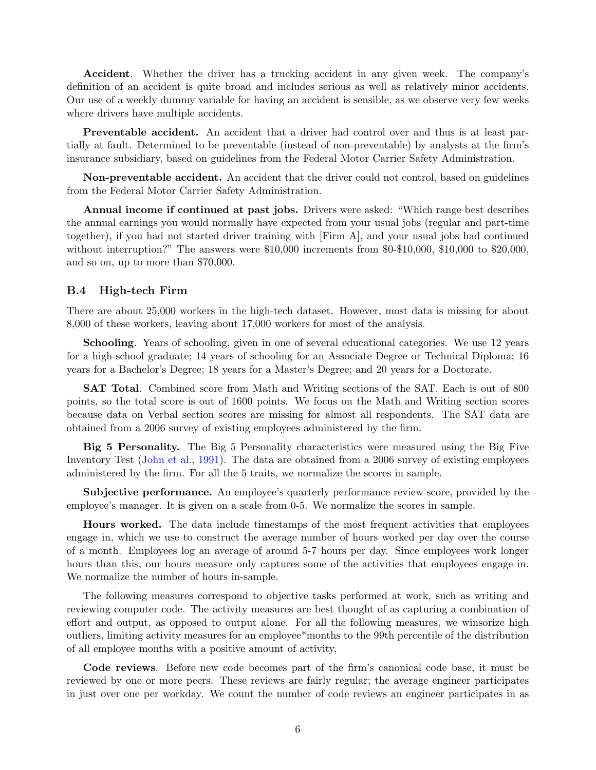Accident. Whether the driver has a trucking accident in any given week. The company's definition of an accident is quite broad and includes serious as well as relatively minor accidents. Our use of a weekly dummy variable for having an accident is sensible, as we observe very few weeks where drivers have multiple accidents.

Preventable accident. An accident that a driver had control over and thus is at least partially at fault. Determined to be preventable (instead of non-preventable) by analysts at the firm's insurance subsidiary, based on guidelines from the Federal Motor Carrier Safety Administration.

Non-preventable accident. An accident that the driver could not control, based on guidelines from the Federal Motor Carrier Safety Administration.

Annual income if continued at past jobs. Drivers were asked: "Which range best describes the annual earnings you would normally have expected from your usual jobs (regular and part-time together), if you had not started driver training with [Firm A], and your usual jobs had continued without interruption?" The answers were \$10,000 increments from \$0-\$10,000, \$10,000 to \$20,000, and so on, up to more than \$70,000.

#### B.4 High-tech Firm

There are about 25,000 workers in the high-tech dataset. However, most data is missing for about 8,000 of these workers, leaving about 17,000 workers for most of the analysis.

Schooling. Years of schooling, given in one of several educational categories. We use 12 years for a high-school graduate; 14 years of schooling for an Associate Degree or Technical Diploma; 16 years for a Bachelor's Degree; 18 years for a Master's Degree; and 20 years for a Doctorate.

SAT Total. Combined score from Math and Writing sections of the SAT. Each is out of 800 points, so the total score is out of 1600 points. We focus on the Math and Writing section scores because data on Verbal section scores are missing for almost all respondents. The SAT data are obtained from a 2006 survey of existing employees administered by the firm.

Big 5 Personality. The Big 5 Personality characteristics were measured using the Big Five Inventory Test [\(John et al.,](#page-62-3) [1991\)](#page-62-3). The data are obtained from a 2006 survey of existing employees administered by the firm. For all the 5 traits, we normalize the scores in sample.

Subjective performance. An employee's quarterly performance review score, provided by the employee's manager. It is given on a scale from 0-5. We normalize the scores in sample.

Hours worked. The data include timestamps of the most frequent activities that employees engage in, which we use to construct the average number of hours worked per day over the course of a month. Employees log an average of around 5-7 hours per day. Since employees work longer hours than this, our hours measure only captures some of the activities that employees engage in. We normalize the number of hours in-sample.

The following measures correspond to objective tasks performed at work, such as writing and reviewing computer code. The activity measures are best thought of as capturing a combination of effort and output, as opposed to output alone. For all the following measures, we winsorize high outliers, limiting activity measures for an employee\*months to the 99th percentile of the distribution of all employee months with a positive amount of activity,

Code reviews. Before new code becomes part of the firm's canonical code base, it must be reviewed by one or more peers. These reviews are fairly regular; the average engineer participates in just over one per workday. We count the number of code reviews an engineer participates in as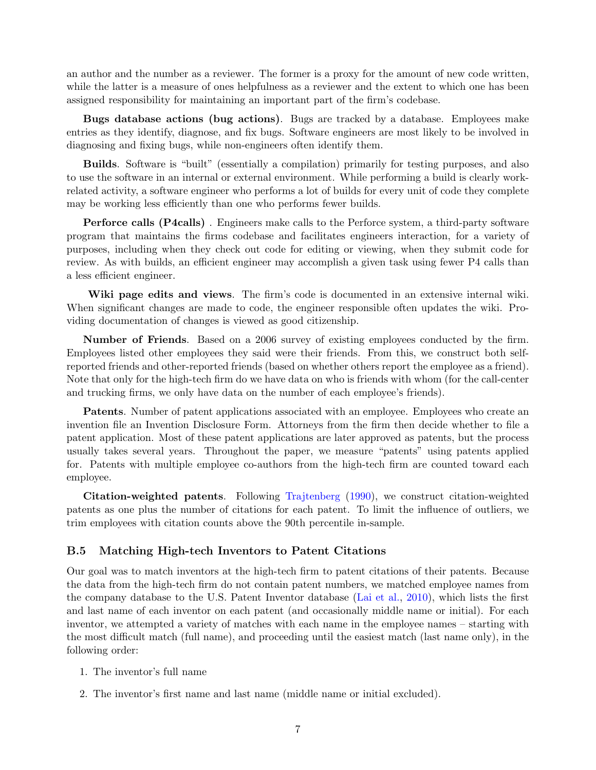an author and the number as a reviewer. The former is a proxy for the amount of new code written, while the latter is a measure of ones helpfulness as a reviewer and the extent to which one has been assigned responsibility for maintaining an important part of the firm's codebase.

Bugs database actions (bug actions). Bugs are tracked by a database. Employees make entries as they identify, diagnose, and fix bugs. Software engineers are most likely to be involved in diagnosing and fixing bugs, while non-engineers often identify them.

Builds. Software is "built" (essentially a compilation) primarily for testing purposes, and also to use the software in an internal or external environment. While performing a build is clearly workrelated activity, a software engineer who performs a lot of builds for every unit of code they complete may be working less efficiently than one who performs fewer builds.

Perforce calls (P4calls) . Engineers make calls to the Perforce system, a third-party software program that maintains the firms codebase and facilitates engineers interaction, for a variety of purposes, including when they check out code for editing or viewing, when they submit code for review. As with builds, an efficient engineer may accomplish a given task using fewer P4 calls than a less efficient engineer.

Wiki page edits and views. The firm's code is documented in an extensive internal wiki. When significant changes are made to code, the engineer responsible often updates the wiki. Providing documentation of changes is viewed as good citizenship.

Number of Friends. Based on a 2006 survey of existing employees conducted by the firm. Employees listed other employees they said were their friends. From this, we construct both selfreported friends and other-reported friends (based on whether others report the employee as a friend). Note that only for the high-tech firm do we have data on who is friends with whom (for the call-center and trucking firms, we only have data on the number of each employee's friends).

Patents. Number of patent applications associated with an employee. Employees who create an invention file an Invention Disclosure Form. Attorneys from the firm then decide whether to file a patent application. Most of these patent applications are later approved as patents, but the process usually takes several years. Throughout the paper, we measure "patents" using patents applied for. Patents with multiple employee co-authors from the high-tech firm are counted toward each employee.

Citation-weighted patents. Following [Trajtenberg](#page-28-19) [\(1990\)](#page-28-19), we construct citation-weighted patents as one plus the number of citations for each patent. To limit the influence of outliers, we trim employees with citation counts above the 90th percentile in-sample.

#### B.5 Matching High-tech Inventors to Patent Citations

Our goal was to match inventors at the high-tech firm to patent citations of their patents. Because the data from the high-tech firm do not contain patent numbers, we matched employee names from the company database to the U.S. Patent Inventor database [\(Lai et al.,](#page-62-4) [2010\)](#page-62-4), which lists the first and last name of each inventor on each patent (and occasionally middle name or initial). For each inventor, we attempted a variety of matches with each name in the employee names – starting with the most difficult match (full name), and proceeding until the easiest match (last name only), in the following order:

- 1. The inventor's full name
- 2. The inventor's first name and last name (middle name or initial excluded).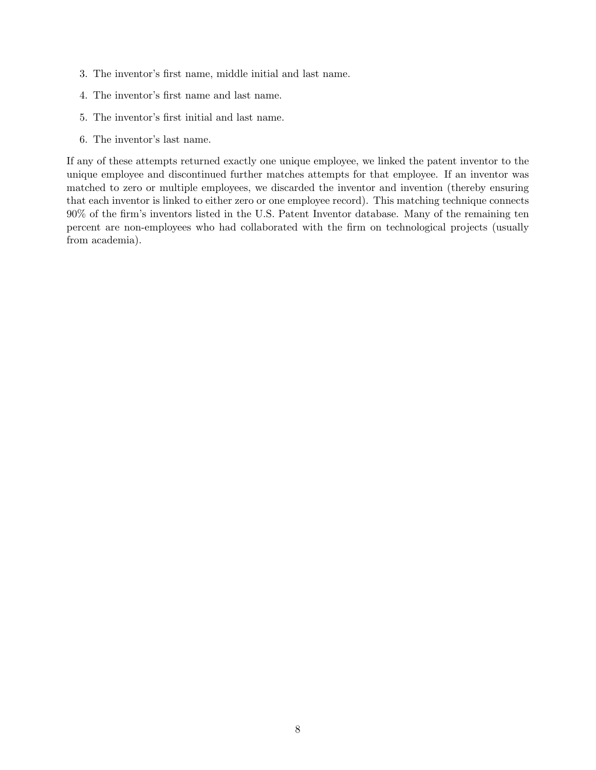- 3. The inventor's first name, middle initial and last name.
- 4. The inventor's first name and last name.
- 5. The inventor's first initial and last name.
- 6. The inventor's last name.

If any of these attempts returned exactly one unique employee, we linked the patent inventor to the unique employee and discontinued further matches attempts for that employee. If an inventor was matched to zero or multiple employees, we discarded the inventor and invention (thereby ensuring that each inventor is linked to either zero or one employee record). This matching technique connects 90% of the firm's inventors listed in the U.S. Patent Inventor database. Many of the remaining ten percent are non-employees who had collaborated with the firm on technological projects (usually from academia).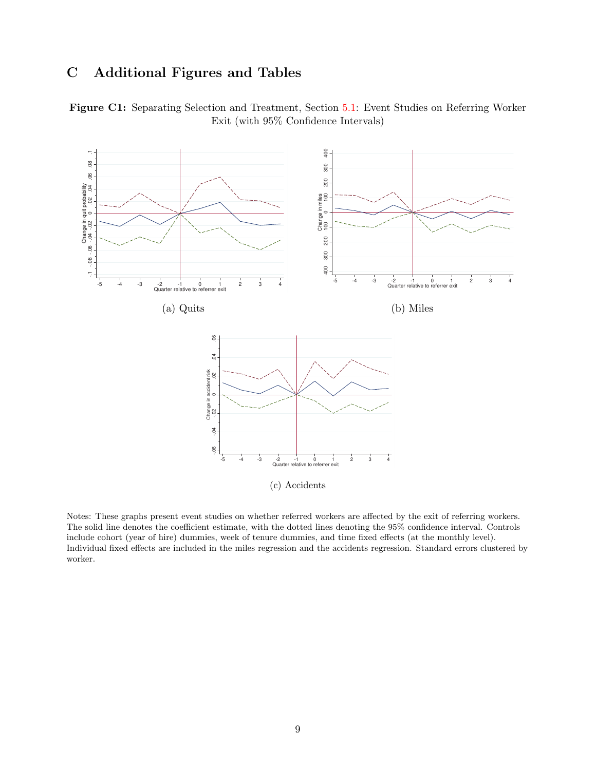# C Additional Figures and Tables

<span id="page-53-0"></span>



Notes: These graphs present event studies on whether referred workers are affected by the exit of referring workers. The solid line denotes the coefficient estimate, with the dotted lines denoting the 95% confidence interval. Controls include cohort (year of hire) dummies, week of tenure dummies, and time fixed effects (at the monthly level). Individual fixed effects are included in the miles regression and the accidents regression. Standard errors clustered by worker.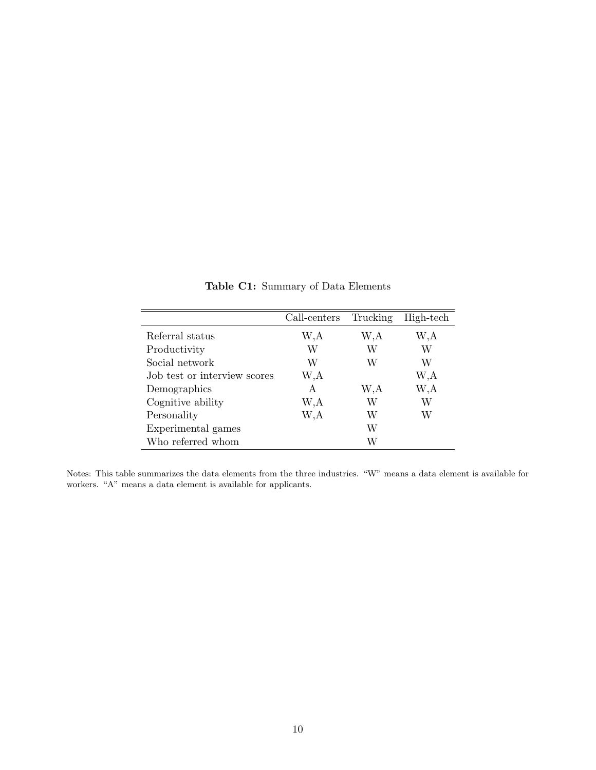<span id="page-54-0"></span>

|                              | Call-centers | Trucking | High-tech |
|------------------------------|--------------|----------|-----------|
| Referral status              | W,A          | W,A      | W,A       |
| Productivity                 | W            | W        | W         |
| Social network               | W            | W        | W         |
| Job test or interview scores | W,A          |          | W,A       |
| Demographics                 | A            | W,A      | W,A       |
| Cognitive ability            | W,A          | W        | W         |
| Personality                  | W,A          | W        | W         |
| Experimental games           |              | W        |           |
| Who referred whom            |              | W        |           |

Table C1: Summary of Data Elements

Notes: This table summarizes the data elements from the three industries. "W" means a data element is available for workers. "A" means a data element is available for applicants.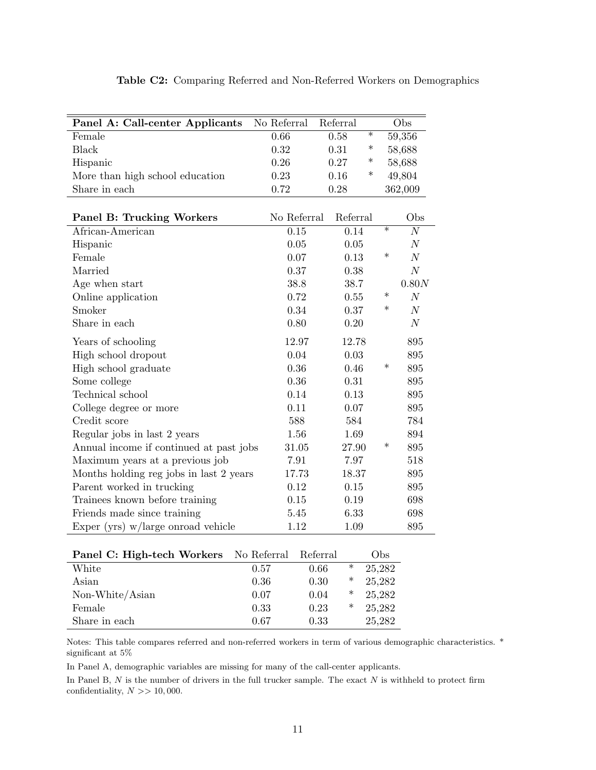<span id="page-55-0"></span>

| Panel A: Call-center Applicants         | No Referral | Referral |        |        | Obs              |
|-----------------------------------------|-------------|----------|--------|--------|------------------|
| Female                                  | 0.66        | 0.58     | $\ast$ |        | 59,356           |
| <b>Black</b>                            | 0.32        | 0.31     | $\ast$ |        | 58,688           |
| Hispanic                                | 0.26        | 0.27     | $\ast$ |        | 58,688           |
| More than high school education         | 0.23        | 0.16     | $\ast$ |        | 49,804           |
| Share in each                           | 0.72        | 0.28     |        |        | 362,009          |
|                                         |             |          |        |        |                  |
| <b>Panel B: Trucking Workers</b>        | No Referral | Referral |        |        | Obs              |
| African-American                        | 0.15        | 0.14     |        | $\ast$ | $\overline{N}$   |
| Hispanic                                | 0.05        | 0.05     |        |        | $\overline{N}$   |
| Female                                  | 0.07        | 0.13     |        | $\ast$ | N                |
| Married                                 | 0.37        | 0.38     |        |        | $\cal N$         |
| Age when start                          | 38.8        | 38.7     |        |        | 0.80N            |
| Online application                      | 0.72        | 0.55     |        | $\ast$ | $\boldsymbol{N}$ |
| Smoker                                  | 0.34        | 0.37     |        | $\ast$ | N                |
| Share in each                           | 0.80        | 0.20     |        |        | $\cal N$         |
| Years of schooling                      | 12.97       | 12.78    |        |        | 895              |
| High school dropout                     | 0.04        | 0.03     |        |        | 895              |
| High school graduate                    | 0.36        | 0.46     |        | $\ast$ | 895              |
| Some college                            | 0.36        | 0.31     |        |        | 895              |
| Technical school                        | 0.14        | $0.13\,$ |        |        | 895              |
| College degree or more                  | 0.11        | 0.07     |        |        | 895              |
| Credit score                            | 588         | 584      |        |        | 784              |
| Regular jobs in last 2 years            | 1.56        | 1.69     |        |        | 894              |
| Annual income if continued at past jobs | 31.05       | 27.90    |        | $\ast$ | 895              |
| Maximum years at a previous job         | 7.91        | 7.97     |        |        | 518              |
| Months holding reg jobs in last 2 years | 17.73       | 18.37    |        |        | 895              |
| Parent worked in trucking               | 0.12        | 0.15     |        |        | 895              |
| Trainees known before training          | 0.15        | 0.19     |        |        | 698              |
| Friends made since training             | 5.45        | 6.33     |        |        | 698              |
| Exper (yrs) $w/large$ onroad vehicle    | 1.12        | 1.09     |        |        | 895              |

|  | Table C2: Comparing Referred and Non-Referred Workers on Demographics |  |  |  |
|--|-----------------------------------------------------------------------|--|--|--|
|  |                                                                       |  |  |  |

| Panel C: High-tech Workers No Referral Referral |      |      |   | Obs    |
|-------------------------------------------------|------|------|---|--------|
| White                                           | 0.57 | 0.66 | ∗ | 25,282 |
| Asian                                           | 0.36 | 0.30 | ∗ | 25,282 |
| Non-White/Asian                                 | 0.07 | 0.04 | ∗ | 25,282 |
| Female                                          | 0.33 | 0.23 | ∗ | 25,282 |
| Share in each                                   | 0.67 | 0.33 |   | 25,282 |

Notes: This table compares referred and non-referred workers in term of various demographic characteristics. \* significant at 5%

In Panel A, demographic variables are missing for many of the call-center applicants.

In Panel B,  $N$  is the number of drivers in the full trucker sample. The exact  $N$  is withheld to protect firm confidentiality,  $N \gg 10,000$ .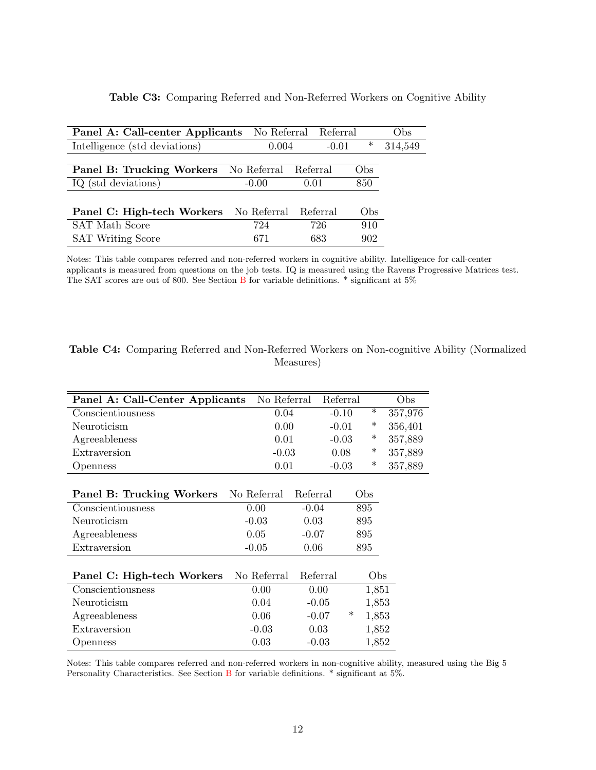| Panel A: Call-center Applicants No Referral Referral  |         |         |        | Obs     |
|-------------------------------------------------------|---------|---------|--------|---------|
| Intelligence (std deviations)                         | 0.004   | $-0.01$ | $\ast$ | 314,549 |
| <b>Panel B: Trucking Workers</b> No Referral Referral |         |         | Obs    |         |
| IQ (std deviations)                                   | $-0.00$ | 0.01    | 850    |         |
| Panel C: High-tech Workers No Referral Referral       |         |         | Obs    |         |
| <b>SAT</b> Math Score                                 | 724     | 726     | 910    |         |
| <b>SAT Writing Score</b>                              | 671     | 683     | 902    |         |

#### Table C3: Comparing Referred and Non-Referred Workers on Cognitive Ability

Notes: This table compares referred and non-referred workers in cognitive ability. Intelligence for call-center applicants is measured from questions on the job tests. IQ is measured using the Ravens Progressive Matrices test. The SAT scores are out of 800. See Section [B](#page-47-0) for variable definitions.  $*$  significant at 5%

| Panel A: Call-Center Applicants | No Referral |          | Referral |        | Obs     |
|---------------------------------|-------------|----------|----------|--------|---------|
| Conscientiousness               | 0.04        |          | $-0.10$  | $\ast$ | 357,976 |
| Neuroticism                     | 0.00        |          | $-0.01$  | $\ast$ | 356,401 |
| Agreeableness                   | 0.01        |          | $-0.03$  | $\ast$ | 357,889 |
| Extraversion                    | $-0.03$     |          | 0.08     | $\ast$ | 357,889 |
| Openness                        | 0.01        |          | $-0.03$  | $\ast$ | 357,889 |
|                                 |             |          |          |        |         |
| Panel B: Trucking Workers       | No Referral | Referral |          | Obs    |         |
| Conscientiousness               | 0.00        | $-0.04$  |          | 895    |         |
| Neuroticism                     | $-0.03$     | 0.03     |          | 895    |         |
| Agreeableness                   | 0.05        | $-0.07$  |          | 895    |         |
| Extraversion                    | $-0.05$     | 0.06     | 895      |        |         |
|                                 |             |          |          |        |         |
| Panel C: High-tech Workers      | No Referral | Referral |          | Obs    |         |
| Conscientiousness               | 0.00        | 0.00     |          | 1,851  |         |
| Neuroticism                     | 0.04        | $-0.05$  |          | 1,853  |         |
| Agreeableness                   | 0.06        | $-0.07$  | $\ast$   | 1,853  |         |
| Extraversion                    | $-0.03$     | 0.03     |          | 1,852  |         |
| Openness                        | 0.03        | $-0.03$  |          | 1,852  |         |

| <b>Table C4:</b> Comparing Referred and Non-Referred Workers on Non-cognitive Ability (Normalized |  |
|---------------------------------------------------------------------------------------------------|--|
| Measures)                                                                                         |  |

Notes: This table compares referred and non-referred workers in non-cognitive ability, measured using the Big 5 Personality Characteristics. See Section [B](#page-47-0) for variable definitions. \* significant at 5%.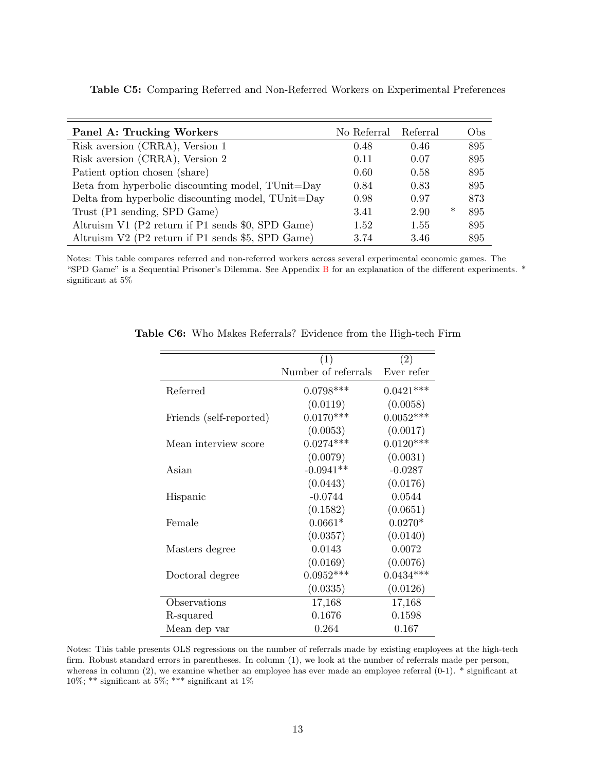| <b>Panel A: Trucking Workers</b>                   | No Referral | Referral |        | Obs |
|----------------------------------------------------|-------------|----------|--------|-----|
| Risk aversion (CRRA), Version 1                    | 0.48        | 0.46     |        | 895 |
| Risk aversion (CRRA), Version 2                    | 0.11        | 0.07     |        | 895 |
| Patient option chosen (share)                      | 0.60        | 0.58     |        | 895 |
| Beta from hyperbolic discounting model, TUnit=Day  | 0.84        | 0.83     |        | 895 |
| Delta from hyperbolic discounting model, TUnit=Day | 0.98        | 0.97     |        | 873 |
| Trust (P1 sending, SPD Game)                       | 3.41        | 2.90     | $\ast$ | 895 |
| Altruism V1 (P2 return if P1 sends \$0, SPD Game)  | 1.52        | 1.55     |        | 895 |
| Altruism V2 (P2 return if P1 sends \$5, SPD Game)  | 3.74        | 3.46     |        | 895 |

<span id="page-57-0"></span>Table C5: Comparing Referred and Non-Referred Workers on Experimental Preferences

<span id="page-57-1"></span>Notes: This table compares referred and non-referred workers across several experimental economic games. The "SPD Game" is a Sequential Prisoner's Dilemma. See Appendix [B](#page-47-0) for an explanation of the different experiments. \* significant at 5%

|                         | (1)                 | (2)         |
|-------------------------|---------------------|-------------|
|                         | Number of referrals | Ever refer  |
| Referred                | $0.0798***$         | $0.0421***$ |
|                         | (0.0119)            | (0.0058)    |
| Friends (self-reported) | $0.0170***$         | $0.0052***$ |
|                         | (0.0053)            | (0.0017)    |
| Mean interview score    | $0.0274***$         | $0.0120***$ |
|                         | (0.0079)            | (0.0031)    |
| Asian                   | $-0.0941**$         | $-0.0287$   |
|                         | (0.0443)            | (0.0176)    |
| Hispanic                | $-0.0744$           | 0.0544      |
|                         | (0.1582)            | (0.0651)    |
| Female                  | $0.0661*$           | $0.0270*$   |
|                         | (0.0357)            | (0.0140)    |
| Masters degree          | 0.0143              | 0.0072      |
|                         | (0.0169)            | (0.0076)    |
| Doctoral degree         | $0.0952***$         | $0.0434***$ |
|                         | (0.0335)            | (0.0126)    |
| Observations            | 17,168              | 17,168      |
| R-squared               | 0.1676              | 0.1598      |
| Mean dep var            | 0.264               | 0.167       |

Table C6: Who Makes Referrals? Evidence from the High-tech Firm

Notes: This table presents OLS regressions on the number of referrals made by existing employees at the high-tech firm. Robust standard errors in parentheses. In column (1), we look at the number of referrals made per person, whereas in column (2), we examine whether an employee has ever made an employee referral (0-1). \* significant at 10%; \*\* significant at 5%; \*\*\* significant at 1%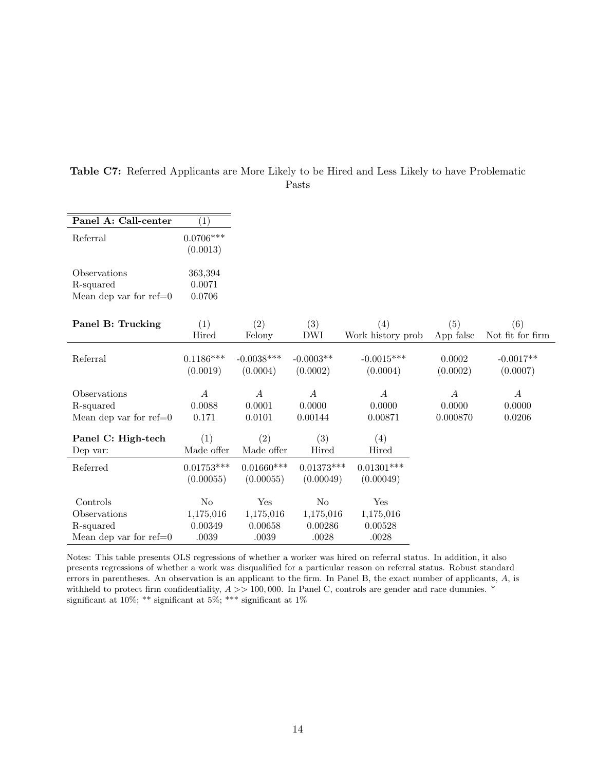| Panel A: Call-center     | $\left(1\right)$ |                  |                  |                   |                  |                  |
|--------------------------|------------------|------------------|------------------|-------------------|------------------|------------------|
| Referral                 | $0.0706***$      |                  |                  |                   |                  |                  |
|                          | (0.0013)         |                  |                  |                   |                  |                  |
|                          |                  |                  |                  |                   |                  |                  |
| Observations             | 363,394          |                  |                  |                   |                  |                  |
| R-squared                | 0.0071           |                  |                  |                   |                  |                  |
| Mean dep var for $ref=0$ | 0.0706           |                  |                  |                   |                  |                  |
|                          |                  |                  |                  |                   |                  |                  |
| Panel B: Trucking        | (1)              | (2)              | (3)              | (4)               | (5)              | (6)              |
|                          | Hired            | Felony           | <b>DWI</b>       | Work history prob | App false        | Not fit for firm |
|                          |                  |                  |                  |                   |                  |                  |
| Referral                 | $0.1186***$      | $-0.0038***$     | $-0.0003**$      | $-0.0015***$      | 0.0002           | $-0.0017**$      |
|                          | (0.0019)         | (0.0004)         | (0.0002)         | (0.0004)          | (0.0002)         | (0.0007)         |
| Observations             | $\boldsymbol{A}$ | $\boldsymbol{A}$ | $\boldsymbol{A}$ | $\boldsymbol{A}$  | $\boldsymbol{A}$ | $\boldsymbol{A}$ |
| R-squared                | 0.0088           | 0.0001           | 0.0000           | 0.0000            | 0.0000           | 0.0000           |
| Mean dep var for $ref=0$ | 0.171            | 0.0101           | 0.00144          | 0.00871           | 0.000870         | 0.0206           |
|                          |                  |                  |                  |                   |                  |                  |
| Panel C: High-tech       | (1)              | (2)              | (3)              | (4)               |                  |                  |
| Dep var:                 | Made offer       | Made offer       | Hired            | Hired             |                  |                  |
| Referred                 | $0.01753***$     | $0.01660***$     | $0.01373***$     | $0.01301***$      |                  |                  |
|                          | (0.00055)        | (0.00055)        | (0.00049)        | (0.00049)         |                  |                  |
|                          |                  |                  |                  |                   |                  |                  |
| Controls                 | N <sub>0</sub>   | Yes              | N <sub>o</sub>   | Yes               |                  |                  |
| Observations             | 1,175,016        | 1,175,016        | 1,175,016        | 1,175,016         |                  |                  |
| R-squared                | 0.00349          | 0.00658          | 0.00286          | 0.00528           |                  |                  |
| Mean dep var for $ref=0$ | .0039            | .0039            | .0028            | .0028             |                  |                  |

<span id="page-58-0"></span>Table C7: Referred Applicants are More Likely to be Hired and Less Likely to have Problematic Pasts

Notes: This table presents OLS regressions of whether a worker was hired on referral status. In addition, it also presents regressions of whether a work was disqualified for a particular reason on referral status. Robust standard errors in parentheses. An observation is an applicant to the firm. In Panel B, the exact number of applicants, A, is withheld to protect firm confidentiality,  $A \gg 100,000$ . In Panel C, controls are gender and race dummies.  $*$ significant at 10%; \*\* significant at 5%; \*\*\* significant at 1%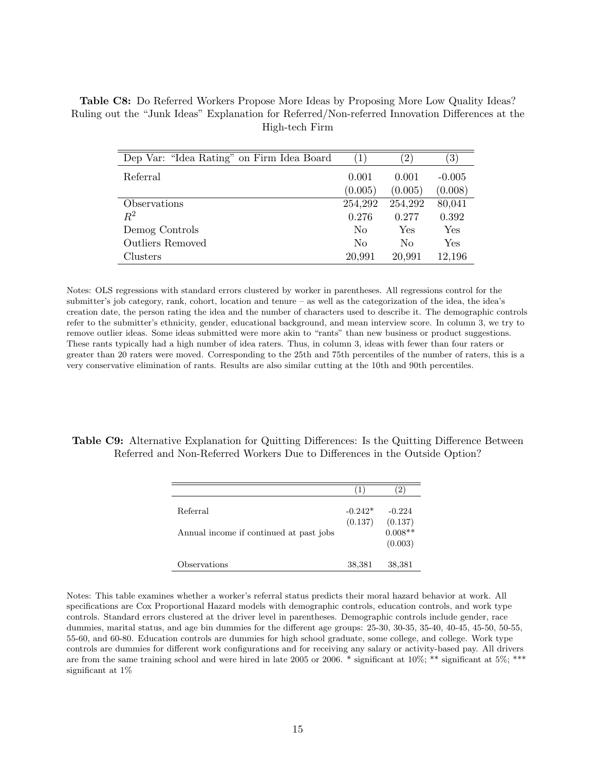<span id="page-59-0"></span>Table C8: Do Referred Workers Propose More Ideas by Proposing More Low Quality Ideas? Ruling out the "Junk Ideas" Explanation for Referred/Non-referred Innovation Differences at the High-tech Firm

| Dep Var: "Idea Rating" on Firm Idea Board" | (1)            | $\left(2\right)$ | $\left( 3\right)$ |
|--------------------------------------------|----------------|------------------|-------------------|
| Referral                                   | 0.001          | 0.001            | $-0.005$          |
|                                            | (0.005)        | (0.005)          | (0.008)           |
| Observations                               | 254,292        | 254,292          | 80,041            |
| $R^2$                                      | 0.276          | 0.277            | 0.392             |
| Demog Controls                             | N <sub>0</sub> | Yes              | Yes               |
| <b>Outliers Removed</b>                    | No             | $\rm No$         | ${\rm Yes}$       |
| Clusters                                   | 20,991         | 20,991           | 12,196            |

Notes: OLS regressions with standard errors clustered by worker in parentheses. All regressions control for the submitter's job category, rank, cohort, location and tenure – as well as the categorization of the idea, the idea's creation date, the person rating the idea and the number of characters used to describe it. The demographic controls refer to the submitter's ethnicity, gender, educational background, and mean interview score. In column 3, we try to remove outlier ideas. Some ideas submitted were more akin to "rants" than new business or product suggestions. These rants typically had a high number of idea raters. Thus, in column 3, ideas with fewer than four raters or greater than 20 raters were moved. Corresponding to the 25th and 75th percentiles of the number of raters, this is a very conservative elimination of rants. Results are also similar cutting at the 10th and 90th percentiles.

#### <span id="page-59-1"></span>Table C9: Alternative Explanation for Quitting Differences: Is the Quitting Difference Between Referred and Non-Referred Workers Due to Differences in the Outside Option?

|                                                     | $\perp$              | 2)                                          |
|-----------------------------------------------------|----------------------|---------------------------------------------|
| Referral<br>Annual income if continued at past jobs | $-0.242*$<br>(0.137) | $-0.224$<br>(0.137)<br>$0.008**$<br>(0.003) |
| Observations                                        | 38,381               | 38,381                                      |

Notes: This table examines whether a worker's referral status predicts their moral hazard behavior at work. All specifications are Cox Proportional Hazard models with demographic controls, education controls, and work type controls. Standard errors clustered at the driver level in parentheses. Demographic controls include gender, race dummies, marital status, and age bin dummies for the different age groups: 25-30, 30-35, 35-40, 40-45, 45-50, 50-55, 55-60, and 60-80. Education controls are dummies for high school graduate, some college, and college. Work type controls are dummies for different work configurations and for receiving any salary or activity-based pay. All drivers are from the same training school and were hired in late 2005 or 2006. \* significant at  $10\%$ ; \*\* significant at  $5\%$ ; \*\*\* significant at 1%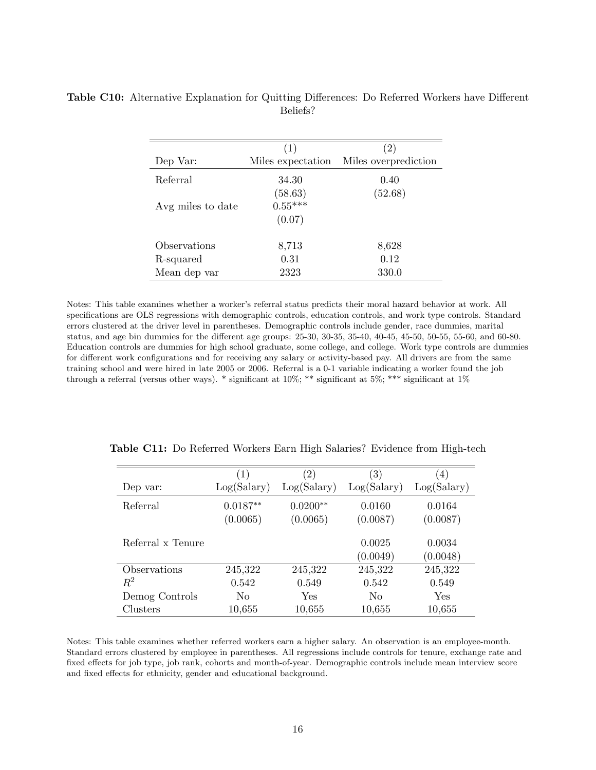|                   | $\left( 1\right)$ | $\left 2\right\rangle$ |
|-------------------|-------------------|------------------------|
| Dep Var:          | Miles expectation | Miles overprediction   |
| Referral          | 34.30             | 0.40                   |
|                   | (58.63)           | (52.68)                |
| Avg miles to date | $0.55***$         |                        |
|                   | (0.07)            |                        |
| Observations      | 8,713             | 8,628                  |
| R-squared         | 0.31              | 0.12                   |
| Mean dep var      | 2323              | 330.0                  |

<span id="page-60-1"></span>Table C10: Alternative Explanation for Quitting Differences: Do Referred Workers have Different Beliefs?

Notes: This table examines whether a worker's referral status predicts their moral hazard behavior at work. All specifications are OLS regressions with demographic controls, education controls, and work type controls. Standard errors clustered at the driver level in parentheses. Demographic controls include gender, race dummies, marital status, and age bin dummies for the different age groups: 25-30, 30-35, 35-40, 40-45, 45-50, 50-55, 55-60, and 60-80. Education controls are dummies for high school graduate, some college, and college. Work type controls are dummies for different work configurations and for receiving any salary or activity-based pay. All drivers are from the same training school and were hired in late 2005 or 2006. Referral is a 0-1 variable indicating a worker found the job through a referral (versus other ways). \* significant at 10%; \*\* significant at 5%; \*\*\* significant at 1%

|                   | $\left( 1\right)$ | $\left( 2\right)$ | $\left( 3\right)$ | $\left(4\right)$ |
|-------------------|-------------------|-------------------|-------------------|------------------|
| Dep var:          | Log(Salary)       | Log(Salary)       | Log(Salary)       | Log(Salary)      |
| Referral          | $0.0187**$        | $0.0200**$        | 0.0160            | 0.0164           |
|                   | (0.0065)          | (0.0065)          | (0.0087)          | (0.0087)         |
| Referral x Tenure |                   |                   | 0.0025            | 0.0034           |
|                   |                   |                   | (0.0049)          | (0.0048)         |
| Observations      | 245,322           | 245,322           | 245,322           | 245,322          |
| $R^2$             | 0.542             | 0.549             | 0.542             | 0.549            |
| Demog Controls    | No                | Yes               | No                | Yes              |
| Clusters          | 10,655            | 10,655            | 10,655            | 10,655           |

<span id="page-60-0"></span>Table C11: Do Referred Workers Earn High Salaries? Evidence from High-tech

Notes: This table examines whether referred workers earn a higher salary. An observation is an employee-month. Standard errors clustered by employee in parentheses. All regressions include controls for tenure, exchange rate and fixed effects for job type, job rank, cohorts and month-of-year. Demographic controls include mean interview score and fixed effects for ethnicity, gender and educational background.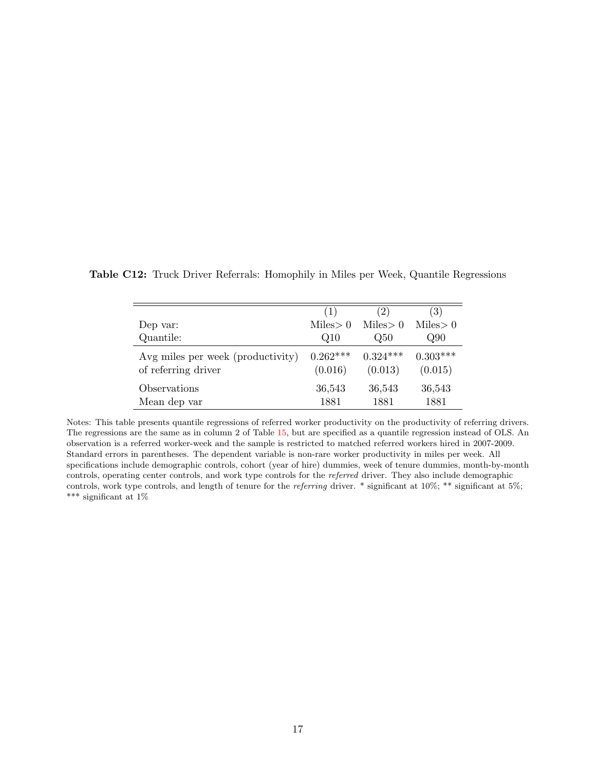|                                                          | (1)                   | $^{'}2)$              | $\left( 3\right)$     |
|----------------------------------------------------------|-----------------------|-----------------------|-----------------------|
| Dep var:                                                 | Miles > 0             | Miles > 0             | Miles > 0             |
| Quantile:                                                | Q10                   | Q50                   | Q90                   |
| Avg miles per week (productivity)<br>of referring driver | $0.262***$<br>(0.016) | $0.324***$<br>(0.013) | $0.303***$<br>(0.015) |
| Observations<br>Mean dep var                             | 36,543<br>1881        | 36,543<br>1881        | 36,543<br>1881        |

<span id="page-61-0"></span>Table C12: Truck Driver Referrals: Homophily in Miles per Week, Quantile Regressions

Notes: This table presents quantile regressions of referred worker productivity on the productivity of referring drivers. The regressions are the same as in column 2 of Table [15,](#page-44-0) but are specified as a quantile regression instead of OLS. An observation is a referred worker-week and the sample is restricted to matched referred workers hired in 2007-2009. Standard errors in parentheses. The dependent variable is non-rare worker productivity in miles per week. All specifications include demographic controls, cohort (year of hire) dummies, week of tenure dummies, month-by-month controls, operating center controls, and work type controls for the referred driver. They also include demographic controls, work type controls, and length of tenure for the referring driver. \* significant at 10%; \*\* significant at 5%; \*\*\* significant at 1%